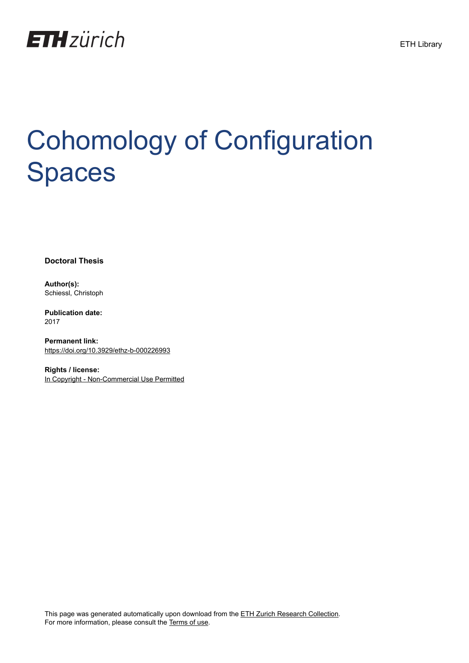

# Cohomology of Configuration Spaces

**Doctoral Thesis**

**Author(s):** Schiessl, Christoph

**Publication date:** 2017

**Permanent link:** <https://doi.org/10.3929/ethz-b-000226993>

**Rights / license:** [In Copyright - Non-Commercial Use Permitted](http://rightsstatements.org/page/InC-NC/1.0/)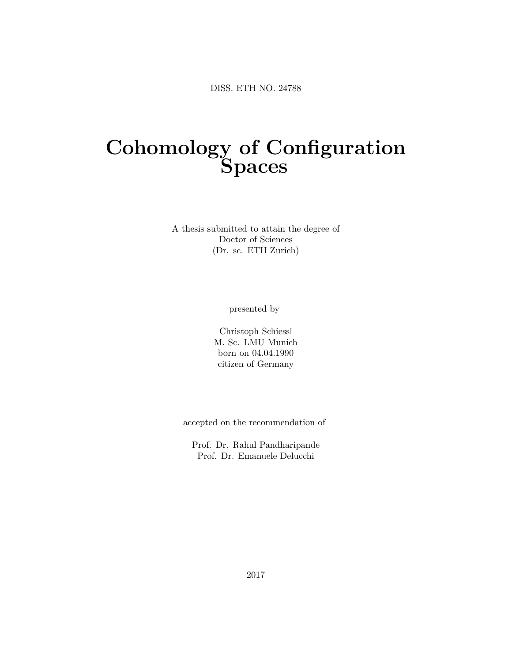# **Cohomology of Configuration Spaces**

A thesis submitted to attain the degree of Doctor of Sciences (Dr. sc. ETH Zurich)

presented by

Christoph Schiessl M. Sc. LMU Munich born on 04.04.1990 citizen of Germany

accepted on the recommendation of

Prof. Dr. Rahul Pandharipande Prof. Dr. Emanuele Delucchi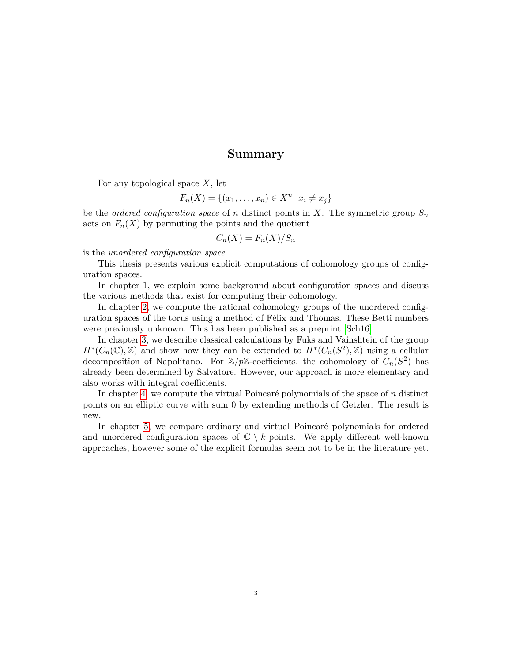#### **Summary**

<span id="page-3-0"></span>For any topological space *X*, let

$$
F_n(X) = \{(x_1, \ldots, x_n) \in X^n | x_i \neq x_j\}
$$

be the *ordered configuration space* of *n* distinct points in *X*. The symmetric group  $S_n$ acts on  $F_n(X)$  by permuting the points and the quotient

$$
C_n(X) = F_n(X)/S_n
$$

is the *unordered configuration space*.

This thesis presents various explicit computations of cohomology groups of configuration spaces.

In chapter 1, we explain some background about configuration spaces and discuss the various methods that exist for computing their cohomology.

In chapter [2,](#page-17-0) we compute the rational cohomology groups of the unordered configuration spaces of the torus using a method of Félix and Thomas. These Betti numbers were previously unknown. This has been published as a preprint [\[Sch16\]](#page-55-0).

In chapter [3,](#page-23-0) we describe classical calculations by Fuks and Vainshtein of the group  $H^*(C_n(\mathbb{C}), \mathbb{Z})$  and show how they can be extended to  $H^*(C_n(S^2), \mathbb{Z})$  using a cellular decomposition of Napolitano. For  $\mathbb{Z}/p\mathbb{Z}$ -coefficients, the cohomology of  $C_n(S^2)$  has already been determined by Salvatore. However, our approach is more elementary and also works with integral coefficients.

In chapter [4,](#page-41-0) we compute the virtual Poincaré polynomials of the space of *n* distinct points on an elliptic curve with sum 0 by extending methods of Getzler. The result is new.

In chapter [5,](#page-47-0) we compare ordinary and virtual Poincaré polynomials for ordered and unordered configuration spaces of  $\mathbb{C} \setminus k$  points. We apply different well-known approaches, however some of the explicit formulas seem not to be in the literature yet.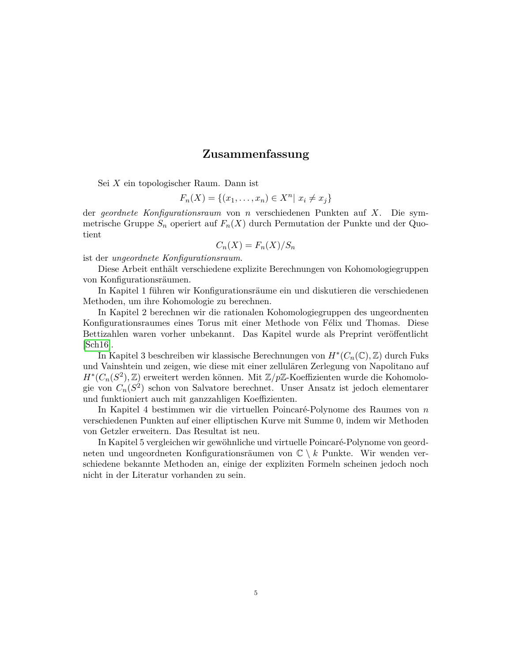#### **Zusammenfassung**

<span id="page-5-0"></span>Sei *X* ein topologischer Raum. Dann ist

$$
F_n(X) = \{(x_1, \ldots, x_n) \in X^n | x_i \neq x_j\}
$$

der *geordnete Konfigurationsraum* von *n* verschiedenen Punkten auf *X*. Die symmetrische Gruppe  $S_n$  operiert auf  $F_n(X)$  durch Permutation der Punkte und der Quotient

$$
C_n(X) = F_n(X)/S_n
$$

ist der *ungeordnete Konfigurationsraum*.

Diese Arbeit enthält verschiedene explizite Berechnungen von Kohomologiegruppen von Konfigurationsräumen.

In Kapitel 1 führen wir Konfigurationsräume ein und diskutieren die verschiedenen Methoden, um ihre Kohomologie zu berechnen.

In Kapitel 2 berechnen wir die rationalen Kohomologiegruppen des ungeordnenten Konfigurationsraumes eines Torus mit einer Methode von Félix und Thomas. Diese Bettizahlen waren vorher unbekannt. Das Kapitel wurde als Preprint veröffentlicht [\[Sch16\]](#page-55-0).

In Kapitel 3 beschreiben wir klassische Berechnungen von  $H^*(C_n(\mathbb{C}), \mathbb{Z})$  durch Fuks und Vainshtein und zeigen, wie diese mit einer zellulären Zerlegung von Napolitano auf *H*<sup>∗</sup>( $C_n(S^2)$ , ℤ) erweitert werden können. Mit Z/pZ-Koeffizienten wurde die Kohomologie von *Cn*(*S* 2 ) schon von Salvatore berechnet. Unser Ansatz ist jedoch elementarer und funktioniert auch mit ganzzahligen Koeffizienten.

In Kapitel 4 bestimmen wir die virtuellen Poincaré-Polynome des Raumes von *n* verschiedenen Punkten auf einer elliptischen Kurve mit Summe 0, indem wir Methoden von Getzler erweitern. Das Resultat ist neu.

In Kapitel 5 vergleichen wir gewöhnliche und virtuelle Poincaré-Polynome von geordneten und ungeordneten Konfigurationsräumen von  $\mathbb{C} \setminus k$  Punkte. Wir wenden verschiedene bekannte Methoden an, einige der expliziten Formeln scheinen jedoch noch nicht in der Literatur vorhanden zu sein.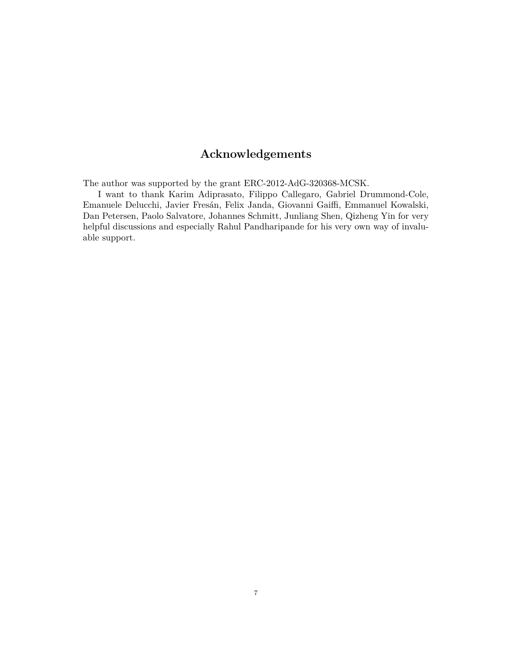# **Acknowledgements**

<span id="page-7-0"></span>The author was supported by the grant ERC-2012-AdG-320368-MCSK.

I want to thank Karim Adiprasato, Filippo Callegaro, Gabriel Drummond-Cole, Emanuele Delucchi, Javier Fresán, Felix Janda, Giovanni Gaiffi, Emmanuel Kowalski, Dan Petersen, Paolo Salvatore, Johannes Schmitt, Junliang Shen, Qizheng Yin for very helpful discussions and especially Rahul Pandharipande for his very own way of invaluable support.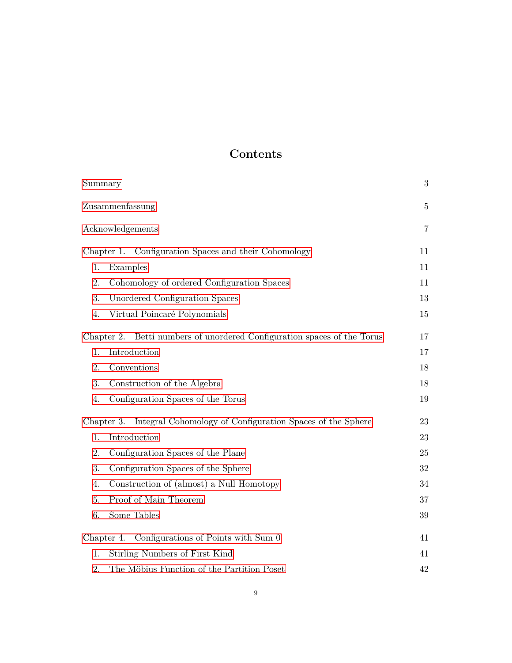# **Contents**

| Summary                                                                    | 3              |
|----------------------------------------------------------------------------|----------------|
| Zusammenfassung                                                            | $\bf 5$        |
| Acknowledgements                                                           | $\overline{7}$ |
| Chapter 1. Configuration Spaces and their Cohomology                       | 11             |
| Examples<br>1.                                                             | 11             |
| Cohomology of ordered Configuration Spaces<br>2.                           | 11             |
| 3.<br>Unordered Configuration Spaces                                       | 13             |
| Virtual Poincaré Polynomials<br>4.                                         | 15             |
| Betti numbers of unordered Configuration spaces of the Torus<br>Chapter 2. | 17             |
| Introduction<br>1.                                                         | 17             |
| 2.<br>Conventions                                                          | 18             |
| 3.<br>Construction of the Algebra                                          | 18             |
| Configuration Spaces of the Torus<br>4.                                    | 19             |
| Integral Cohomology of Configuration Spaces of the Sphere<br>Chapter 3.    | 23             |
| Introduction<br>1.                                                         | 23             |
| Configuration Spaces of the Plane<br>2.                                    | 25             |
| 3.<br>Configuration Spaces of the Sphere                                   | 32             |
| Construction of (almost) a Null Homotopy<br>4.                             | 34             |
| Proof of Main Theorem<br>5.                                                | 37             |
| Some Tables<br>6.                                                          | 39             |
| Chapter 4. Configurations of Points with Sum 0                             | 41             |
| Stirling Numbers of First Kind<br>1.                                       | 41             |
| The Möbius Function of the Partition Poset<br>2.                           | 42             |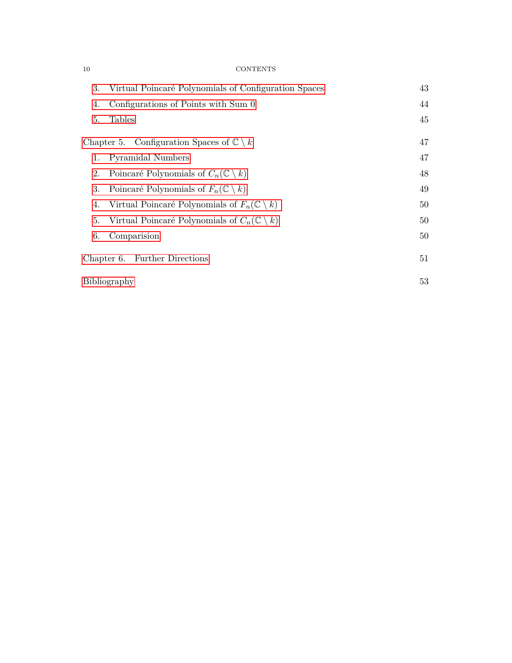#### 10 CONTENTS

| 3. | Virtual Poincaré Polynomials of Configuration Spaces          | 43 |
|----|---------------------------------------------------------------|----|
| 4. | Configurations of Points with Sum 0                           | 44 |
| 5. | <b>Tables</b>                                                 | 45 |
|    | Chapter 5. Configuration Spaces of $\mathbb{C} \setminus k$   | 47 |
| 1. | Pyramidal Numbers                                             | 47 |
| 2. | Poincaré Polynomials of $C_n(\mathbb{C}\setminus k)$          | 48 |
| 3. | Poincaré Polynomials of $F_n(\mathbb{C}\setminus k)$          | 49 |
| 4. | Virtual Poincaré Polynomials of $F_n(\mathbb{C}\setminus k)$  | 50 |
| 5. | Virtual Poincaré Polynomials of $C_n(\mathbb{C} \setminus k)$ | 50 |
| 6. | Comparision                                                   | 50 |
|    | Chapter 6. Further Directions                                 | 51 |
|    | Bibliography                                                  | 53 |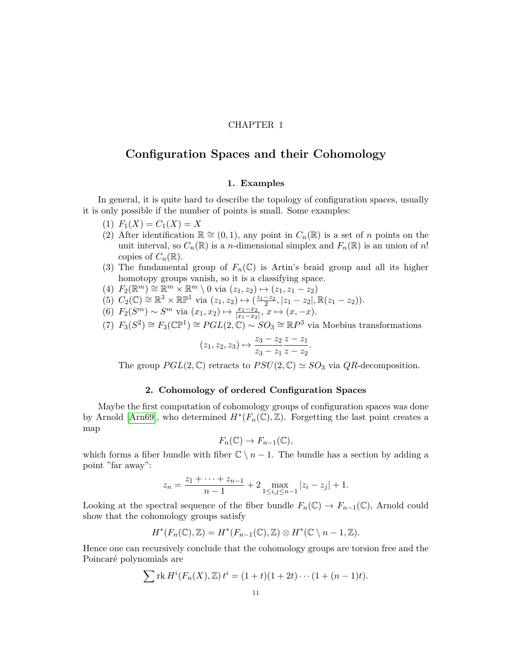#### CHAPTER 1

#### <span id="page-11-0"></span>**Configuration Spaces and their Cohomology**

#### **1. Examples**

<span id="page-11-1"></span>In general, it is quite hard to describe the topology of configuration spaces, usually it is only possible if the number of points is small. Some examples:

- $(F_1(X) = C_1(X) = X$
- (2) After identification  $\mathbb{R} \cong (0,1)$ , any point in  $C_n(\mathbb{R})$  is a set of *n* points on the unit interval, so  $C_n(\mathbb{R})$  is a *n*-dimensional simplex and  $F_n(\mathbb{R})$  is an union of *n*! copies of  $C_n(\mathbb{R})$ .
- (3) The fundamental group of  $F_n(\mathbb{C})$  is Artin's braid group and all its higher homotopy groups vanish, so it is a classifying space.
- $F_2(\mathbb{R}^m) \cong \mathbb{R}^m \times \mathbb{R}^m \setminus 0$  via  $(z_1, z_2) \mapsto (z_1, z_1 z_2)$
- $(S)$   $C_2(\mathbb{C}) \cong \mathbb{R}^3 \times \mathbb{RP}^1$  via  $(z_1, z_2) \mapsto (\frac{z_1 z_2}{2}, |z_1 z_2|, \mathbb{R}(z_1 z_2)).$
- (6)  $F_2(S^m) \sim S^m$  via  $(x_1, x_2) \mapsto \frac{x_1 x_2}{|x_1 x_2|}, x \mapsto (x, -x)$ .
- $F_3(S^2) \cong F_3(\mathbb{CP}^1) \cong PGL(2,\mathbb{C}) \sim SO_3 \cong \mathbb{R}P^3$  via Moebius transformations

$$
(z_1, z_2, z_3) \mapsto \frac{z_3 - z_2}{z_3 - z_1} \frac{z - z_1}{z - z_2}.
$$

The group  $PGL(2,\mathbb{C})$  retracts to  $PSU(2,\mathbb{C}) \simeq SO_3$  via  $QR$ -decomposition.

#### **2. Cohomology of ordered Configuration Spaces**

<span id="page-11-2"></span>Maybe the first computation of cohomology groups of configuration spaces was done by Arnold [\[Arn69\]](#page-53-1), who determined  $H^*(F_n(\mathbb{C}), \mathbb{Z})$ . Forgetting the last point creates a map

$$
F_n(\mathbb{C}) \to F_{n-1}(\mathbb{C}),
$$

which forms a fiber bundle with fiber  $\mathbb{C} \setminus n-1$ . The bundle has a section by adding a point "far away":

$$
z_n = \frac{z_1 + \dots + z_{n-1}}{n-1} + 2 \max_{1 \le i, j \le n-1} |z_i - z_j| + 1.
$$

Looking at the spectral sequence of the fiber bundle  $F_n(\mathbb{C}) \to F_{n-1}(\mathbb{C})$ , Arnold could show that the cohomology groups satisfy

$$
H^*(F_n(\mathbb{C}), \mathbb{Z}) = H^*(F_{n-1}(\mathbb{C}), \mathbb{Z}) \otimes H^*(\mathbb{C} \setminus n-1, \mathbb{Z}).
$$

Hence one can recursively conclude that the cohomology groups are torsion free and the Poincaré polynomials are

$$
\sum \text{rk } H^{i}(F_n(X), \mathbb{Z}) t^{i} = (1+t)(1+2t) \cdots (1+(n-1)t).
$$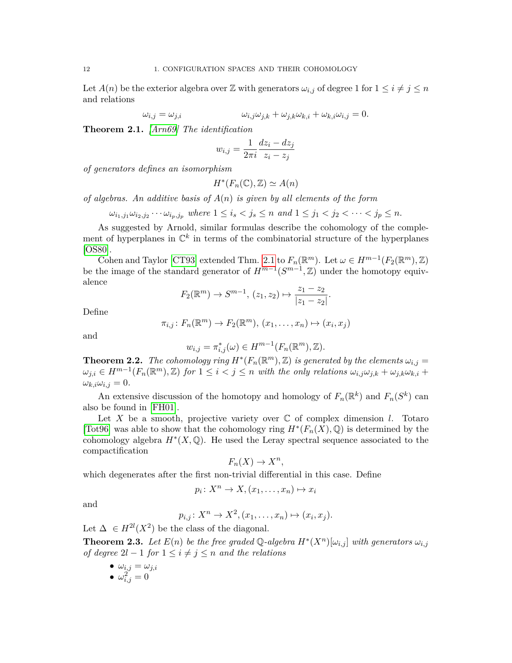Let  $A(n)$  be the exterior algebra over Z with generators  $\omega_{i,j}$  of degree 1 for  $1 \leq i \neq j \leq n$ and relations

$$
\omega_{i,j} = \omega_{j,i} \qquad \qquad \omega_{i,j}\omega_{j,k} + \omega_{j,k}\omega_{k,i} + \omega_{k,i}\omega_{i,j} = 0.
$$

<span id="page-12-0"></span>**Theorem 2.1.** *[\[Arn69\]](#page-53-1) The identification*

$$
w_{i,j} = \frac{1}{2\pi i} \frac{dz_i - dz_j}{z_i - z_j}
$$

*of generators defines an isomorphism*

$$
H^*(F_n(\mathbb{C}), \mathbb{Z}) \simeq A(n)
$$

*of algebras. An additive basis of A*(*n*) *is given by all elements of the form*

 $\omega_{i_1,j_1}\omega_{i_2,j_2}\cdots \omega_{i_p,j_p}$  where  $1 \leq i_s < j_s \leq n$  and  $1 \leq j_1 < j_2 < \cdots < j_p \leq n$ .

As suggested by Arnold, similar formulas describe the cohomology of the complement of hyperplanes in  $\mathbb{C}^k$  in terms of the combinatorial structure of the hyperplanes [\[OS80\]](#page-55-1).

Cohen and Taylor [\[CT93\]](#page-54-0) extended Thm. [2.1](#page-12-0) to  $F_n(\mathbb{R}^m)$ . Let  $\omega \in H^{m-1}(F_2(\mathbb{R}^m), \mathbb{Z})$ be the image of the standard generator of  $H^{m-1}(S^{m-1}, \mathbb{Z})$  under the homotopy equivalence

$$
F_2(\mathbb{R}^m) \to S^{m-1}, (z_1, z_2) \mapsto \frac{z_1 - z_2}{|z_1 - z_2|}.
$$

Define

$$
\pi_{i,j} \colon F_n(\mathbb{R}^m) \to F_2(\mathbb{R}^m), (x_1, \ldots, x_n) \mapsto (x_i, x_j)
$$

and

$$
w_{i,j} = \pi_{i,j}^*(\omega) \in H^{m-1}(F_n(\mathbb{R}^m), \mathbb{Z}).
$$

**Theorem 2.2.** *The cohomology ring*  $H^*(F_n(\mathbb{R}^m), \mathbb{Z})$  *is generated by the elements*  $\omega_{i,j} =$  $\omega_{j,i} \in H^{m-1}(F_n(\mathbb{R}^m), \mathbb{Z})$  for  $1 \leq i < j \leq n$  with the only relations  $\omega_{i,j}\omega_{j,k} + \omega_{j,k}\omega_{k,i} +$  $\omega_{k,i}\omega_{i,j}=0.$ 

An extensive discussion of the homotopy and homology of  $F_n(\mathbb{R}^k)$  and  $F_n(S^k)$  can also be found in [\[FH01\]](#page-54-1).

Let  $X$  be a smooth, projective variety over  $C$  of complex dimension *l*. Totaro [\[Tot96\]](#page-55-2) was able to show that the cohomology ring  $H^*(F_n(X),\mathbb{Q})$  is determined by the cohomology algebra  $H^*(X, \mathbb{Q})$ . He used the Leray spectral sequence associated to the compactification

$$
F_n(X) \to X^n,
$$

which degenerates after the first non-trivial differential in this case. Define

$$
p_i \colon X^n \to X, (x_1, \dots, x_n) \mapsto x_i
$$

and

$$
p_{i,j}: X^n \to X^2, (x_1, \ldots, x_n) \mapsto (x_i, x_j).
$$

Let  $\Delta \in H^{2l}(X^2)$  be the class of the diagonal.

**Theorem 2.3.** Let  $E(n)$  be the free graded Q-algebra  $H^*(X^n)[\omega_{i,j}]$  with generators  $\omega_{i,j}$ *of degree*  $2l - 1$  *for*  $1 \leq i \neq j \leq n$  *and the relations* 

- $\bullet \ \omega_{i,j} = \omega_{j,i}$
- $\omega_{i,j}^2 = 0$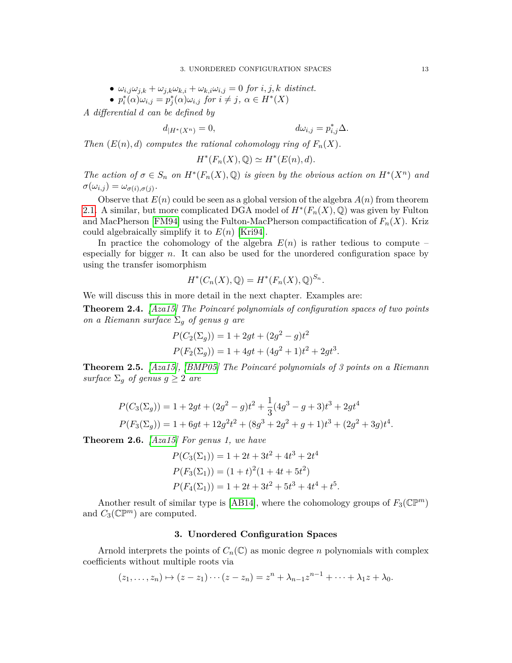• 
$$
\omega_{i,j}\omega_{j,k} + \omega_{j,k}\omega_{k,i} + \omega_{k,i}\omega_{i,j} = 0
$$
 for  $i, j, k$  distinct.

•  $p_i^*(\alpha)\omega_{i,j} = p_j^*(\alpha)\omega_{i,j}$  for  $i \neq j$ ,  $\alpha \in H^*(X)$ 

*A differential d can be defined by*

$$
d_{|H^*(X^n)} = 0, \qquad d\omega_{i,j} = p_{i,j}^* \Delta.
$$

*Then*  $(E(n), d)$  *computes the rational cohomology ring of*  $F_n(X)$ *.* 

$$
H^*(F_n(X), \mathbb{Q}) \simeq H^*(E(n), d).
$$

*The action of*  $\sigma \in S_n$  *on*  $H^*(F_n(X), \mathbb{Q})$  *is given by the obvious action on*  $H^*(X^n)$  *and*  $\sigma(\omega_{i,j}) = \omega_{\sigma(i),\sigma(j)}.$ 

Observe that  $E(n)$  could be seen as a global version of the algebra  $A(n)$  from theorem [2.1.](#page-12-0) A similar, but more complicated DGA model of  $H^*(F_n(X), \mathbb{Q})$  was given by Fulton and MacPherson [\[FM94\]](#page-54-2) using the Fulton-MacPherson compactification of  $F_n(X)$ . Kriz could algebraically simplify it to  $E(n)$  [\[Kri94\]](#page-54-3).

In practice the cohomology of the algebra  $E(n)$  is rather tedious to compute – especially for bigger  $n$ . It can also be used for the unordered configuration space by using the transfer isomorphism

$$
H^*(C_n(X), \mathbb{Q}) = H^*(F_n(X), \mathbb{Q})^{S_n}.
$$

We will discuss this in more detail in the next chapter. Examples are:

**Theorem 2.4.** *[\[Aza15\]](#page-53-2) The Poincaré polynomials of configuration spaces of two points on a Riemann surface*  $\Sigma_q$  *of genus g are* 

$$
P(C_2(\Sigma_g)) = 1 + 2gt + (2g^2 - g)t^2
$$
  
 
$$
P(F_2(\Sigma_g)) = 1 + 4gt + (4g^2 + 1)t^2 + 2gt^3.
$$

**Theorem 2.5.** *[\[Aza15\]](#page-53-2), [\[BMP05\]](#page-53-3) The Poincaré polynomials of 3 points on a Riemann surface*  $\Sigma_q$  *of genus*  $g \geq 2$  *are* 

$$
P(C_3(\Sigma_g)) = 1 + 2gt + (2g^2 - g)t^2 + \frac{1}{3}(4g^3 - g + 3)t^3 + 2gt^4
$$
  

$$
P(F_3(\Sigma_g)) = 1 + 6gt + 12g^2t^2 + (8g^3 + 2g^2 + g + 1)t^3 + (2g^2 + 3g)t^4.
$$

**Theorem 2.6.** *[\[Aza15\]](#page-53-2) For genus 1, we have*

$$
P(C_3(\Sigma_1)) = 1 + 2t + 3t^2 + 4t^3 + 2t^4
$$
  
\n
$$
P(F_3(\Sigma_1)) = (1 + t)^2 (1 + 4t + 5t^2)
$$
  
\n
$$
P(F_4(\Sigma_1)) = 1 + 2t + 3t^2 + 5t^3 + 4t^4 + t^5.
$$

Another result of similar type is [\[AB14\]](#page-53-4), where the cohomology groups of  $F_3(\mathbb{CP}^m)$ and  $C_3(\mathbb{C}\mathbb{P}^m)$  are computed.

#### **3. Unordered Configuration Spaces**

<span id="page-13-0"></span>Arnold interprets the points of  $C_n(\mathbb{C})$  as monic degree *n* polynomials with complex coefficients without multiple roots via

$$
(z_1,\ldots,z_n)\mapsto (z-z_1)\cdots (z-z_n)=z^n+\lambda_{n-1}z^{n-1}+\cdots+\lambda_1z+\lambda_0.
$$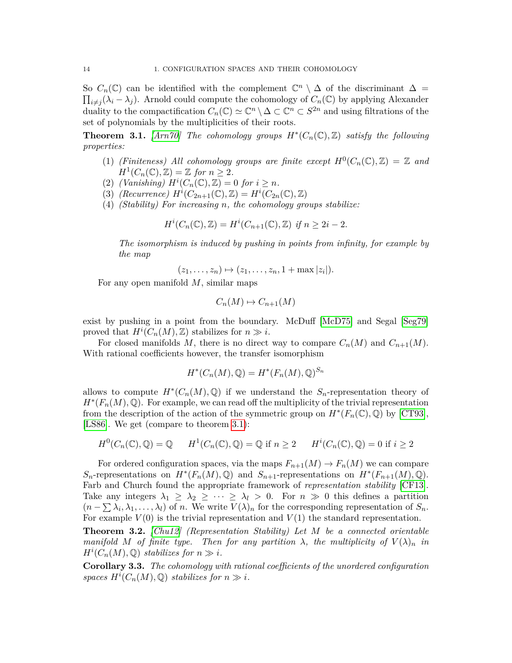So  $C_n(\mathbb{C})$  can be identified with the complement  $\mathbb{C}^n \setminus \Delta$  of the discriminant  $\Delta =$  $\prod_{i \neq j} (\lambda_i - \lambda_j)$ . Arnold could compute the cohomology of  $C_n(\mathbb{C})$  by applying Alexander duality to the compactification  $C_n(\mathbb{C}) \simeq \mathbb{C}^n \setminus \Delta \subset \mathbb{C}^n \subset S^{2n}$  and using filtrations of the set of polynomials by the multiplicities of their roots.

<span id="page-14-0"></span>**Theorem 3.1.** [\[Arn70\]](#page-53-5) The cohomology groups  $H^*(C_n(\mathbb{C}), \mathbb{Z})$  satisfy the following *properties:*

- (1) *(Finiteness)* All cohomology groups are finite except  $H^0(C_n(\mathbb{C}), \mathbb{Z}) = \mathbb{Z}$  and  $H^1(C_n(\mathbb{C}), \mathbb{Z}) = \mathbb{Z}$  *for*  $n \geq 2$ *.*
- (2) *(Vanishing)*  $H^i(C_n(\mathbb{C}), \mathbb{Z}) = 0$  *for*  $i \geq n$ *.*
- (3) *(Recurrence)*  $H^i(C_{2n+1}(\mathbb{C}), \mathbb{Z}) = H^i(C_{2n}(\mathbb{C}), \mathbb{Z})$
- (4) *(Stability) For increasing n, the cohomology groups stabilize:*

$$
H^i(C_n(\mathbb{C}), \mathbb{Z}) = H^i(C_{n+1}(\mathbb{C}), \mathbb{Z}) \text{ if } n \ge 2i - 2.
$$

*The isomorphism is induced by pushing in points from infinity, for example by the map*

$$
(z_1,\ldots,z_n)\mapsto (z_1,\ldots,z_n,1+\max|z_i|).
$$

For any open manifold *M*, similar maps

$$
C_n(M) \mapsto C_{n+1}(M)
$$

exist by pushing in a point from the boundary. McDuff [\[McD75\]](#page-54-4) and Segal [\[Seg79\]](#page-55-3) proved that  $H^i(C_n(M), \mathbb{Z})$  stabilizes for  $n \gg i$ .

For closed manifolds M, there is no direct way to compare  $C_n(M)$  and  $C_{n+1}(M)$ . With rational coefficients however, the transfer isomorphism

$$
H^*(C_n(M), \mathbb{Q}) = H^*(F_n(M), \mathbb{Q})^{S_n}
$$

allows to compute  $H^*(C_n(M), \mathbb{Q})$  if we understand the  $S_n$ -representation theory of  $H^*(F_n(M),\mathbb{Q})$ . For example, we can read off the multiplicity of the trivial representation from the description of the action of the symmetric group on  $H^*(F_n(\mathbb{C}), \mathbb{Q})$  by [\[CT93\]](#page-54-0), [\[LS86\]](#page-54-5). We get (compare to theorem [3.1\)](#page-14-0):

$$
H^0(C_n(\mathbb{C}), \mathbb{Q}) = \mathbb{Q} \qquad H^1(C_n(\mathbb{C}), \mathbb{Q}) = \mathbb{Q} \text{ if } n \ge 2 \qquad H^i(C_n(\mathbb{C}), \mathbb{Q}) = 0 \text{ if } i \ge 2
$$

For ordered configuration spaces, via the maps  $F_{n+1}(M) \to F_n(M)$  we can compare *S*<sub>n</sub>-representations on  $H^*(F_n(M), \mathbb{Q})$  and  $S_{n+1}$ -representations on  $H^*(F_{n+1}(M), \mathbb{Q})$ . Farb and Church found the appropriate framework of *representation stability* [\[CF13\]](#page-53-6). Take any integers  $\lambda_1 \geq \lambda_2 \geq \cdots \geq \lambda_l > 0$ . For  $n \gg 0$  this defines a partition  $(n - \sum \lambda_i, \lambda_1, \dots, \lambda_l)$  of *n*. We write  $V(\lambda)_n$  for the corresponding representation of  $S_n$ . For example  $V(0)$  is the trivial representation and  $V(1)$  the standard representation.

**Theorem 3.2.** *[\[Chu12\]](#page-53-7) (Representation Stability) Let M be a connected orientable manifold M* of finite type. Then for any partition  $\lambda$ , the multiplicity of  $V(\lambda)_n$  in  $H^i(C_n(M), \mathbb{Q})$  *stabilizes for*  $n \gg i$ *.* 

**Corollary 3.3.** *The cohomology with rational coefficients of the unordered configuration spaces*  $H^{i}(C_n(M), \mathbb{Q})$  *stabilizes for*  $n \gg i$ *.*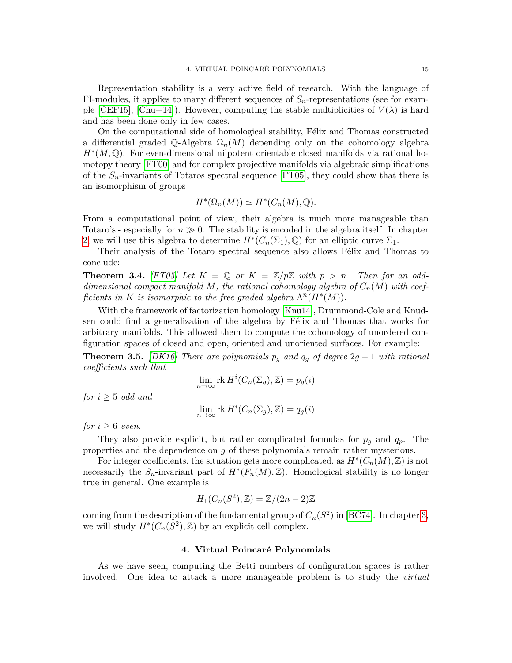Representation stability is a very active field of research. With the language of FI-modules, it applies to many different sequences of  $S_n$ -representations (see for exam-ple [\[CEF15\]](#page-53-8), [\[Chu+14\]](#page-53-9)). However, computing the stable multiplicities of  $V(\lambda)$  is hard and has been done only in few cases.

On the computational side of homological stability, Félix and Thomas constructed a differential graded  $\mathbb{Q}$ -Algebra  $\Omega_n(M)$  depending only on the cohomology algebra *H*<sup>\*</sup>(*M*, ℚ). For even-dimensional nilpotent orientable closed manifolds via rational homotopy theory [\[FT00\]](#page-54-6) and for complex projective manifolds via algebraic simplifications of the *Sn*-invariants of Totaros spectral sequence [\[FT05\]](#page-54-7), they could show that there is an isomorphism of groups

$$
H^*(\Omega_n(M)) \simeq H^*(C_n(M), \mathbb{Q}).
$$

From a computational point of view, their algebra is much more manageable than Totaro's - especially for  $n \gg 0$ . The stability is encoded in the algebra itself. In chapter [2,](#page-17-0) we will use this algebra to determine  $H^*(C_n(\Sigma_1), \mathbb{Q})$  for an elliptic curve  $\Sigma_1$ .

Their analysis of the Totaro spectral sequence also allows Félix and Thomas to conclude:

**Theorem 3.4.** *[\[FT05\]](#page-54-7)* Let  $K = \mathbb{Q}$  or  $K = \mathbb{Z}/p\mathbb{Z}$  with  $p > n$ . Then for an odd*dimensional compact manifold M*, the rational cohomology algebra of  $C_n(M)$  with coef*ficients in K is isomorphic to the free graded algebra*  $\Lambda^n(H^*(M))$ *.* 

With the framework of factorization homology [\[Knu14\]](#page-54-8), Drummond-Cole and Knudsen could find a generalization of the algebra by Félix and Thomas that works for arbitrary manifolds. This allowed them to compute the cohomology of unordered configuration spaces of closed and open, oriented and unoriented surfaces. For example:

**Theorem 3.5.** *[\[DK16\]](#page-54-9) There are polynomials*  $p_g$  *and*  $q_g$  *of degree*  $2g - 1$  *with rational coefficients such that*

$$
\lim_{n \to \infty} \text{rk } H^i(C_n(\Sigma_g), \mathbb{Z}) = p_g(i)
$$

*for*  $i \geq 5$  *odd and* 

$$
\lim_{n \to \infty} \text{rk } H^i(C_n(\Sigma_g), \mathbb{Z}) = q_g(i)
$$

*for*  $i \geq 6$  *even.* 

They also provide explicit, but rather complicated formulas for  $p_g$  and  $q_p$ . The properties and the dependence on *g* of these polynomials remain rather mysterious.

For integer coefficients, the situation gets more complicated, as  $H^*(C_n(M), \mathbb{Z})$  is not necessarily the  $S_n$ -invariant part of  $H^*(F_n(M), \mathbb{Z})$ . Homological stability is no longer true in general. One example is

$$
H_1(C_n(S^2), \mathbb{Z}) = \mathbb{Z}/(2n-2)\mathbb{Z}
$$

coming from the description of the fundamental group of  $C_n(S^2)$  in [\[BC74\]](#page-53-10). In chapter [3,](#page-23-0) we will study  $H^*(C_n(\mathcal{S}^2), \mathbb{Z})$  by an explicit cell complex.

#### **4. Virtual Poincar´e Polynomials**

<span id="page-15-0"></span>As we have seen, computing the Betti numbers of configuration spaces is rather involved. One idea to attack a more manageable problem is to study the *virtual*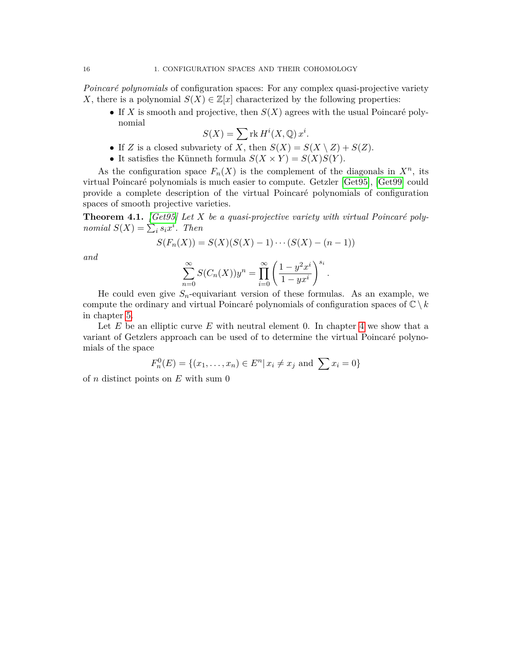*Poincaré polynomials* of configuration spaces: For any complex quasi-projective variety *X*, there is a polynomial  $S(X) \in \mathbb{Z}[x]$  characterized by the following properties:

• If *X* is smooth and projective, then  $S(X)$  agrees with the usual Poincaré polynomial

$$
S(X) = \sum \text{rk } H^i(X, \mathbb{Q}) x^i.
$$

- If *Z* is a closed subvariety of *X*, then  $S(X) = S(X \setminus Z) + S(Z)$ .
- It satisfies the Künneth formula  $S(X \times Y) = S(X)S(Y)$ .

As the configuration space  $F_n(X)$  is the complement of the diagonals in  $X^n$ , its virtual Poincaré polynomials is much easier to compute. Getzler [\[Get95\]](#page-54-10), [\[Get99\]](#page-54-11) could provide a complete description of the virtual Poincar´e polynomials of configuration spaces of smooth projective varieties.

**Theorem 4.1.** *[\[Get95\]](#page-54-10)* Let  $X$  be a quasi-projective variety with virtual Poincaré poly*nomial*  $S(X) = \sum_i s_i x^i$ . *Then* 

$$
S(F_n(X)) = S(X)(S(X) - 1) \cdots (S(X) - (n-1))
$$

*and*

$$
\sum_{n=0}^{\infty} S(C_n(X))y^n = \prod_{i=0}^{\infty} \left(\frac{1-y^2x^i}{1-yx^i}\right)^{s_i}.
$$

He could even give  $S_n$ -equivariant version of these formulas. As an example, we compute the ordinary and virtual Poincaré polynomials of configuration spaces of  $\mathbb{C} \setminus k$ in chapter [5.](#page-47-0)

Let *E* be an elliptic curve *E* with neutral element 0. In chapter [4](#page-41-0) we show that a variant of Getzlers approach can be used of to determine the virtual Poincaré polynomials of the space

$$
F_n^0(E) = \{(x_1, \ldots, x_n) \in E^n | x_i \neq x_j \text{ and } \sum x_i = 0\}
$$

of *n* distinct points on *E* with sum 0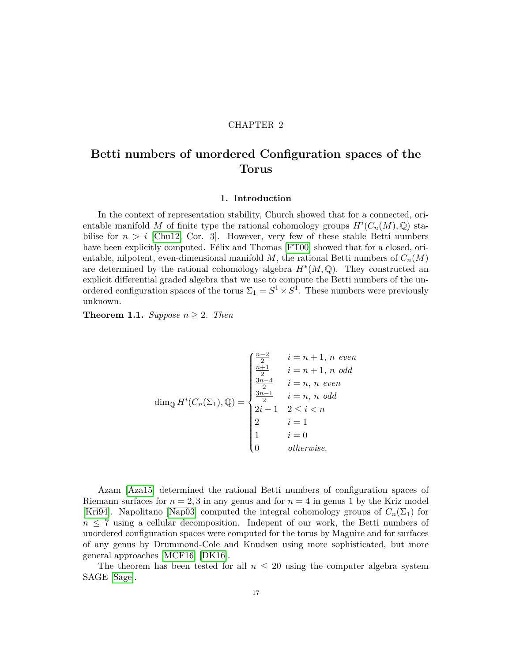#### CHAPTER 2

## <span id="page-17-0"></span>**Betti numbers of unordered Configuration spaces of the Torus**

#### **1. Introduction**

<span id="page-17-1"></span>In the context of representation stability, Church showed that for a connected, orientable manifold *M* of finite type the rational cohomology groups  $H^{i}(C_n(M), \mathbb{Q})$  stabilise for  $n > i$  [\[Chu12,](#page-53-7) Cor. 3]. However, very few of these stable Betti numbers have been explicitly computed. Félix and Thomas [\[FT00\]](#page-54-6) showed that for a closed, orientable, nilpotent, even-dimensional manifold  $M$ , the rational Betti numbers of  $C_n(M)$ are determined by the rational cohomology algebra  $H^*(M, \mathbb{Q})$ . They constructed an explicit differential graded algebra that we use to compute the Betti numbers of the unordered configuration spaces of the torus  $\Sigma_1 = S^1 \times S^1$ . These numbers were previously unknown.

**Theorem 1.1.** *Suppose*  $n \geq 2$ *. Then* 

$$
\dim_{\mathbb{Q}} H^{i}(C_n(\Sigma_1), \mathbb{Q}) = \begin{cases} \frac{n-2}{2} & i = n+1, \, n \, \text{ even} \\ \frac{n+1}{2} & i = n+1, \, n \, \text{ odd} \\ \frac{3n-4}{2} & i = n, \, n \, \text{ even} \\ \frac{3n-1}{2} & i = n, \, n \, \text{ odd} \\ 2i-1 & 2 \leq i < n \\ 2 & i = 1 \\ 1 & i = 0 \\ 0 & \text{otherwise.} \end{cases}
$$

Azam [\[Aza15\]](#page-53-2) determined the rational Betti numbers of configuration spaces of Riemann surfaces for  $n = 2, 3$  in any genus and for  $n = 4$  in genus 1 by the Kriz model [\[Kri94\]](#page-54-3). Napolitano [\[Nap03\]](#page-55-4) computed the integral cohomology groups of  $C_n(\Sigma_1)$  for  $n \leq 7$  using a cellular decomposition. Indepent of our work, the Betti numbers of unordered configuration spaces were computed for the torus by Maguire and for surfaces of any genus by Drummond-Cole and Knudsen using more sophisticated, but more general approaches [\[MCF16\]](#page-54-12) [\[DK16\]](#page-54-9).

The theorem has been tested for all  $n \leq 20$  using the computer algebra system SAGE [\[Sage\]](#page-55-5).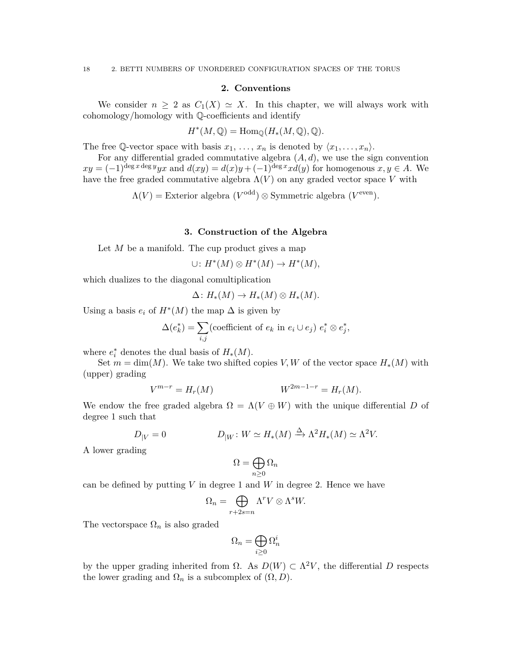#### **2. Conventions**

<span id="page-18-0"></span>We consider  $n \geq 2$  as  $C_1(X) \simeq X$ . In this chapter, we will always work with cohomology/homology with Q-coefficients and identify

$$
H^*(M, \mathbb{Q}) = \text{Hom}_{\mathbb{Q}}(H_*(M, \mathbb{Q}), \mathbb{Q}).
$$

The free Q-vector space with basis  $x_1, \ldots, x_n$  is denoted by  $\langle x_1, \ldots, x_n \rangle$ .

For any differential graded commutative algebra  $(A, d)$ , we use the sign convention  $xy = (-1)^{\deg x \deg y} yx$  and  $d(xy) = d(x)y + (-1)^{\deg x} x d(y)$  for homogenous  $x, y \in A$ . We have the free graded commutative algebra  $\Lambda(V)$  on any graded vector space V with

 $\Lambda(V) =$  Exterior algebra  $(V^{\text{odd}}) \otimes$  Symmetric algebra  $(V^{\text{even}})$ .

#### **3. Construction of the Algebra**

<span id="page-18-1"></span>Let *M* be a manifold. The cup product gives a map

$$
\cup\colon H^*(M)\otimes H^*(M)\to H^*(M),
$$

which dualizes to the diagonal comultiplication

$$
\Delta\colon H_*(M)\to H_*(M)\otimes H_*(M).
$$

Using a basis  $e_i$  of  $H^*(M)$  the map  $\Delta$  is given by

$$
\Delta(e_k^*) = \sum_{i,j} \text{(coefficient of } e_k \text{ in } e_i \cup e_j) \ e_i^* \otimes e_j^*,
$$

where  $e_i^*$  denotes the dual basis of  $H_*(M)$ .

Set  $m = \dim(M)$ . We take two shifted copies *V, W* of the vector space  $H_*(M)$  with (upper) grading

$$
V^{m-r} = H_r(M) \t\t W^{2m-1-r} = H_r(M).
$$

We endow the free graded algebra  $\Omega = \Lambda(V \oplus W)$  with the unique differential *D* of degree 1 such that

$$
D_{|V} = 0 \qquad D_{|W} : W \simeq H_*(M) \xrightarrow{\Delta} \Lambda^2 H_*(M) \simeq \Lambda^2 V.
$$

A lower grading

$$
\Omega=\bigoplus_{n\geq 0}\Omega_n
$$

can be defined by putting  $V$  in degree 1 and  $W$  in degree 2. Hence we have

$$
\Omega_n = \bigoplus_{r+2s=n} \Lambda^r V \otimes \Lambda^s W.
$$

The vectorspace  $\Omega_n$  is also graded

$$
\Omega_n=\bigoplus_{i\geq 0}\Omega_n^i
$$

by the upper grading inherited from  $\Omega$ . As  $D(W) \subset \Lambda^2 V$ , the differential *D* respects the lower grading and  $\Omega_n$  is a subcomplex of  $(\Omega, D)$ .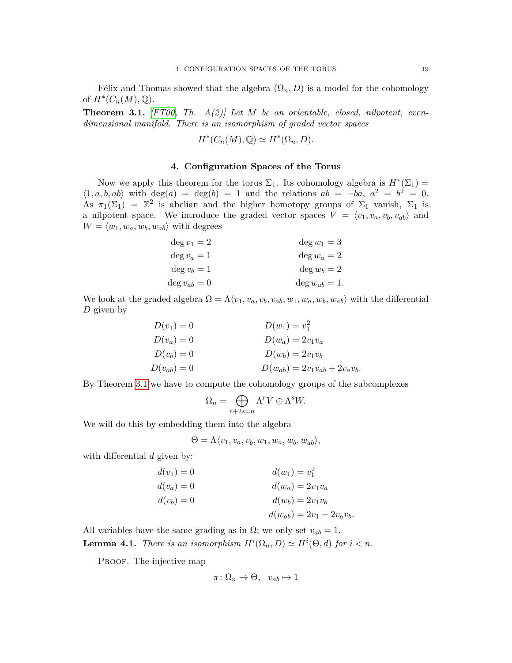Félix and Thomas showed that the algebra  $(\Omega_n, D)$  is a model for the cohomology of  $H^*(C_n(M), \mathbb{Q})$ .

<span id="page-19-1"></span>**Theorem 3.1.** *[\[FT00,](#page-54-6) Th. A(2)] Let M be an orientable, closed, nilpotent, evendimensional manifold. There is an isomorphism of graded vector spaces*

$$
H^*(C_n(M), \mathbb{Q}) \simeq H^*(\Omega_n, D).
$$

#### **4. Configuration Spaces of the Torus**

<span id="page-19-0"></span>Now we apply this theorem for the torus  $\Sigma_1$ . Its cohomology algebra is  $H^*(\Sigma_1)$  =  $\langle 1, a, b, ab \rangle$  with deg(*a*) = deg(*b*) = 1 and the relations  $ab = -ba$ ,  $a^2 = b^2 = 0$ . As  $\pi_1(\Sigma_1) = \mathbb{Z}^2$  is abelian and the higher homotopy groups of  $\Sigma_1$  vanish,  $\Sigma_1$  is a nilpotent space. We introduce the graded vector spaces  $\overline{V} = \langle v_1, v_a, v_b, v_{ab} \rangle$  and  $W = \langle w_1, w_a, w_b, w_{ab} \rangle$  with degrees

| $\deg v_1 = 2$  | $\deg w_1 = 3$   |
|-----------------|------------------|
| $\deg v_a=1$    | $\deg w_a = 2$   |
| $\deg v_b=1$    | $\deg w_b = 2$   |
| $\deg v_{ab}=0$ | $\deg w_{ab}=1.$ |

We look at the graded algebra  $\Omega = \Lambda \langle v_1, v_a, v_b, v_{ab}, w_1, w_a, w_b, w_{ab} \rangle$  with the differential *D* given by

| $D(v_1)=0$    | $D(w_1) = v_1^2$                    |
|---------------|-------------------------------------|
| $D(v_a)=0$    | $D(w_a) = 2v_1v_a$                  |
| $D(v_b) = 0$  | $D(w_b) = 2v_1v_b$                  |
| $D(v_{ab})=0$ | $D(w_{ab}) = 2v_1v_{ab} + 2v_av_b.$ |

By Theorem [3.1](#page-19-1) we have to compute the cohomology groups of the subcomplexes

$$
\Omega_n = \bigoplus_{r+2s=n} \Lambda^r V \oplus \Lambda^s W.
$$

We will do this by embedding them into the algebra

 $\Theta = \Lambda \langle v_1, v_a, v_b, w_1, w_a, w_b, w_{ab} \rangle,$ 

with differential *d* given by:

$$
d(v_1) = 0
$$
  
\n
$$
d(v_a) = 0
$$
  
\n
$$
d(v_b) = 0
$$
  
\n
$$
d(w_b) = 2v_1v_a
$$
  
\n
$$
d(w_b) = 2v_1v_b
$$
  
\n
$$
d(w_{ab}) = 2v_1 + 2v_av_b.
$$

<span id="page-19-2"></span>All variables have the same grading as in  $\Omega$ ; we only set  $v_{ab} = 1$ . **Lemma 4.1.** *There is an isomorphism*  $H^i(\Omega_n, D) \simeq H^i(\Theta, d)$  *for*  $i < n$ *.* 

PROOF. The injective map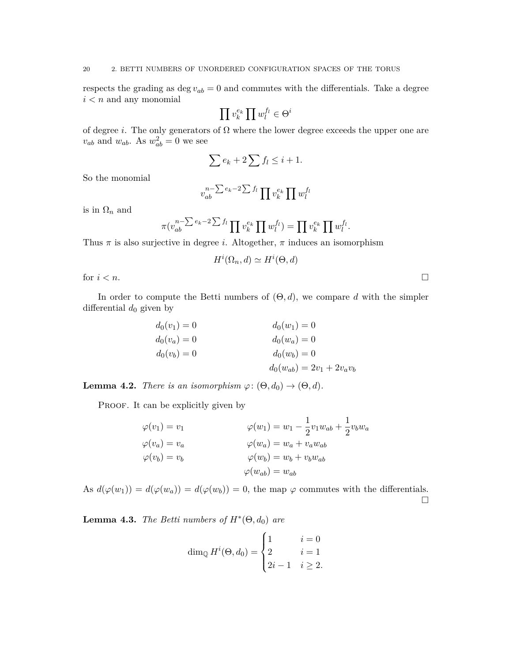respects the grading as  $\deg v_{ab} = 0$  and commutes with the differentials. Take a degree *i < n* and any monomial

$$
\prod v_k^{e_k} \prod w_l^{f_l} \in \Theta^i
$$

of degree *i*. The only generators of  $\Omega$  where the lower degree exceeds the upper one are  $v_{ab}$  and  $w_{ab}$ . As  $w_{ab}^2 = 0$  we see

$$
\sum e_k + 2 \sum f_l \leq i + 1.
$$

So the monomial

$$
v_{ab}^{n-\sum e_k-2\sum f_l}\prod v_k^{e_k}\prod w_l^{f_l}
$$

is in  $\Omega_n$  and

$$
\pi(v_{ab}^{n-\sum e_k-2\sum f_l}\prod v_k^{e_k}\prod w_l^{f_l})=\prod v_k^{e_k}\prod w_l^{f_l}.
$$

Thus  $\pi$  is also surjective in degree *i*. Altogether,  $\pi$  induces an isomorphism

$$
H^i(\Omega_n, d) \simeq H^i(\Theta, d)
$$

for  $i < n$ .

In order to compute the Betti numbers of  $(\Theta, d)$ , we compare *d* with the simpler differential  $d_0$  given by

$$
d_0(v_1) = 0
$$
  
\n
$$
d_0(v_a) = 0
$$
  
\n
$$
d_0(v_b) = 0
$$
  
\n
$$
d_0(w_b) = 0
$$
  
\n
$$
d_0(w_b) = 0
$$
  
\n
$$
d_0(w_b) = 0
$$
  
\n
$$
d_0(w_{ab}) = 2v_1 + 2v_av_b
$$

<span id="page-20-0"></span>**Lemma 4.2.** *There is an isomorphism*  $\varphi$ :  $(\Theta, d_0) \to (\Theta, d)$ *.* 

PROOF. It can be explicitly given by

$$
\varphi(v_1) = v_1 \qquad \varphi(w_1) = w_1 - \frac{1}{2}v_1w_{ab} + \frac{1}{2}v_bw_a
$$
  

$$
\varphi(v_a) = v_a \qquad \varphi(w_a) = w_a + v_aw_{ab}
$$
  

$$
\varphi(v_b) = v_b \qquad \varphi(w_b) = w_b + v_bw_{ab}
$$
  

$$
\varphi(w_{ab}) = w_{ab}
$$

As  $d(\varphi(w_1)) = d(\varphi(w_a)) = d(\varphi(w_b)) = 0$ , the map  $\varphi$  commutes with the differentials.  $\Box$ 

<span id="page-20-1"></span>**Lemma 4.3.** *The Betti numbers of*  $H^*(\Theta, d_0)$  *are* 

$$
\dim_{\mathbb{Q}} H^{i}(\Theta, d_0) = \begin{cases} 1 & i = 0 \\ 2 & i = 1 \\ 2i - 1 & i \ge 2. \end{cases}
$$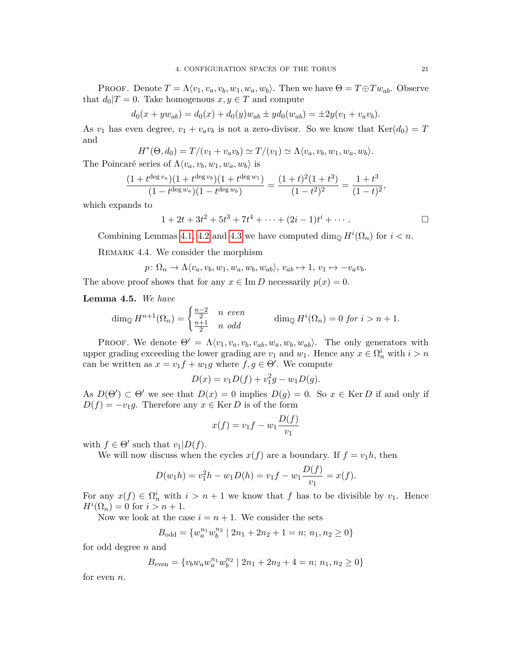PROOF. Denote  $T = \Lambda \langle v_1, v_a, v_b, w_1, w_a, w_b \rangle$ . Then we have  $\Theta = T \oplus Tw_{ab}$ . Observe that  $d_0|T=0$ . Take homogenous  $x, y \in T$  and compute

$$
d_0(x + yw_{ab}) = d_0(x) + d_0(y)w_{ab} \pm yd_0(w_{ab}) = \pm 2y(v_1 + v_a v_b).
$$

As  $v_1$  has even degree,  $v_1 + v_a v_b$  is not a zero-divisor. So we know that  $\text{Ker}(d_0) = T$ and

$$
H^*(\Theta, d_0) = T/(v_1 + v_a v_b) \simeq T/(v_1) \simeq \Lambda \langle v_a, v_b, w_1, w_a, w_b \rangle.
$$

The Poincaré series of  $\Lambda \langle v_a, v_b, w_1, w_a, w_b \rangle$  is

$$
\frac{(1+t^{\deg v_a})(1+t^{\deg v_b})(1+t^{\deg w_1})}{(1-t^{\deg w_a})(1-t^{\deg w_b})}=\frac{(1+t)^2(1+t^3)}{(1-t^2)^2}=\frac{1+t^3}{(1-t)^2},
$$

which expands to

$$
1 + 2t + 3t2 + 5t3 + 7t4 + \dots + (2i - 1)ti + \dots
$$

Combining Lemmas [4.1,](#page-19-2) [4.2](#page-20-0) and [4.3](#page-20-1) we have computed  $\dim_{\mathbb{Q}} H^i(\Omega_n)$  for  $i < n$ .

REMARK 4.4. We consider the morphism

$$
p: \Omega_n \to \Lambda \langle v_a, v_b, w_1, w_a, w_b, w_{ab} \rangle, v_{ab} \mapsto 1, v_1 \mapsto -v_a v_b.
$$

The above proof shows that for any  $x \in \text{Im } D$  necessarily  $p(x) = 0$ .

**Lemma 4.5.** *We have*

$$
\dim_{\mathbb{Q}} H^{n+1}(\Omega_n) = \begin{cases} \frac{n-2}{2} & n \text{ even} \\ \frac{n+1}{2} & n \text{ odd} \end{cases} \qquad \dim_{\mathbb{Q}} H^i(\Omega_n) = 0 \text{ for } i > n+1.
$$

PROOF. We denote  $\Theta' = \Lambda \langle v_1, v_a, v_b, v_{ab}, w_a, w_b, w_{ab} \rangle$ . The only generators with upper grading exceeding the lower grading are  $v_1$  and  $w_1$ . Hence any  $x \in \Omega_n^i$  with  $i > n$ can be written as  $x = v_1 f + w_1 g$  where  $f, g \in \Theta'$ . We compute

$$
D(x) = v_1 D(f) + v_1^2 g - w_1 D(g).
$$

As  $D(\Theta') \subset \Theta'$  we see that  $D(x) = 0$  implies  $D(g) = 0$ . So  $x \in \text{Ker } D$  if and only if  $D(f) = -v_1g$ . Therefore any  $x \in \text{Ker } D$  is of the form

$$
x(f) = v_1 f - w_1 \frac{D(f)}{v_1}
$$

with  $f \in \Theta'$  such that  $v_1|D(f)$ .

We will now discuss when the cycles  $x(f)$  are a boundary. If  $f = v_1 h$ , then

$$
D(w_1h) = v_1^2h - w_1D(h) = v_1f - w_1\frac{D(f)}{v_1} = x(f).
$$

For any  $x(f) \in \Omega_n^i$  with  $i > n+1$  we know that f has to be divisible by  $v_1$ . Hence  $H^{i}(\Omega_{n}) = 0$  for  $i > n + 1$ .

Now we look at the case  $i = n + 1$ . We consider the sets

$$
B_{\text{odd}} = \{w_a^{n_1} w_b^{n_2} \mid 2n_1 + 2n_2 + 1 = n; n_1, n_2 \ge 0\}
$$

for odd degree *n* and

$$
B_{\text{even}} = \{v_b w_a w_a^{n_1} w_b^{n_2} \mid 2n_1 + 2n_2 + 4 = n; n_1, n_2 \ge 0\}
$$

for even *n*.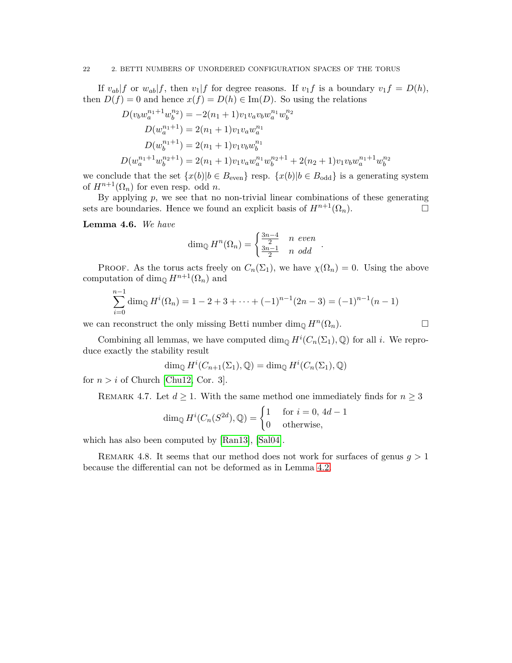If  $v_{ab}|f$  or  $w_{ab}|f$ , then  $v_1|f$  for degree reasons. If  $v_1f$  is a boundary  $v_1f = D(h)$ , then  $D(f) = 0$  and hence  $x(f) = D(h) \in \text{Im}(D)$ . So using the relations

$$
D(v_b w_a^{n_1+1} w_b^{n_2}) = -2(n_1 + 1)v_1 v_a v_b w_a^{n_1} w_b^{n_2}
$$
  
\n
$$
D(w_a^{n_1+1}) = 2(n_1 + 1)v_1 v_a w_a^{n_1}
$$
  
\n
$$
D(w_b^{n_1+1}) = 2(n_1 + 1)v_1 v_b w_b^{n_1}
$$
  
\n
$$
D(w_a^{n_1+1} w_b^{n_2+1}) = 2(n_1 + 1)v_1 v_a w_a^{n_1} w_b^{n_2+1} + 2(n_2 + 1)v_1 v_b w_a^{n_1+1} w_b^{n_2}
$$

we conclude that the set  $\{x(b)|b \in B_{\text{even}}\}$  resp.  $\{x(b)|b \in B_{\text{odd}}\}$  is a generating system of  $H^{n+1}(\Omega_n)$  for even resp. odd *n*.

By applying  $p$ , we see that no non-trivial linear combinations of these generating sets are boundaries. Hence we found an explicit basis of  $H^{n+1}(\Omega_n)$ .

**Lemma 4.6.** *We have*

$$
\dim_{\mathbb{Q}} H^n(\Omega_n) = \begin{cases} \frac{3n-4}{2} & n \text{ even} \\ \frac{3n-1}{2} & n \text{ odd} \end{cases}.
$$

PROOF. As the torus acts freely on  $C_n(\Sigma_1)$ , we have  $\chi(\Omega_n) = 0$ . Using the above computation of dim<sub> $\mathbb{Q}$ </sub> *H*<sup>*n*+1</sup>( $\Omega$ <sub>*n*</sub>) and

$$
\sum_{i=0}^{n-1} \dim_{\mathbb{Q}} H^i(\Omega_n) = 1 - 2 + 3 + \dots + (-1)^{n-1}(2n-3) = (-1)^{n-1}(n-1)
$$

we can reconstruct the only missing Betti number  $\dim_{\mathbb{Q}} H^n(\Omega_n)$ .

Combining all lemmas, we have computed  $\dim_{\mathbb{Q}} H^i(C_n(\Sigma_1), \mathbb{Q})$  for all *i*. We reproduce exactly the stability result

$$
\dim_{\mathbb{Q}} H^i(C_{n+1}(\Sigma_1), \mathbb{Q}) = \dim_{\mathbb{Q}} H^i(C_n(\Sigma_1), \mathbb{Q})
$$

for  $n > i$  of Church [\[Chu12,](#page-53-7) Cor. 3].

REMARK 4.7. Let  $d \geq 1$ . With the same method one immediately finds for  $n \geq 3$ 

$$
\dim_{\mathbb{Q}} H^i(C_n(S^{2d}), \mathbb{Q}) = \begin{cases} 1 & \text{for } i = 0, 4d - 1 \\ 0 & \text{otherwise,} \end{cases}
$$

which has also been computed by [\[Ran13\]](#page-55-6), [\[Sal04\]](#page-55-7).

Remark 4.8. It seems that our method does not work for surfaces of genus *g >* 1 because the differential can not be deformed as in Lemma [4.2.](#page-20-0)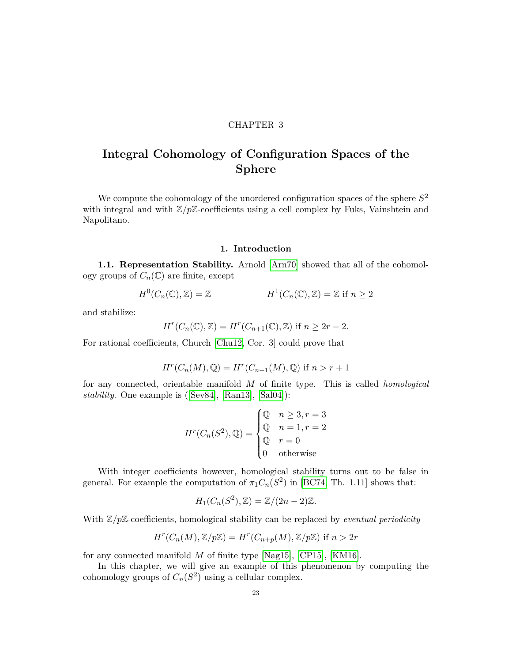#### CHAPTER 3

# <span id="page-23-0"></span>**Integral Cohomology of Configuration Spaces of the Sphere**

We compute the cohomology of the unordered configuration spaces of the sphere *S* 2 with integral and with  $\mathbb{Z}/p\mathbb{Z}$ -coefficients using a cell complex by Fuks, Vainshtein and Napolitano.

#### **1. Introduction**

<span id="page-23-1"></span>**1.1. Representation Stability.** Arnold [\[Arn70\]](#page-53-5) showed that all of the cohomology groups of  $C_n(\mathbb{C})$  are finite, except

$$
H^0(C_n(\mathbb{C}), \mathbb{Z}) = \mathbb{Z} \qquad H^1(C_n(\mathbb{C}), \mathbb{Z}) = \mathbb{Z} \text{ if } n \ge 2
$$

and stabilize:

$$
H^r(C_n(\mathbb{C}), \mathbb{Z}) = H^r(C_{n+1}(\mathbb{C}), \mathbb{Z}) \text{ if } n \ge 2r - 2.
$$

For rational coefficients, Church [\[Chu12,](#page-53-7) Cor. 3] could prove that

$$
H^r(C_n(M), \mathbb{Q}) = H^r(C_{n+1}(M), \mathbb{Q}) \text{ if } n > r+1
$$

for any connected, orientable manifold *M* of finite type. This is called *homological stability*. One example is([\[Sev84\]](#page-55-8), [\[Ran13\]](#page-55-6), [\[Sal04\]](#page-55-7)):

$$
H^r(C_n(S^2), \mathbb{Q}) = \begin{cases} \mathbb{Q} & n \ge 3, r = 3 \\ \mathbb{Q} & n = 1, r = 2 \\ \mathbb{Q} & r = 0 \\ 0 & \text{otherwise} \end{cases}
$$

With integer coefficients however, homological stability turns out to be false in general. For example the computation of  $\pi_1 C_n(S^2)$  in [\[BC74,](#page-53-10) Th. 1.11] shows that:

$$
H_1(C_n(S^2), \mathbb{Z}) = \mathbb{Z}/(2n-2)\mathbb{Z}.
$$

With  $\mathbb{Z}/p\mathbb{Z}$ -coefficients, homological stability can be replaced by *eventual periodicity* 

$$
H^r(C_n(M), \mathbb{Z}/p\mathbb{Z}) = H^r(C_{n+p}(M), \mathbb{Z}/p\mathbb{Z}) \text{ if } n > 2r
$$

for any connected manifold *M* of finite type [\[Nag15\]](#page-55-9), [\[CP15\]](#page-54-13), [\[KM16\]](#page-54-14).

In this chapter, we will give an example of this phenomenon by computing the cohomology groups of  $C_n(S^2)$  using a cellular complex.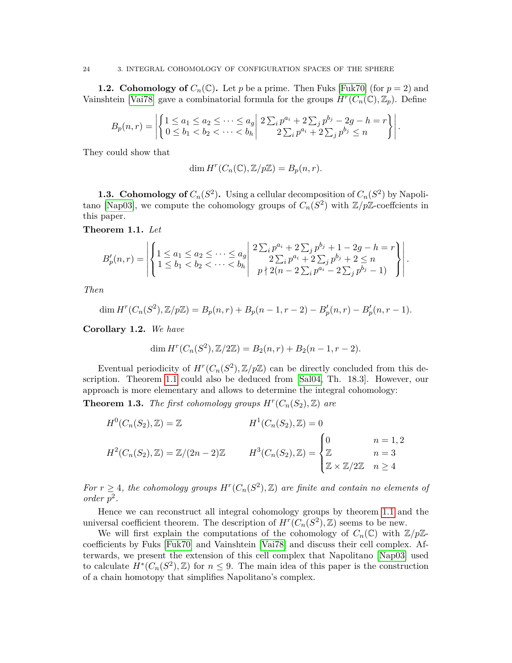#### 24 3. INTEGRAL COHOMOLOGY OF CONFIGURATION SPACES OF THE SPHERE

**1.2. Cohomology of**  $C_n(\mathbb{C})$ . Let p be a prime. Then Fuks [\[Fuk70\]](#page-54-15) (for  $p = 2$ ) and Vainshtein [\[Vai78\]](#page-55-10) gave a combinatorial formula for the groups  $H^r(C_n(\mathbb{C}), \mathbb{Z}_p)$ . Define

$$
B_p(n,r) = \left| \left\{ \begin{matrix} 1 \le a_1 \le a_2 \le \cdots \le a_g \\ 0 \le b_1 < b_2 < \cdots < b_h \end{matrix} \right| \right. \left. \begin{matrix} 2 \sum_i p^{a_i} + 2 \sum_j p^{b_j} - 2g - h = r \\ 2 \sum_i p^{a_i} + 2 \sum_j p^{b_j} \le n \end{matrix} \right. \right|.
$$

They could show that

$$
\dim H^r(C_n(\mathbb{C}), \mathbb{Z}/p\mathbb{Z}) = B_p(n, r).
$$

**1.3. Cohomology of**  $C_n(S^2)$ . Using a cellular decomposition of  $C_n(S^2)$  by Napoli-tano [\[Nap03\]](#page-55-4), we compute the cohomology groups of  $C_n(S^2)$  with  $\mathbb{Z}/p\mathbb{Z}$ -coeffcients in this paper.

<span id="page-24-0"></span>**Theorem 1.1.** *Let*

$$
B'_{p}(n,r) = \left| \left\{ \begin{array}{l} 1 \leq a_{1} \leq a_{2} \leq \cdots \leq a_{g} \\ 1 \leq b_{1} < b_{2} < \cdots < b_{h} \end{array} \right| \begin{array}{l} 2 \sum_{i} p^{a_{i}} + 2 \sum_{j} p^{b_{j}} + 1 - 2g - h = r \\ 2 \sum_{i} p^{a_{i}} + 2 \sum_{j} p^{b_{j}} + 2 \leq n \\ p \nmid 2(n - 2 \sum_{i} p^{a_{i}} - 2 \sum_{j} p^{b_{j}} - 1) \end{array} \right|.
$$

*Then*

$$
\dim H^{r}(C_n(S^2), \mathbb{Z}/p\mathbb{Z}) = B_p(n,r) + B_p(n-1,r-2) - B'_p(n,r) - B'_p(n,r-1).
$$

**Corollary 1.2.** *We have*

$$
\dim H^{r}(C_n(S^2), \mathbb{Z}/2\mathbb{Z}) = B_2(n,r) + B_2(n-1, r-2).
$$

Eventual periodicity of  $H^r(C_n(S^2), \mathbb{Z}/p\mathbb{Z})$  can be directly concluded from this description. Theorem [1.1](#page-24-0) could also be deduced from [\[Sal04,](#page-55-7) Th. 18.3]. However, our approach is more elementary and allows to determine the integral cohomology:

<span id="page-24-1"></span>**Theorem 1.3.** *The first cohomology groups*  $H^r(C_n(S_2), \mathbb{Z})$  *are* 

$$
H^{0}(C_{n}(S_{2}), \mathbb{Z}) = \mathbb{Z}
$$

$$
H^{1}(C_{n}(S_{2}), \mathbb{Z}) = 0
$$

$$
H^{2}(C_{n}(S_{2}), \mathbb{Z}) = \mathbb{Z}/(2n - 2)\mathbb{Z}
$$

$$
H^{3}(C_{n}(S_{2}), \mathbb{Z}) = \begin{cases} 0 & n = 1, 2 \\ \mathbb{Z} & n = 3 \\ \mathbb{Z} \times \mathbb{Z}/2\mathbb{Z} & n \ge 4 \end{cases}
$$

*For*  $r \geq 4$ *, the cohomology groups*  $H^r(C_n(S^2), \mathbb{Z})$  *are finite and contain no elements of*  $order p<sup>2</sup>$ .

Hence we can reconstruct all integral cohomology groups by theorem [1.1](#page-24-0) and the universal coefficient theorem. The description of  $H^r(C_n(S^2), \mathbb{Z})$  seems to be new.

We will first explain the computations of the cohomology of  $C_n(\mathbb{C})$  with  $\mathbb{Z}/p\mathbb{Z}$ coefficients by Fuks [\[Fuk70\]](#page-54-15) and Vainshtein [\[Vai78\]](#page-55-10) and discuss their cell complex. Afterwards, we present the extension of this cell complex that Napolitano [\[Nap03\]](#page-55-4) used to calculate  $H^*(C_n(S^2), \mathbb{Z})$  for  $n \leq 9$ . The main idea of this paper is the construction of a chain homotopy that simplifies Napolitano's complex.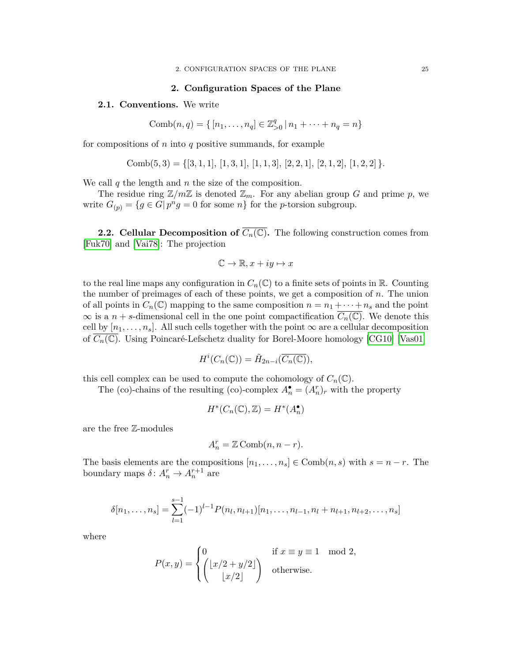#### **2. Configuration Spaces of the Plane**

#### <span id="page-25-0"></span>**2.1. Conventions.** We write

Comb
$$
(n, q) = \{ [n_1, \ldots, n_q] \in \mathbb{Z}_{>0}^q | n_1 + \cdots + n_q = n \}
$$

for compositions of *n* into *q* positive summands, for example

Comb
$$
(5,3) = \{ [3,1,1], [1,3,1], [1,1,3], [2,2,1], [2,1,2], [1,2,2] \}.
$$

We call *q* the length and *n* the size of the composition.

The residue ring  $\mathbb{Z}/m\mathbb{Z}$  is denoted  $\mathbb{Z}_m$ . For any abelian group *G* and prime *p*, we write  $G_{(p)} = \{g \in G | p^n g = 0 \text{ for some } n\}$  for the *p*-torsion subgroup.

**2.2. Cellular Decomposition of**  $\overline{C_n(\mathbb{C})}$ **.** The following construction comes from [\[Fuk70\]](#page-54-15) and [\[Vai78\]](#page-55-10): The projection

$$
\mathbb{C} \to \mathbb{R}, x + iy \mapsto x
$$

to the real line maps any configuration in  $C_n(\mathbb{C})$  to a finite sets of points in R. Counting the number of preimages of each of these points, we get a composition of *n*. The union of all points in  $C_n(\mathbb{C})$  mapping to the same composition  $n = n_1 + \cdots + n_s$  and the point  $\infty$  is a *n* + *s*-dimensional cell in the one point compactification  $C_n(\mathbb{C})$ . We denote this cell by  $[n_1, \ldots, n_s]$ . All such cells together with the point  $\infty$  are a cellular decomposition of  $C_n(\mathbb{C})$ . Using Poincaré-Lefschetz duality for Borel-Moore homology [\[CG10\]](#page-53-11) [\[Vas01\]](#page-55-11)

$$
H^i(C_n(\mathbb{C})) = \tilde{H}_{2n-i}(\overline{C_n(\mathbb{C})}),
$$

this cell complex can be used to compute the cohomology of  $C_n(\mathbb{C})$ .

The (co)-chains of the resulting (co)-complex  $A_n^{\bullet} = (A_n^r)_r$  with the property

$$
H^*(C_n(\mathbb{C}), \mathbb{Z}) = H^*(A_n^{\bullet})
$$

are the free Z-modules

$$
A_n^r = \mathbb{Z} \text{Comb}(n, n-r).
$$

The basis elements are the compositions  $[n_1, \ldots, n_s] \in \text{Comb}(n, s)$  with  $s = n - r$ . The boundary maps  $\delta: A_n^r \to A_n^{r+1}$  are

$$
\delta[n_1,\ldots,n_s] = \sum_{l=1}^{s-1} (-1)^{l-1} P(n_l,n_{l+1})[n_1,\ldots,n_{l-1},n_l+n_{l+1},n_{l+2},\ldots,n_s]
$$

where

$$
P(x,y) = \begin{cases} 0 & \text{if } x \equiv y \equiv 1 \mod 2, \\ \begin{pmatrix} \lfloor x/2 + y/2 \rfloor \\ \lfloor x/2 \rfloor \end{pmatrix} & \text{otherwise.} \end{cases}
$$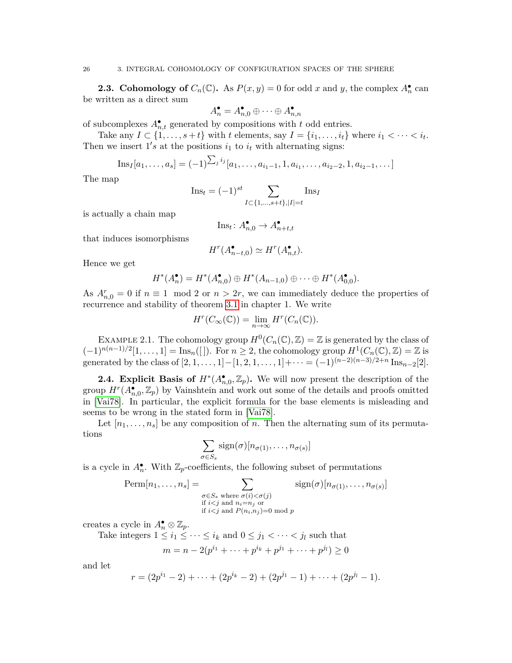**2.3. Cohomology of**  $C_n(\mathbb{C})$ . As  $P(x, y) = 0$  for odd *x* and *y*, the complex  $A_n^{\bullet}$  can be written as a direct sum

$$
\mathbf{l}_n^\bullet = A_{n,0}^\bullet \oplus \cdots \oplus A_{n,n}^\bullet
$$

of subcomplexes  $A_{n,t}^{\bullet}$  generated by compositions with *t* odd entries.

*A*

Take any  $I \subset \{1, \ldots, s+t\}$  with  $t$  elements, say  $I = \{i_1, \ldots, i_t\}$  where  $i_1 < \cdots < i_t$ . Then we insert  $1's$  at the positions  $i_1$  to  $i_t$  with alternating signs:

Ins<sub>I</sub>[a<sub>1</sub>,..., a<sub>s</sub>] = 
$$
(-1)^{\sum_j i_j} [a_1,..., a_{i_1-1}, 1, a_{i_1},..., a_{i_2-2}, 1, a_{i_2-1},...]
$$

The map

$$
\text{Ins}_t = (-1)^{st} \sum_{I \subset \{1, ..., s+t\}, |I|=t} \text{Ins}_I
$$

is actually a chain map

$$
\text{Ins}_t \colon A_{n,0}^{\bullet} \to A_{n+t,t}^{\bullet}
$$

that induces isomorphisms

$$
H^r(A_{n-t,0}^{\bullet}) \simeq H^r(A_{n,t}^{\bullet}).
$$

Hence we get

$$
H^*(A_n^{\bullet}) = H^*(A_{n,0}^{\bullet}) \oplus H^*(A_{n-1,0}) \oplus \cdots \oplus H^*(A_{0,0}^{\bullet}).
$$

As  $A_{n,0}^r = 0$  if  $n \equiv 1 \mod 2$  or  $n > 2r$ , we can immediately deduce the properties of recurrence and stability of theorem [3.1](#page-14-0) in chapter 1. We write

$$
H^r(C_{\infty}(\mathbb{C})) = \lim_{n \to \infty} H^r(C_n(\mathbb{C})).
$$

EXAMPLE 2.1. The cohomology group  $H^0(C_n(\mathbb{C}), \mathbb{Z}) = \mathbb{Z}$  is generated by the class of  $(-1)^{n(n-1)/2}[1,\ldots,1] = \text{Ins}_n([])$ . For  $n \geq 2$ , the cohomology group  $H^1(C_n(\mathbb{C}), \mathbb{Z}) = \mathbb{Z}$  is generated by the class of  $[2, 1, \ldots, 1] - [1, 2, 1, \ldots, 1] + \cdots = (-1)^{(n-2)(n-3)/2+n} \operatorname{Ins}_{n-2}[2]$ .

**2.4. Explicit Basis of**  $H^*(A_{n,0}^{\bullet}, \mathbb{Z}_p)$ **. We will now present the description of the** group  $H^r(A_{n,0}^{\bullet}, \mathbb{Z}_p)$  by Vainshtein and work out some of the details and proofs omitted in [\[Vai78\]](#page-55-10). In particular, the explicit formula for the base elements is misleading and seems to be wrong in the stated form in [\[Vai78\]](#page-55-10).

Let  $[n_1, \ldots, n_s]$  be any composition of *n*. Then the alternating sum of its permutations

$$
\sum_{\sigma \in S_s} sign(\sigma) [n_{\sigma(1)}, \dots, n_{\sigma(s)}]
$$

is a cycle in  $A_n^{\bullet}$ . With  $\mathbb{Z}_p$ -coefficients, the following subset of permutations

$$
\text{Perm}[n_1, \dots, n_s] = \sum_{\substack{\sigma \in S_s \text{ where } \sigma(i) < \sigma(j) \\ \text{if } i < j \text{ and } n_i = n_j \text{ or} \\ \text{if } i < j \text{ and } P(n_i, n_j) = 0 \text{ mod } p}} \text{sign}(\sigma)[n_{\sigma(1)}, \dots, n_{\sigma(s)}]
$$

creates a cycle in  $A_n^{\bullet} \otimes \mathbb{Z}_p$ .

Take integers  $1 \leq i_1 \leq \cdots \leq i_k$  and  $0 \leq j_1 < \cdots < j_l$  such that

$$
m = n - 2(p^{i_1} + \dots + p^{i_k} + p^{j_1} + \dots + p^{j_l}) \ge 0
$$

and let

$$
r = (2p^{i_1} - 2) + \cdots + (2p^{i_k} - 2) + (2p^{j_1} - 1) + \cdots + (2p^{j_l} - 1).
$$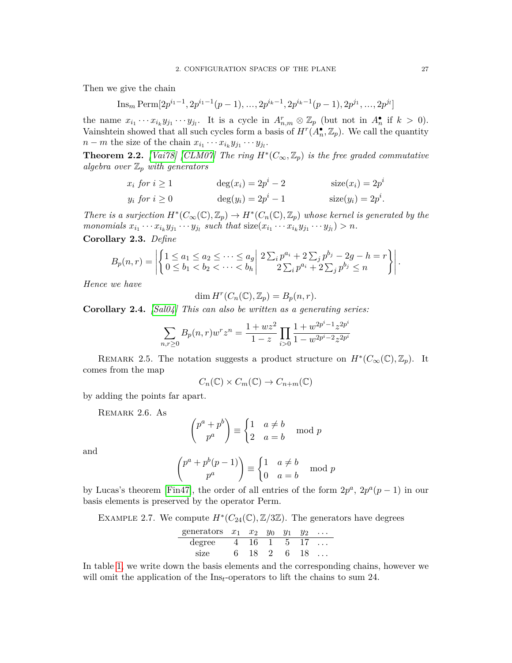Then we give the chain

$$
\text{Ins}_m \text{Perm}[2p^{i_1-1}, 2p^{i_1-1}(p-1), \dots, 2p^{i_k-1}, 2p^{i_k-1}(p-1), 2p^{j_1}, \dots, 2p^{j_l}]
$$

the name  $x_{i_1} \cdots x_{i_k} y_{j_1} \cdots y_{j_l}$ . It is a cycle in  $A_{n,m}^r \otimes \mathbb{Z}_p$  (but not in  $A_n^{\bullet}$  if  $k > 0$ ). Vainshtein showed that all such cycles form a basis of  $H^r(A_n^{\bullet}, \mathbb{Z}_p)$ . We call the quantity  $n - m$  the size of the chain  $x_{i_1} \cdots x_{i_k} y_{j_1} \cdots y_{j_l}$ .

<span id="page-27-0"></span>**Theorem 2.2.** *[\[Vai78\]](#page-55-10) [\[CLM07\]](#page-53-12)* The ring  $H^*(C_\infty, \mathbb{Z}_p)$  is the free graded commutative *algebra over* Z*<sup>p</sup> with generators*

$$
x_i \text{ for } i \ge 1 \qquad \deg(x_i) = 2p^i - 2 \qquad \text{size}(x_i) = 2p^i
$$
\n
$$
y_i \text{ for } i \ge 0 \qquad \deg(y_i) = 2p^i - 1 \qquad \text{size}(y_i) = 2p^i.
$$

*There is a surjection*  $H^*(C_\infty(\mathbb{C}), \mathbb{Z}_p) \to H^*(C_n(\mathbb{C}), \mathbb{Z}_p)$  whose kernel is generated by the monomials  $x_{i_1} \cdots x_{i_k} y_{j_1} \cdots y_{j_l}$  such that  $size(x_{i_1} \cdots x_{i_k} y_{j_1} \cdots y_{j_l}) > n$ .

**Corollary 2.3.** *Define*

$$
B_p(n,r) = \left| \left\{ \begin{matrix} 1 \le a_1 \le a_2 \le \cdots \le a_g \\ 0 \le b_1 < b_2 < \cdots < b_h \end{matrix} \right| \right. \left. \begin{matrix} 2 \sum_i p^{a_i} + 2 \sum_j p^{b_j} - 2g - h = r \\ 2 \sum_i p^{a_i} + 2 \sum_j p^{b_j} \le n \end{matrix} \right|.
$$

*Hence we have*

$$
\dim H^r(C_n(\mathbb{C}), \mathbb{Z}_p) = B_p(n, r).
$$

**Corollary 2.4.** *[\[Sal04\]](#page-55-7) This can also be written as a generating series:*

$$
\sum_{n,r\geq 0} B_p(n,r) w^r z^n = \frac{1+wz^2}{1-z} \prod_{i>0} \frac{1+w^{2p^i-1} z^{2p^i}}{1-w^{2p^i-2} z^{2p^i}}
$$

REMARK 2.5. The notation suggests a product structure on  $H^*(C_\infty(\mathbb{C}), \mathbb{Z}_p)$ . It comes from the map

$$
C_n(\mathbb{C}) \times C_m(\mathbb{C}) \to C_{n+m}(\mathbb{C})
$$

by adding the points far apart.

Remark 2.6. As

$$
\binom{p^a + p^b}{p^a} \equiv \begin{cases} 1 & a \neq b \\ 2 & a = b \end{cases} \mod p
$$

and

$$
\binom{p^a + p^b(p-1)}{p^a} \equiv \begin{cases} 1 & a \neq b \\ 0 & a = b \end{cases} \mod p
$$

by Lucas's theorem [\[Fin47\]](#page-54-16), the order of all entries of the form  $2p^a$ ,  $2p^a(p-1)$  in our basis elements is preserved by the operator Perm.

<span id="page-27-1"></span>EXAMPLE 2.7. We compute  $H^*(C_{24}(\mathbb{C}), \mathbb{Z}/3\mathbb{Z})$ . The generators have degrees

$$
\begin{array}{cccccc}\n\text{generators} & x_1 & x_2 & y_0 & y_1 & y_2 & \dots \\
\text{degree} & 4 & 16 & 1 & 5 & 17 & \dots \\
\text{size} & 6 & 18 & 2 & 6 & 18 & \dots\n\end{array}
$$

In table [1,](#page-28-0) we write down the basis elements and the corresponding chains, however we will omit the application of the Ins*t*-operators to lift the chains to sum 24.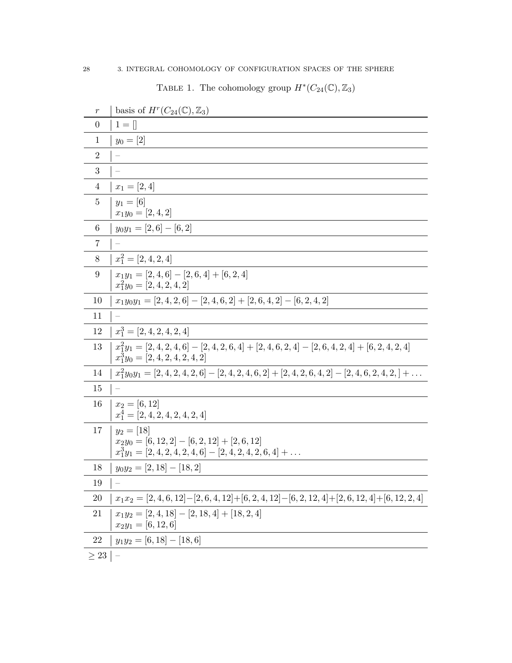TABLE 1. The cohomology group  $H^*(C_{24}(\mathbb{C}), \mathbb{Z}_3)$ 

<span id="page-28-0"></span>

| $\boldsymbol{r}$ | basis of $H^r(C_{24}(\mathbb{C}), \mathbb{Z}_3)$                                                                                           |
|------------------|--------------------------------------------------------------------------------------------------------------------------------------------|
| $\overline{0}$   | $1 = \lceil$                                                                                                                               |
| $\mathbf{1}$     | $y_0 = [2]$                                                                                                                                |
| $\overline{2}$   |                                                                                                                                            |
| 3                |                                                                                                                                            |
| $\overline{4}$   | $x_1 = [2, 4]$                                                                                                                             |
| $\overline{5}$   | $y_1 = [6]$<br>$x_1y_0 = [2, 4, 2]$                                                                                                        |
| $6\phantom{.}6$  | $y_0y_1 = [2,6] - [6,2]$                                                                                                                   |
| $\overline{7}$   |                                                                                                                                            |
| $8\,$            | $x_1^2 = [2, 4, 2, 4]$                                                                                                                     |
| 9                | $x_1y_1 = [2, 4, 6] - [2, 6, 4] + [6, 2, 4]$<br>$x_1^2y_0 = [2, 4, 2, 4, 2]$                                                               |
| 10               | $x_1y_0y_1 = [2, 4, 2, 6] - [2, 4, 6, 2] + [2, 6, 4, 2] - [6, 2, 4, 2]$                                                                    |
| 11               |                                                                                                                                            |
| 12               | $x_1^3 = [2, 4, 2, 4, 2, 4]$                                                                                                               |
| 13               | $x_1^2y_1 = [2, 4, 2, 4, 6] - [2, 4, 2, 6, 4] + [2, 4, 6, 2, 4] - [2, 6, 4, 2, 4] + [6, 2, 4, 2, 4]$<br>$x_1^3y_0 = [2, 4, 2, 4, 2, 4, 2]$ |
| 14               | $x_1^2y_0y_1 = [2, 4, 2, 4, 2, 6] - [2, 4, 2, 4, 6, 2] + [2, 4, 2, 6, 4, 2] - [2, 4, 6, 2, 4, 2, ] + \dots$                                |
| 15               |                                                                                                                                            |
| 16               | $x_2 = [6, 12]$<br>$x_1^4 = [2, 4, 2, 4, 2, 4, 2, 4]$                                                                                      |
| 17               | $y_2 = [18]$<br>$x_2y_0 = [6, 12, 2] - [6, 2, 12] + [2, 6, 12]$<br>$x_1^3y_1 = [2, 4, 2, 4, 2, 4, 6] - [2, 4, 2, 4, 2, 6, 4] + \ldots$     |
| 18               | $y_0y_2 = [2, 18] - [18, 2]$                                                                                                               |
| 19               | $\equiv$                                                                                                                                   |
| $20\,$           | $x_1x_2=[2,4,6,12]-[2,6,4,12]+[6,2,4,12]-[6,2,12,4]+[2,6,12,4]+[6,12,2,4]$                                                                 |
| 21               | $x_1y_2 = [2, 4, 18] - [2, 18, 4] + [18, 2, 4]$<br>$x_2y_1 = [6, 12, 6]$                                                                   |
| 22               | $y_1y_2 = [6, 18] - [18, 6]$                                                                                                               |
| $\geq 23$        |                                                                                                                                            |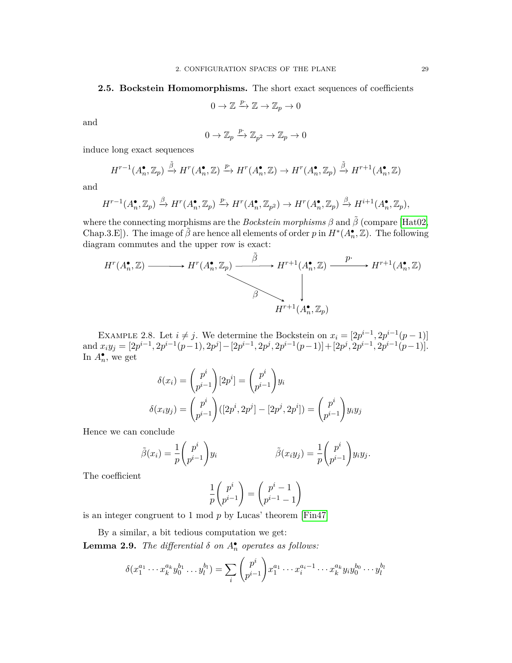#### **2.5. Bockstein Homomorphisms.** The short exact sequences of coefficients

$$
0 \to \mathbb{Z} \xrightarrow{p} \mathbb{Z} \to \mathbb{Z}_p \to 0
$$

and

$$
0 \to \mathbb{Z}_p \xrightarrow{p \cdot} \mathbb{Z}_{p^2} \to \mathbb{Z}_p \to 0
$$

induce long exact sequences

$$
H^{r-1}(A_n^{\bullet}, \mathbb{Z}_p) \xrightarrow{\tilde{\beta}} H^r(A_n^{\bullet}, \mathbb{Z}) \xrightarrow{p} H^r(A_n^{\bullet}, \mathbb{Z}) \to H^r(A_n^{\bullet}, \mathbb{Z}_p) \xrightarrow{\tilde{\beta}} H^{r+1}(A_n^{\bullet}, \mathbb{Z})
$$

and

$$
H^{r-1}(A_n^{\bullet}, \mathbb{Z}_p) \xrightarrow{\beta} H^r(A_n^{\bullet}, \mathbb{Z}_p) \xrightarrow{p} H^r(A_n^{\bullet}, \mathbb{Z}_{p^2}) \to H^r(A_n^{\bullet}, \mathbb{Z}_p) \xrightarrow{\beta} H^{i+1}(A_n^{\bullet}, \mathbb{Z}_p),
$$

where the connecting morphisms are the *Bockstein morphisms*  $\beta$  and  $\tilde{\beta}$  (compare [\[Hat02,](#page-54-17) Chap.3.E]). The image of  $\tilde{\beta}$  are hence all elements of order *p* in  $H^*(A_n^{\bullet}, \mathbb{Z})$ . The following diagram commutes and the upper row is exact:

$$
H^{r}(A_{n}^{\bullet}, \mathbb{Z}) \longrightarrow H^{r}(A_{n}^{\bullet}, \mathbb{Z}_{p}) \longrightarrow H^{r+1}(A_{n}^{\bullet}, \mathbb{Z}) \longrightarrow H^{r+1}(A_{n}^{\bullet}, \mathbb{Z})
$$
\n
$$
\downarrow \downarrow
$$
\n
$$
H^{r+1}(A_{n}^{\bullet}, \mathbb{Z}_{p})
$$

EXAMPLE 2.8. Let  $i \neq j$ . We determine the Bockstein on  $x_i = [2p^{i-1}, 2p^{i-1}(p-1)]$ and  $x_i y_j = [2p^{i-1}, 2p^{i-1}(p-1), 2p^j] - [2p^{i-1}, 2p^j, 2p^{i-1}(p-1)] + [2p^j, 2p^{i-1}, 2p^{i-1}(p-1)].$ In  $A_n^{\bullet}$ , we get

$$
\delta(x_i) = {p^i \choose p^{i-1}} [2p^i] = {p^i \choose p^{i-1}} y_i
$$

$$
\delta(x_i y_j) = {p^i \choose p^{i-1}} ([2p^i, 2p^j] - [2p^j, 2p^i]) = {p^i \choose p^{i-1}} y_i y_j
$$

Hence we can conclude

$$
\tilde{\beta}(x_i) = \frac{1}{p} \binom{p^i}{p^{i-1}} y_i \qquad \qquad \tilde{\beta}(x_i y_j) = \frac{1}{p} \binom{p^i}{p^{i-1}} y_i y_j.
$$

The coefficient

$$
\frac{1}{p} \binom{p^i}{p^{i-1}} = \binom{p^i - 1}{p^{i-1} - 1}
$$

is an integer congruent to 1 mod *p* by Lucas' theorem [\[Fin47\]](#page-54-16)

By a similar, a bit tedious computation we get:

<span id="page-29-0"></span>**Lemma 2.9.** *The differential*  $\delta$  *on*  $A_n^{\bullet}$  *operates as follows:* 

$$
\delta(x_1^{a_1} \cdots x_k^{a_k} y_0^{b_1} \ldots y_l^{b_l}) = \sum_i \binom{p^i}{p^{i-1}} x_1^{a_1} \cdots x_i^{a_i-1} \cdots x_k^{a_k} y_i y_0^{b_0} \cdots y_l^{b_l}
$$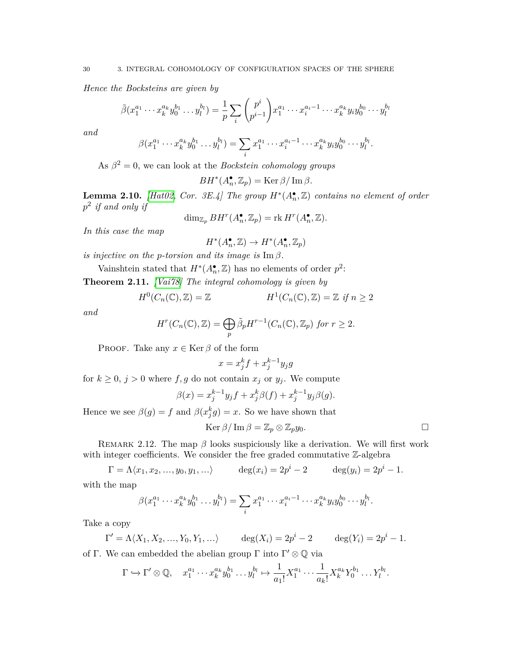*Hence the Bocksteins are given by*

$$
\tilde{\beta}(x_1^{a_1}\cdots x_k^{a_k}y_0^{b_1}\cdots y_l^{b_l}) = \frac{1}{p}\sum_i \binom{p^i}{p^{i-1}}x_1^{a_1}\cdots x_i^{a_i-1}\cdots x_k^{a_k}y_iy_0^{b_0}\cdots y_l^{b_l}
$$

*and*

$$
\beta(x_1^{a_1}\cdots x_k^{a_k}y_0^{b_1}\ldots y_l^{b_l})=\sum_ix_1^{a_1}\cdots x_i^{a_i-1}\cdots x_k^{a_k}y_iy_0^{b_0}\cdots y_l^{b_l}.
$$

As  $\beta^2 = 0$ , we can look at the *Bockstein cohomology groups* 

 $BH^*(A_n^{\bullet}, \mathbb{Z}_p) = \text{Ker } \beta / \text{Im } \beta.$ 

**Lemma 2.10.** *[\[Hat02,](#page-54-17) Cor. 3E.4]* The group  $H^*(A_n^{\bullet}, \mathbb{Z})$  *contains no element of order p* 2 *if and only if*

 $\dim_{\mathbb{Z}_p} BH^r(A_n^{\bullet}, \mathbb{Z}_p) = \text{rk } H^r(A_n^{\bullet}, \mathbb{Z}).$ 

*In this case the map*

$$
H^*(A^\bullet_n,\mathbb{Z})\to H^*(A^\bullet_n,\mathbb{Z}_p)
$$

*is injective on the p-torsion and its image is*  $\text{Im } \beta$ *.* 

Vainshtein stated that  $H^*(A_n^{\bullet}, \mathbb{Z})$  has no elements of order  $p^2$ :

<span id="page-30-0"></span>**Theorem 2.11.** *[\[Vai78\]](#page-55-10) The integral cohomology is given by*

$$
H^{0}(C_{n}(\mathbb{C}), \mathbb{Z}) = \mathbb{Z} \qquad H^{1}(C_{n}(\mathbb{C}), \mathbb{Z}) = \mathbb{Z} \text{ if } n \ge 2
$$

*and*

$$
H^r(C_n(\mathbb{C}), \mathbb{Z}) = \bigoplus_p \tilde{\beta}_p H^{r-1}(C_n(\mathbb{C}), \mathbb{Z}_p) \text{ for } r \ge 2.
$$

PROOF. Take any  $x \in \text{Ker } \beta$  of the form

$$
x = x_j^k f + x_j^{k-1} y_j g
$$

for  $k \geq 0$ ,  $j > 0$  where  $f, g$  do not contain  $x_j$  or  $y_j$ . We compute

$$
\beta(x) = x_j^{k-1} y_j f + x_j^k \beta(f) + x_j^{k-1} y_j \beta(g).
$$

Hence we see  $\beta(g) = f$  and  $\beta(x_j^k g) = x$ . So we have shown that

$$
\operatorname{Ker} \beta / \operatorname{Im} \beta = \mathbb{Z}_p \otimes \mathbb{Z}_p y_0.
$$

REMARK 2.12. The map  $\beta$  looks suspiciously like a derivation. We will first work with integer coefficients. We consider the free graded commutative Z-algebra

$$
\Gamma = \Lambda \langle x_1, x_2, ..., y_0, y_1, ... \rangle
$$
 deg $(x_i) = 2p^i - 2$  deg $(y_i) = 2p^i - 1$ .

with the map

$$
\beta(x_1^{a_1}\cdots x_k^{a_k}y_0^{b_1}\ldots y_l^{b_l})=\sum_i x_1^{a_1}\cdots x_i^{a_i-1}\cdots x_k^{a_k}y_iy_0^{b_0}\cdots y_l^{b_l}.
$$

Take a copy

$$
\Gamma' = \Lambda \langle X_1, X_2, ..., Y_0, Y_1, ...\rangle
$$
  $\deg(X_i) = 2p^i - 2$   $\deg(Y_i) = 2p^i - 1.$ 

of Γ. We can embedded the abelian group Γ into  $\Gamma'\otimes {\mathbb Q}$  via

$$
\Gamma \hookrightarrow \Gamma' \otimes \mathbb{Q}, \quad x_1^{a_1} \cdots x_k^{a_k} y_0^{b_1} \cdots y_l^{b_l} \mapsto \frac{1}{a_1!} X_1^{a_1} \cdots \frac{1}{a_k!} X_k^{a_k} Y_0^{b_1} \cdots Y_l^{b_l}.
$$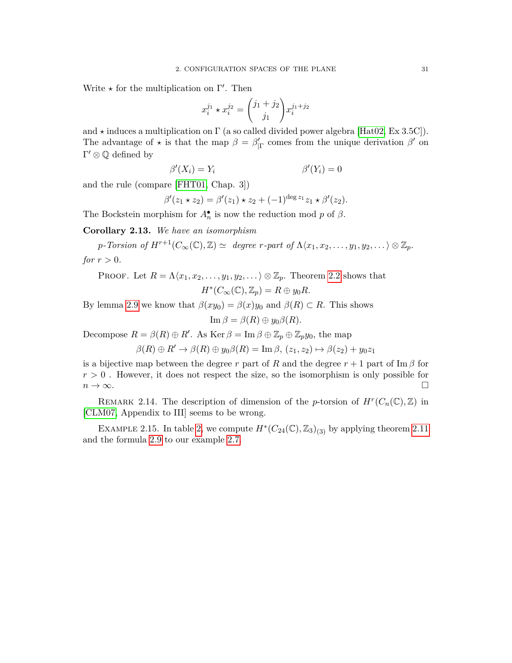Write  $\star$  for the multiplication on  $\Gamma'$ . Then

$$
x_i^{j_1} \star x_i^{j_2} = {j_1 + j_2 \choose j_1} x_i^{j_1 + j_2}
$$

and  $\star$  induces a multiplication on  $\Gamma$  (a so called divided power algebra [\[Hat02,](#page-54-17) Ex 3.5C]). The advantage of  $\star$  is that the map  $\beta = \beta'_{\vert \Gamma}$  comes from the unique derivation  $\beta'$  on  $\Gamma' \otimes \mathbb{Q}$  defined by

$$
\beta'(X_i) = Y_i \qquad \beta'(Y_i) = 0
$$

and the rule (compare [\[FHT01,](#page-54-18) Chap. 3])

$$
\beta'(z_1 \star z_2) = \beta'(z_1) \star z_2 + (-1)^{\deg z_1} z_1 \star \beta'(z_2).
$$

The Bockstein morphism for  $A_n^{\bullet}$  is now the reduction mod *p* of  $\beta$ .

**Corollary 2.13.** *We have an isomorphism*

 $p$ *-Torsion of*  $H^{r+1}(C_\infty(\mathbb{C}), \mathbb{Z}) \simeq$  *degree r-part of*  $\Lambda \langle x_1, x_2, \ldots, y_1, y_2, \ldots \rangle \otimes \mathbb{Z}_p$ *. for*  $r > 0$ *.* 

PROOF. Let 
$$
R = \Lambda \langle x_1, x_2, \ldots, y_1, y_2, \ldots \rangle \otimes \mathbb{Z}_p
$$
. Theorem 2.2 shows that  

$$
H^*(C_{\infty}(\mathbb{C}), \mathbb{Z}_p) = R \oplus y_0 R.
$$

By lemma [2.9](#page-29-0) we know that  $\beta(xy_0) = \beta(x)y_0$  and  $\beta(R) \subset R$ . This shows

$$
\operatorname{Im}\beta=\beta(R)\oplus y_0\beta(R).
$$

Decompose  $R = \beta(R) \oplus R'$ . As  $\text{Ker } \beta = \text{Im } \beta \oplus \mathbb{Z}_p \oplus \mathbb{Z}_p$ *y*<sub>0</sub>, the map

$$
\beta(R) \oplus R' \to \beta(R) \oplus y_0 \beta(R) = \text{Im}\,\beta, (z_1, z_2) \mapsto \beta(z_2) + y_0 z_1
$$

is a bijective map between the degree *r* part of *R* and the degree  $r + 1$  part of Im  $\beta$  for  $r > 0$ . However, it does not respect the size, so the isomorphism is only possible for  $n \to \infty$ .

REMARK 2.14. The description of dimension of the *p*-torsion of  $H^r(C_n(\mathbb{C}), \mathbb{Z})$  in [\[CLM07,](#page-53-12) Appendix to III] seems to be wrong.

EXAMPLE 2.15. In table [2,](#page-32-1) we compute  $H^*(C_{24}(\mathbb{C}), \mathbb{Z}_3)_{(3)}$  by applying theorem [2.11](#page-30-0) and the formula [2.9](#page-29-0) to our example [2.7.](#page-27-1)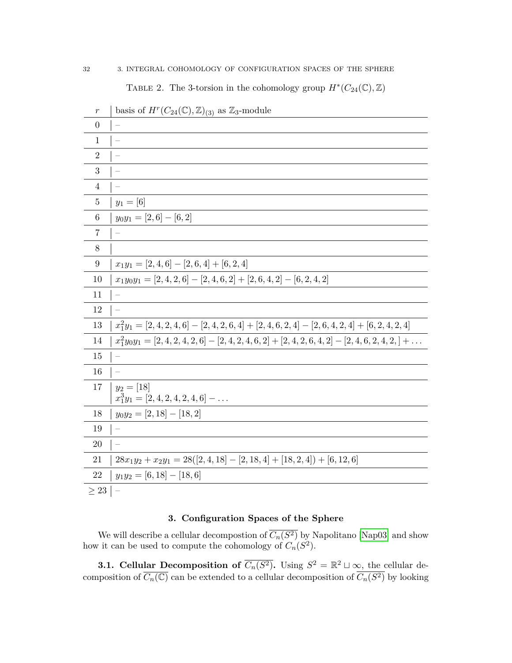TABLE 2. The 3-torsion in the cohomology group  $H^*(C_{24}(\mathbb{C}), \mathbb{Z})$ 

<span id="page-32-1"></span>

| $\boldsymbol{r}$ | basis of $H^r(C_{24}(\mathbb{C}), \mathbb{Z})_{(3)}$ as $\mathbb{Z}_3$ -module                              |
|------------------|-------------------------------------------------------------------------------------------------------------|
| $\overline{0}$   |                                                                                                             |
| $\mathbf{1}$     |                                                                                                             |
| $\overline{2}$   |                                                                                                             |
| $\mathbf{3}$     | $\overline{\phantom{0}}$                                                                                    |
| $\overline{4}$   |                                                                                                             |
| $\overline{5}$   | $y_1 = [6]$                                                                                                 |
| $\,6\,$          | $y_0y_1 = [2,6] - [6,2]$                                                                                    |
| $\overline{7}$   |                                                                                                             |
| $8\,$            |                                                                                                             |
| $\boldsymbol{9}$ | $x_1y_1 = [2, 4, 6] - [2, 6, 4] + [6, 2, 4]$                                                                |
| 10               | $x_1y_0y_1 = [2, 4, 2, 6] - [2, 4, 6, 2] + [2, 6, 4, 2] - [6, 2, 4, 2]$                                     |
| 11               | $\overline{\phantom{0}}$                                                                                    |
| 12               |                                                                                                             |
| 13               | $x_1^2y_1 = [2, 4, 2, 4, 6] - [2, 4, 2, 6, 4] + [2, 4, 6, 2, 4] - [2, 6, 4, 2, 4] + [6, 2, 4, 2, 4]$        |
| 14               | $x_1^2y_0y_1 = [2, 4, 2, 4, 2, 6] - [2, 4, 2, 4, 6, 2] + [2, 4, 2, 6, 4, 2] - [2, 4, 6, 2, 4, 2, ] + \dots$ |
| 15               |                                                                                                             |
| 16               |                                                                                                             |
| 17               | $y_2 = [18]$<br>$x_1^3y_1 = [2, 4, 2, 4, 2, 4, 6] - \ldots$                                                 |
| 18               | $y_0y_2 = [2, 18] - [18, 2]$                                                                                |
| 19               | $\overline{\phantom{0}}$                                                                                    |
| $20\,$           |                                                                                                             |
| 21               | $28x_1y_2 + x_2y_1 = 28([2, 4, 18] - [2, 18, 4] + [18, 2, 4]) + [6, 12, 6]$                                 |
| 22               | $y_1y_2 = [6, 18] - [18, 6]$                                                                                |
| $\geq 23$        | $\equiv$                                                                                                    |

#### **3. Configuration Spaces of the Sphere**

<span id="page-32-0"></span>We will describe a cellular decompostion of  $C_n(S^2)$  by Napolitano [\[Nap03\]](#page-55-4) and show how it can be used to compute the cohomology of  $C_n(S^2)$ .

**3.1. Cellular Decomposition of**  $\overline{C_n(S^2)}$ **.** Using  $S^2 = \mathbb{R}^2 \sqcup \infty$ , the cellular decomposition of  $\overline{C_n(\mathbb{C})}$  can be extended to a cellular decomposition of  $\overline{C_n(S^2)}$  by looking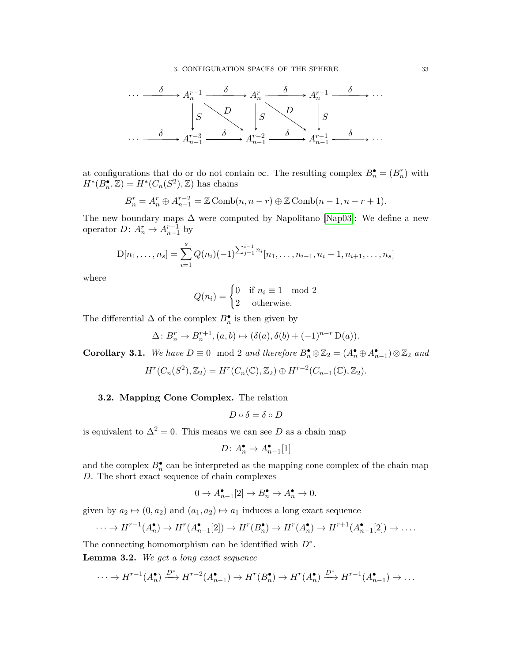

at configurations that do or do not contain  $\infty$ . The resulting complex  $B_n^{\bullet} = (B_n^r)$  with  $H^*(B_n^{\bullet}, \mathbb{Z}) = H^*(C_n(S^2), \mathbb{Z})$  has chains

$$
B_n^r = A_n^r \oplus A_{n-1}^{r-2} = \mathbb{Z} \operatorname{Comb}(n, n-r) \oplus \mathbb{Z} \operatorname{Comb}(n-1, n-r+1).
$$

The new boundary maps  $\Delta$  were computed by Napolitano [\[Nap03\]](#page-55-4): We define a new operator  $D: A_n^r \to A_{n-1}^{r-1}$  by

$$
D[n_1,\ldots,n_s] = \sum_{i=1}^s Q(n_i)(-1)^{\sum_{j=1}^{i-1} n_i} [n_1,\ldots,n_{i-1},n_i-1,n_{i+1},\ldots,n_s]
$$

where

$$
Q(n_i) = \begin{cases} 0 & \text{if } n_i \equiv 1 \mod 2 \\ 2 & \text{otherwise.} \end{cases}
$$

The differential  $\Delta$  of the complex  $B_n^{\bullet}$  is then given by

$$
\Delta: B_n^r \to B_n^{r+1}, (a, b) \mapsto (\delta(a), \delta(b) + (-1)^{n-r} D(a)).
$$

**Corollary 3.1.** We have  $D \equiv 0 \mod 2$  and therefore  $B_n^{\bullet} \otimes \mathbb{Z}_2 = (A_n^{\bullet} \oplus A_{n-1}^{\bullet}) \otimes \mathbb{Z}_2$  and

$$
H^{r}(C_n(S^2), \mathbb{Z}_2) = H^{r}(C_n(\mathbb{C}), \mathbb{Z}_2) \oplus H^{r-2}(C_{n-1}(\mathbb{C}), \mathbb{Z}_2).
$$

#### **3.2. Mapping Cone Complex.** The relation

$$
D\circ \delta=\delta\circ D
$$

is equivalent to  $\Delta^2 = 0$ . This means we can see *D* as a chain map

$$
D\colon A_n^{\bullet} \to A_{n-1}^{\bullet}[1]
$$

and the complex  $B_n^{\bullet}$  can be interpreted as the mapping cone complex of the chain map *D*. The short exact sequence of chain complexes

$$
0 \to A_{n-1}^{\bullet}[2] \to B_n^{\bullet} \to A_n^{\bullet} \to 0.
$$

given by  $a_2 \mapsto (0, a_2)$  and  $(a_1, a_2) \mapsto a_1$  induces a long exact sequence

$$
\cdots \to H^{r-1}(A_n^{\bullet}) \to H^r(A_{n-1}^{\bullet}[2]) \to H^r(B_n^{\bullet}) \to H^r(A_n^{\bullet}) \to H^{r+1}(A_{n-1}^{\bullet}[2]) \to \dots
$$

The connecting homomorphism can be identified with *D*<sup>∗</sup> .

<span id="page-33-0"></span>**Lemma 3.2.** *We get a long exact sequence*

$$
\cdots \to H^{r-1}(A_n^{\bullet}) \xrightarrow{D^*} H^{r-2}(A_{n-1}^{\bullet}) \to H^r(B_n^{\bullet}) \to H^r(A_n^{\bullet}) \xrightarrow{D^*} H^{r-1}(A_{n-1}^{\bullet}) \to \cdots
$$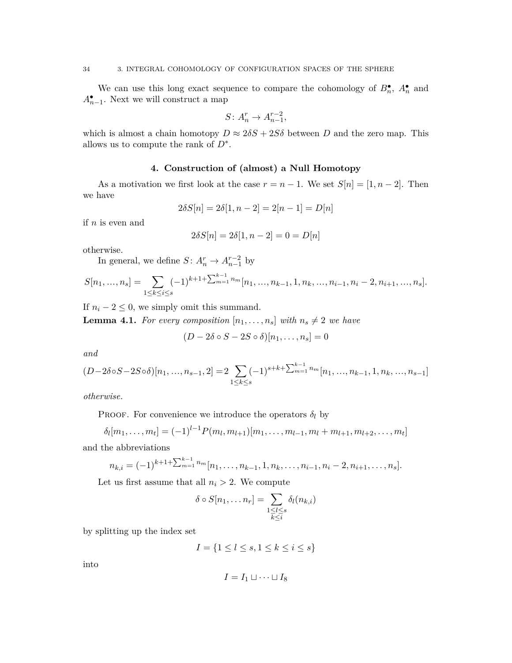We can use this long exact sequence to compare the cohomology of  $B_n^{\bullet}$ ,  $A_n^{\bullet}$  and  $A_{n-1}^{\bullet}$ . Next we will construct a map

$$
S \colon A_n^r \to A_{n-1}^{r-2},
$$

which is almost a chain homotopy  $D \approx 2\delta S + 2S\delta$  between *D* and the zero map. This allows us to compute the rank of *D*<sup>∗</sup> .

#### **4. Construction of (almost) a Null Homotopy**

<span id="page-34-0"></span>As a motivation we first look at the case  $r = n - 1$ . We set  $S[n] = [1, n - 2]$ . Then we have

$$
2\delta S[n] = 2\delta[1, n-2] = 2[n-1] = D[n]
$$

if *n* is even and

$$
2\delta S[n] = 2\delta[1, n-2] = 0 = D[n]
$$

otherwise.

In general, we define  $S: A_n^r \to A_{n-1}^{r-2}$  by

$$
S[n_1, ..., n_s] = \sum_{1 \le k \le i \le s} (-1)^{k+1} \sum_{m=1}^{k-1} n_m [n_1, ..., n_{k-1}, 1, n_k, ..., n_{i-1}, n_i - 2, n_{i+1}, ..., n_s].
$$

If  $n_i - 2 \leq 0$ , we simply omit this summand.

<span id="page-34-1"></span>**Lemma 4.1.** *For every composition*  $[n_1, \ldots, n_s]$  *with*  $n_s \neq 2$  *we have* 

$$
(D - 2\delta \circ S - 2S \circ \delta)[n_1, \dots, n_s] = 0
$$

*and*

$$
(D-2\delta\circ S-2S\circ\delta)[n_1, ..., n_{s-1}, 2] = 2\sum_{1 \le k \le s} (-1)^{s+k+\sum_{m=1}^{k-1} n_m} [n_1, ..., n_{k-1}, 1, n_k, ..., n_{s-1}]
$$

*otherwise.*

PROOF. For convenience we introduce the operators  $\delta_l$  by

$$
\delta_l[m_1,\ldots,m_t] = (-1)^{l-1} P(m_l,m_{l+1})[m_1,\ldots,m_{l-1},m_l+m_{l+1},m_{l+2},\ldots,m_t]
$$

and the abbreviations

$$
n_{k,i} = (-1)^{k+1+\sum_{m=1}^{k-1} n_m} [n_1, \ldots, n_{k-1}, 1, n_k, \ldots, n_{i-1}, n_i - 2, n_{i+1}, \ldots, n_s].
$$

Let us first assume that all  $n_i > 2$ . We compute

$$
\delta \circ S[n_1, \ldots n_r] = \sum_{\substack{1 \leq l \leq s \\ k \leq i}} \delta_l(n_{k,i})
$$

by splitting up the index set

$$
I = \{1 \le l \le s, 1 \le k \le i \le s\}
$$

into

$$
I = I_1 \sqcup \cdots \sqcup I_8
$$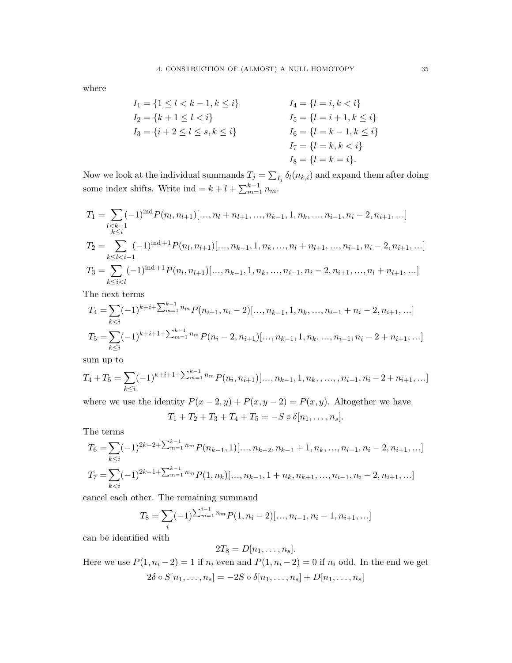where

$$
I_1 = \{1 \le l < k - 1, k \le i\}
$$
\n
$$
I_2 = \{k + 1 \le l < i\}
$$
\n
$$
I_3 = \{i + 2 \le l \le s, k \le i\}
$$
\n
$$
I_4 = \{l = i, k < i\}
$$
\n
$$
I_5 = \{l = i + 1, k \le i\}
$$
\n
$$
I_6 = \{l = k - 1, k \le i\}
$$
\n
$$
I_7 = \{l = k, k < i\}
$$
\n
$$
I_8 = \{l = k = i\}.
$$

Now we look at the individual summands  $T_j = \sum_{I_j} \delta_l(n_{k,i})$  and expand them after doing some index shifts. Write ind =  $k + l + \sum_{m=1}^{k-1} n_m$ .

$$
T_1 = \sum_{\substack{l < k-1 \\ k \le i}} (-1)^{\text{ind}} P(n_l, n_{l+1})[\dots, n_l + n_{l+1}, \dots, n_{k-1}, 1, n_k, \dots, n_{i-1}, n_i - 2, n_{i+1}, \dots]
$$
\n
$$
T_2 = \sum_{k \le l < i-1} (-1)^{\text{ind }+1} P(n_l, n_{l+1})[\dots, n_{k-1}, 1, n_k, \dots, n_l + n_{l+1}, \dots, n_{i-1}, n_i - 2, n_{i+1}, \dots]
$$
\n
$$
T_3 = \sum_{k \le i < l} (-1)^{\text{ind }+1} P(n_l, n_{l+1})[\dots, n_{k-1}, 1, n_k, \dots, n_{i-1}, n_i - 2, n_{i+1}, \dots, n_l + n_{l+1}, \dots]
$$

The next terms

$$
T_4 = \sum_{k < i} (-1)^{k+i+\sum_{m=1}^{k-1} n_m} P(n_{i-1}, n_i - 2)[\dots, n_{k-1}, 1, n_k, \dots, n_{i-1} + n_i - 2, n_{i+1}, \dots]
$$
\n
$$
T_5 = \sum_{k \le i} (-1)^{k+i+1+\sum_{m=1}^{k-1} n_m} P(n_i - 2, n_{i+1})[\dots, n_{k-1}, 1, n_k, \dots, n_{i-1}, n_i - 2 + n_{i+1}, \dots]
$$

sum up to

$$
T_4 + T_5 = \sum_{k \le i} (-1)^{k+i+1} \sum_{m=1}^{k-1} n_m P(n_i, n_{i+1})[\ldots, n_{k-1}, 1, n_k, \ldots, n_{i-1}, n_i - 2 + n_{i+1}, \ldots]
$$

where we use the identity  $P(x-2, y) + P(x, y-2) = P(x, y)$ . Altogether we have  $T_1 + T_2 + T_3 + T_4 + T_5 = -S \circ \delta[n_1, \ldots, n_s].$ 

The terms

$$
T_6 = \sum_{k \le i} (-1)^{2k-2+\sum_{m=1}^{k-1} n_m} P(n_{k-1}, 1)[..., n_{k-2}, n_{k-1} + 1, n_k, ..., n_{i-1}, n_i - 2, n_{i+1}, ...]
$$
  

$$
T_7 = \sum_{k < i} (-1)^{2k-1+\sum_{m=1}^{k-1} n_m} P(1, n_k)[..., n_{k-1}, 1 + n_k, n_{k+1}, ..., n_{i-1}, n_i - 2, n_{i+1}, ...]
$$

cancel each other. The remaining summand

$$
T_8 = \sum_{i} (-1)^{\sum_{m=1}^{i-1} n_m} P(1, n_i - 2) [\dots, n_{i-1}, n_i - 1, n_{i+1}, \dots]
$$

can be identified with

$$
2T_8=D[n_1,\ldots,n_s].
$$

Here we use  $P(1, n_i - 2) = 1$  if  $n_i$  even and  $P(1, n_i - 2) = 0$  if  $n_i$  odd. In the end we get  $2\delta \circ S[n_1, \ldots, n_s] = -2S \circ \delta[n_1, \ldots, n_s] + D[n_1, \ldots, n_s]$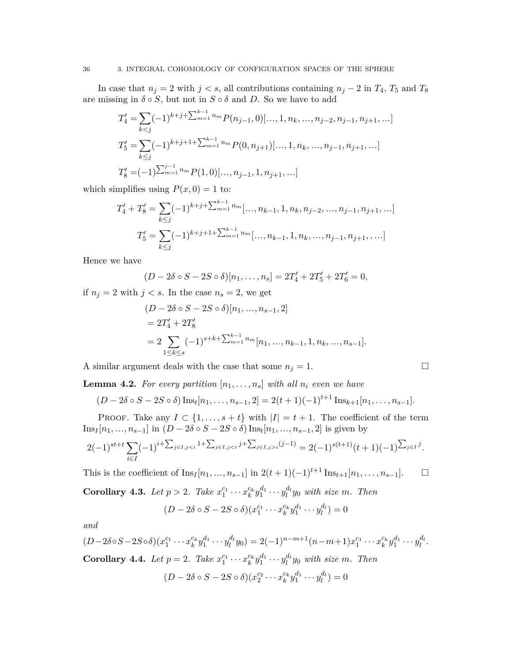In case that  $n_j = 2$  with  $j < s$ , all contributions containing  $n_j - 2$  in  $T_4$ ,  $T_5$  and  $T_8$ are missing in  $\delta \circ S$ , but not in  $S \circ \delta$  and D. So we have to add

$$
T'_{4} = \sum_{k < j} (-1)^{k+j+\sum_{m=1}^{k-1} n_m} P(n_{j-1}, 0), \ldots, 1, n_k, \ldots, n_{j-2}, n_{j-1}, n_{j+1}, \ldots]
$$
\n
$$
T'_{5} = \sum_{k \le j} (-1)^{k+j+1+\sum_{m=1}^{k-1} n_m} P(0, n_{j+1}), \ldots, 1, n_k, \ldots, n_{j-1}, n_{j+1}, \ldots]
$$
\n
$$
T'_{8} = (-1)^{\sum_{m=1}^{j-1} n_m} P(1, 0), \ldots, n_{j-1}, 1, n_{j+1}, \ldots]
$$

which simplifies using  $P(x, 0) = 1$  to:

$$
T'_{4} + T'_{8} = \sum_{k \leq j} (-1)^{k+j+1} \sum_{m=1}^{k-1} n_{m} \dots, n_{k-1}, 1, n_{k}, n_{j-2}, \dots, n_{j-1}, n_{j+1}, \dots]
$$
  

$$
T'_{5} = \sum_{k \leq j} (-1)^{k+j+1+1} \sum_{m=1}^{k-1} n_{m} \dots, n_{k-1}, 1, n_{k}, \dots, n_{j-1}, n_{j+1}, \dots]
$$

Hence we have

$$
(D - 2\delta \circ S - 2S \circ \delta)[n_1, \dots, n_s] = 2T'_4 + 2T'_5 + 2T'_6 = 0,
$$

if  $n_j = 2$  with  $j < s$ . In the case  $n_s = 2$ , we get

$$
(D - 2\delta \circ S - 2S \circ \delta)[n_1, ..., n_{s-1}, 2]
$$
  
=  $2T'_4 + 2T'_8$   
=  $2 \sum_{1 \le k \le s} (-1)^{s+k+\sum_{m=1}^{k-1} n_m} [n_1, ..., n_{k-1}, 1, n_k, ..., n_{s-1}].$ 

A similar argument deals with the case that some  $n_j = 1$ .

**Lemma 4.2.** For every partition  $[n_1, \ldots, n_s]$  with all  $n_i$  even we have

$$
(D-2\delta \circ S-2S \circ \delta) \operatorname{Ins}_t[n_1,\ldots,n_{s-1},2] = 2(t+1)(-1)^{t+1} \operatorname{Ins}_{k+1}[n_1,\ldots,n_{s-1}].
$$

PROOF. Take any  $I \subset \{1, \ldots, s+t\}$  with  $|I| = t + 1$ . The coefficient of the term Ins*<sup>I</sup>* [*n*1*,* ...*, ns*−1] in (*D* − 2*δ* ◦ *S* − 2*S* ◦ *δ*) Ins*<sup>t</sup>* [*n*1*,* ...*, ns*−1*,* 2] is given by

$$
2(-1)^{st+t} \sum_{i \in I} (-1)^{i+\sum_{j \in I, j < i} 1+\sum_{j \in I, j < i} j+\sum_{j \in I, j > i} (j-1)} = 2(-1)^{s(t+1)}(t+1)(-1)^{\sum_{j \in I} j}.
$$

This is the coefficient of  $\text{Ins}_I[n_1, ..., n_{s-1}]$  in  $2(t+1)(-1)^{t+1} \text{Ins}_{t+1}[n_1, ..., n_{s-1}]$ . □

<span id="page-36-0"></span>**Corollary 4.3.** Let  $p > 2$ . Take  $x_1^{c_1} \cdots x_k^{c_k} y_1^{d_1} \cdots y_l^{d_l} y_0$  with size m. Then

$$
(D - 2\delta \circ S - 2S \circ \delta)(x_1^{c_1} \cdots x_k^{c_k} y_1^{d_1} \cdots y_l^{d_l}) = 0
$$

*and*

$$
(D-2\delta \circ S - 2S \circ \delta)(x_1^{c_1} \cdots x_k^{c_k} y_1^{d_1} \cdots y_l^{d_l} y_0) = 2(-1)^{n-m+1}(n-m+1)x_1^{c_1} \cdots x_k^{c_k} y_1^{d_1} \cdots y_l^{d_l}.
$$
  
**Corollary 4.4.** Let  $p = 2$ . Take  $x_1^{c_1} \cdots x_k^{c_k} y_1^{d_1} \cdots y_l^{d_l} y_0$  with size m. Then

$$
(D-2\delta\circ S-2S\circ\delta)(x_2^{c_2}\cdots x_k^{c_k}y_1^{d_1}\cdots y_l^{d_l})=0
$$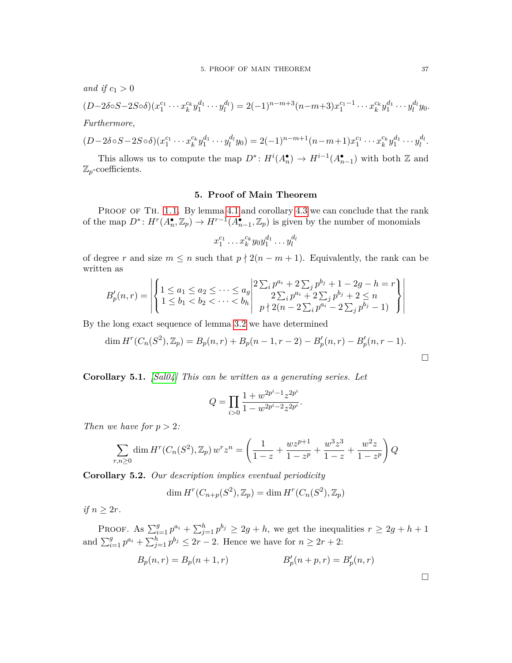*and if*  $c_1 > 0$ 

$$
(D-2\delta\circ S-2S\circ\delta)(x_1^{c_1}\cdots x_k^{c_k}y_1^{d_1}\cdots y_l^{d_l})=2(-1)^{n-m+3}(n-m+3)x_1^{c_1-1}\cdots x_k^{c_k}y_1^{d_1}\cdots y_l^{d_l}y_0.
$$

*Furthermore,*

$$
(D-2\delta\circ S-2S\circ\delta)(x_1^{c_1}\cdots x_k^{c_k}y_1^{d_1}\cdots y_l^{d_l}y_0)=2(-1)^{n-m+1}(n-m+1)x_1^{c_1}\cdots x_k^{c_k}y_1^{d_1}\cdots y_l^{d_l}.
$$

This allows us to compute the map  $D^*$ :  $H^i(A_n^{\bullet}) \to H^{i-1}(A_{n-1}^{\bullet})$  with both Z and Z*p*-coefficients.

#### **5. Proof of Main Theorem**

<span id="page-37-0"></span>PROOF OF TH. [1.1.](#page-24-0) By lemma [4.1](#page-34-1) and corollary [4.3](#page-36-0) we can conclude that the rank of the map  $D^*$ :  $H^r(A_n^{\bullet}, \mathbb{Z}_p) \to H^{r-1}(A_{n-1}^{\bullet}, \mathbb{Z}_p)$  is given by the number of monomials

$$
x_1^{c_1} \dots x_k^{c_k} y_0 y_1^{d_1} \dots y_l^{d_l}
$$

of degree *r* and size  $m \leq n$  such that  $p \nmid 2(n - m + 1)$ . Equivalently, the rank can be written as

$$
B'_p(n,r) = \left| \left\{ \begin{array}{l} 1 \le a_1 \le a_2 \le \cdots \le a_g \\ 1 \le b_1 < b_2 < \cdots < b_h \end{array} \right| \begin{array}{l} 2 \sum_i p^{a_i} + 2 \sum_j p^{b_j} + 1 - 2g - h = r \\ 2 \sum_i p^{a_i} + 2 \sum_j p^{b_j} + 2 \le n \\ p \nmid 2(n - 2 \sum_i p^{a_i} - 2 \sum_j p^{b_j} - 1) \end{array} \right\} \right|
$$

By the long exact sequence of lemma [3.2](#page-33-0) we have determined

$$
\dim H^{r}(C_n(S^2), \mathbb{Z}_p) = B_p(n, r) + B_p(n - 1, r - 2) - B'_p(n, r) - B'_p(n, r - 1).
$$

**Corollary 5.1.** *[\[Sal04\]](#page-55-7) This can be written as a generating series. Let*

$$
Q = \prod_{i>0} \frac{1 + w^{2p^i - 1} z^{2p^i}}{1 - w^{2p^i - 2} z^{2p^i}}.
$$

*Then we have for*  $p > 2$ *:* 

$$
\sum_{r,n\geq 0} \dim H^r(C_n(S^2), \mathbb{Z}_p) \, w^r z^n = \left(\frac{1}{1-z} + \frac{w z^{p+1}}{1-z^p} + \frac{w^3 z^3}{1-z} + \frac{w^2 z}{1-z^p}\right) Q
$$

**Corollary 5.2.** *Our description implies eventual periodicity*

$$
\dim H^r(C_{n+p}(S^2), \mathbb{Z}_p) = \dim H^r(C_n(S^2), \mathbb{Z}_p)
$$

*if*  $n \geq 2r$ *.* 

PROOF. As  $\sum_{i=1}^{g} p^{a_i} + \sum_{j=1}^{h} p^{b_j} \ge 2g + h$ , we get the inequalities  $r \ge 2g + h + 1$ and  $\sum_{i=1}^{g} p^{a_i} + \sum_{j=1}^{h} p^{b_j} \le 2r - 2$ . Hence we have for  $n \ge 2r + 2$ :

$$
B_p(n,r) = B_p(n+1,r) \qquad \qquad B'_p(n+p,r) = B'_p(n,r)
$$

 $\Box$ 

 $\Box$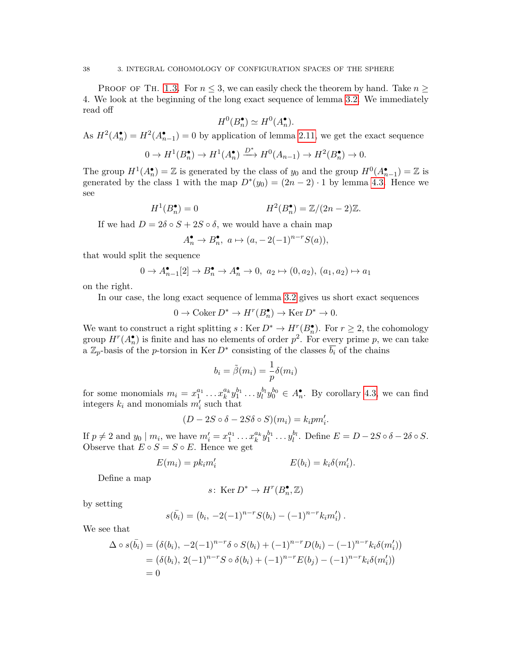PROOF OF TH. [1.3.](#page-24-1) For  $n \leq 3$ , we can easily check the theorem by hand. Take  $n \geq$ 4. We look at the beginning of the long exact sequence of lemma [3.2.](#page-33-0) We immediately read off

$$
H^0(B_n^{\bullet}) \simeq H^0(A_n^{\bullet}).
$$

As  $H^2(A_n^{\bullet}) = H^2(A_{n-1}^{\bullet}) = 0$  by application of lemma [2.11,](#page-30-0) we get the exact sequence

$$
0 \to H^1(B_n^{\bullet}) \to H^1(A_n^{\bullet}) \xrightarrow{D^*} H^0(A_{n-1}) \to H^2(B_n^{\bullet}) \to 0.
$$

The group  $H^1(A_n^{\bullet}) = \mathbb{Z}$  is generated by the class of  $y_0$  and the group  $H^0(A_{n-1}^{\bullet}) = \mathbb{Z}$  is generated by the class 1 with the map  $D^*(y_0) = (2n-2) \cdot 1$  by lemma [4.3.](#page-36-0) Hence we see

$$
H^1(B_n^{\bullet}) = 0 \qquad \qquad H^2(B_n^{\bullet}) = \mathbb{Z}/(2n-2)\mathbb{Z}.
$$

If we had  $D = 2\delta \circ S + 2S \circ \delta$ , we would have a chain map

$$
A_n^{\bullet} \to B_n^{\bullet}, \ a \mapsto (a, -2(-1)^{n-r}S(a)),
$$

that would split the sequence

$$
0 \to A_{n-1}^{\bullet}[2] \to B_n^{\bullet} \to A_n^{\bullet} \to 0, \ a_2 \mapsto (0, a_2), \ (a_1, a_2) \mapsto a_1
$$

on the right.

In our case, the long exact sequence of lemma [3.2](#page-33-0) gives us short exact sequences

$$
0 \to \operatorname{Coker} D^* \to H^r(B_n^{\bullet}) \to \operatorname{Ker} D^* \to 0.
$$

We want to construct a right splitting  $s : \text{Ker } D^* \to H^r(B_n)$ . For  $r \geq 2$ , the cohomology group  $H^r(A_n^{\bullet})$  is finite and has no elements of order  $p^2$ . For every prime p, we can take a  $\mathbb{Z}_p$ -basis of the *p*-torsion in Ker  $D^*$  consisting of the classes  $\overline{b_i}$  of the chains

$$
b_i = \tilde{\beta}(m_i) = \frac{1}{p}\delta(m_i)
$$

for some monomials  $m_i = x_1^{a_1} \dots x_k^{a_k} y_1^{b_1} \dots y_l^{b_l} y_0^{b_0} \in A_n^{\bullet}$ . By corollary [4.3,](#page-36-0) we can find integers  $k_i$  and monomials  $m'_i$  such that

$$
(D-2S \circ \delta - 2S\delta \circ S)(m_i) = k_i p m'_i.
$$

If  $p \neq 2$  and  $y_0 | m_i$ , we have  $m'_i = x_1^{a_1} \dots x_k^{a_k} y_1^{b_1} \dots y_l^{b_l}$ . Define  $E = D - 2S \circ \delta - 2\delta \circ S$ . Observe that  $E \circ S = S \circ E$ . Hence we get

$$
E(m_i) = p k_i m'_i
$$
 
$$
E(b_i) = k_i \delta(m'_i).
$$

Define a map

s: Ker 
$$
D^* \to H^r(B_n^{\bullet}, \mathbb{Z})
$$

by setting

$$
s(\bar{b_i}) = (b_i, -2(-1)^{n-r}S(b_i) - (-1)^{n-r}k_im'_i).
$$

We see that

$$
\Delta \circ s(\bar{b_i}) = (\delta(b_i), -2(-1)^{n-r} \delta \circ S(b_i) + (-1)^{n-r} D(b_i) - (-1)^{n-r} k_i \delta(m'_i))
$$
  
=  $(\delta(b_i), 2(-1)^{n-r} S \circ \delta(b_i) + (-1)^{n-r} E(b_j) - (-1)^{n-r} k_i \delta(m'_i))$   
= 0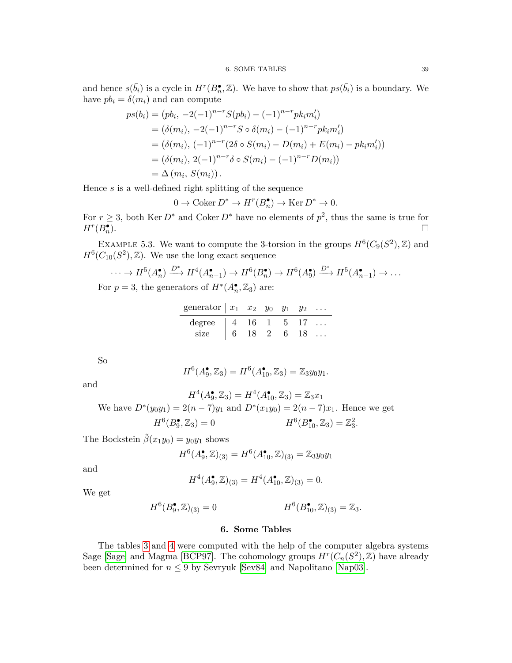and hence  $s(\bar{b}_i)$  is a cycle in  $H^r(B_n^{\bullet}, \mathbb{Z})$ . We have to show that  $ps(\bar{b}_i)$  is a boundary. We have  $pb_i = \delta(m_i)$  and can compute

$$
ps(\bar{b_i}) = (pb_i, -2(-1)^{n-r}S(pb_i) - (-1)^{n-r}pk_im'_i)
$$
  
=  $(\delta(m_i), -2(-1)^{n-r}S \circ \delta(m_i) - (-1)^{n-r}pk_im'_i)$   
=  $(\delta(m_i), (-1)^{n-r}(2\delta \circ S(m_i) - D(m_i) + E(m_i) - pk_im'_i))$   
=  $(\delta(m_i), 2(-1)^{n-r}\delta \circ S(m_i) - (-1)^{n-r}D(m_i))$   
=  $\Delta(m_i, S(m_i)).$ 

Hence *s* is a well-defined right splitting of the sequence

 $0 \to \text{Coker } D^* \to H^r(B_n^{\bullet}) \to \text{Ker } D^* \to 0.$ 

For  $r \geq 3$ , both Ker  $D^*$  and Coker  $D^*$  have no elements of  $p^2$ , thus the same is true for  $H^r(B_n^{\bullet})$ ).  $\Box$ 

EXAMPLE 5.3. We want to compute the 3-torsion in the groups  $H^6(C_9(S^2), \mathbb{Z})$  and  $H^6(C_{10}(S^2), \mathbb{Z})$ . We use the long exact sequence

$$
\cdots \to H^5(A_n^{\bullet}) \xrightarrow{D^*} H^4(A_{n-1}^{\bullet}) \to H^6(B_n^{\bullet}) \to H^6(A_9^{\bullet}) \xrightarrow{D^*} H^5(A_{n-1}^{\bullet}) \to \cdots
$$
  
\n
$$
\cdots \to H^5(A_n^{\bullet}) \xrightarrow{D^*} H^4(A_{n-1}^{\bullet}) \to H^6(B_n^{\bullet}) \to H^6(A_9^{\bullet}) \xrightarrow{D^*} H^5(A_{n-1}^{\bullet}) \to \cdots
$$

For  $p = 3$ , the generators of  $H^*(A_n^{\bullet}, \mathbb{Z}_3)$  are:

| generator $x_1$ $x_2$ $y_0$ $y_1$ $y_2$                       |  |  |  |
|---------------------------------------------------------------|--|--|--|
| degree $\begin{array}{ ccc } 4 & 16 & 1 & 5 & 17 \end{array}$ |  |  |  |
| size   6 18 2 6 18                                            |  |  |  |

So

and

$$
H^{6}(A_9^{\bullet}, \mathbb{Z}_3) = H^{6}(A_{10}^{\bullet}, \mathbb{Z}_3) = \mathbb{Z}_3 y_0 y_1.
$$

 $H^4(A_9^{\bullet}, \mathbb{Z}_3) = H^4(A_{10}^{\bullet}, \mathbb{Z}_3) = \mathbb{Z}_3 x_1$ We have  $D^*(y_0y_1) = 2(n-7)y_1$  and  $D^*(x_1y_0) = 2(n-7)x_1$ . Hence we get  $H^6(B_9^{\bullet}, \mathbb{Z}_3) = 0$  *H*<sup>6</sup>  $(B_{10}^{\bullet}, \mathbb{Z}_3) = \mathbb{Z}_3^2.$ 

The Bockstein  $\tilde{\beta}(x_1y_0) = y_0y_1$  shows

$$
H^{6}(A_9^{\bullet},\mathbb{Z})_{(3)} = H^{6}(A_{10}^{\bullet},\mathbb{Z})_{(3)} = \mathbb{Z}_3 y_0 y_1
$$

and

$$
H^4(A_9^{\bullet}, \mathbb{Z})_{(3)} = H^4(A_{10}^{\bullet}, \mathbb{Z})_{(3)} = 0.
$$

We get

$$
H^{6}(B_9^{\bullet},\mathbb{Z})_{(3)} = 0 \qquad \qquad H^{6}(B_{10}^{\bullet},\mathbb{Z})_{(3)} = \mathbb{Z}_3.
$$

#### **6. Some Tables**

<span id="page-39-0"></span>The tables [3](#page-40-0) and [4](#page-40-0) were computed with the help of the computer algebra systems Sage [\[Sage\]](#page-55-5) and Magma [\[BCP97\]](#page-53-13). The cohomology groups  $H^r(C_n(S^2), \mathbb{Z})$  have already been determined for  $n \leq 9$  by Sevryuk [\[Sev84\]](#page-55-8) and Napolitano [\[Nap03\]](#page-55-4).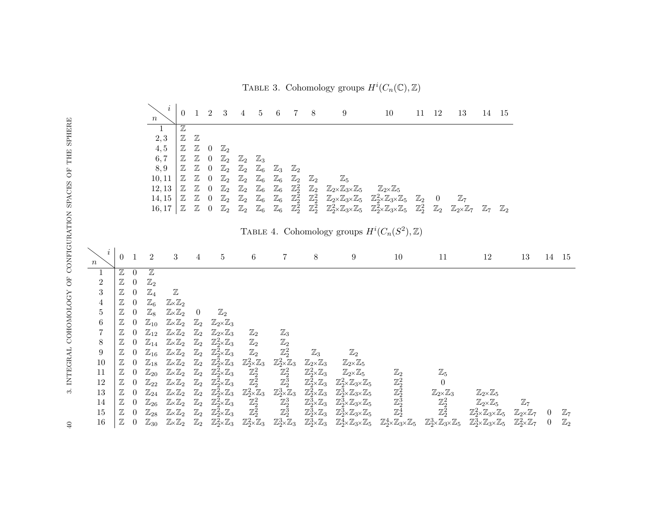*n*  $\begin{array}{cccccccccccccc} i & 0 & 1 & 2 & 3 & 4 & 5 & 6 & 7 & 8 & 9 & 10 & 11 & 12 & 13 & 14 & 15 \end{array}$  $\overline{\mathbb{Z}}$  $2,3$   $\mathbb{Z}$   $\mathbb{Z}$  $4,5$   $\boxed{Z}$   $\boxed{Z}$  0  $\boxed{Z}_2$ 6,7  $\mathbb{Z}$   $\mathbb{Z}$  0  $\mathbb{Z}_2$   $\mathbb{Z}_2$   $\mathbb{Z}_3$ 8*,* 9 Z Z 0 Z<sup>2</sup> Z<sup>2</sup> Z<sup>6</sup> Z<sup>3</sup> Z<sup>2</sup>  $10, 11 \mid \mathbb{Z} \quad \mathbb{Z} \quad 0 \quad \mathbb{Z}_2 \quad \mathbb{Z}_2 \quad \mathbb{Z}_6 \quad \mathbb{Z}_6 \quad \mathbb{Z}_2 \quad \mathbb{Z}_2 \qquad \mathbb{Z}_5$  $12, 13 \mid \mathbb{Z}$   $\mathbb{Z}$  0  $\mathbb{Z}_2$   $\mathbb{Z}_2$   $\mathbb{Z}_6$   $\mathbb{Z}_6$   $\mathbb{Z}_2^2$   $\mathbb{Z}_2$   $\mathbb{Z}_2 \times \mathbb{Z}_3 \times \mathbb{Z}_5$   $\mathbb{Z}_2 \times \mathbb{Z}_5$ <sup>14</sup>*,* <sup>15</sup> <sup>Z</sup> <sup>Z</sup> <sup>0</sup> <sup>Z</sup><sup>2</sup> <sup>Z</sup><sup>2</sup> <sup>Z</sup><sup>6</sup> <sup>Z</sup><sup>6</sup> <sup>Z</sup>22 <sup>Z</sup>22 <sup>Z</sup>2<sup>×</sup>Z3<sup>×</sup>Z<sup>5</sup> <sup>Z</sup>22×Z3<sup>×</sup>Z<sup>5</sup> <sup>Z</sup><sup>2</sup> <sup>0</sup> <sup>Z</sup><sup>7</sup> <sup>16</sup>*,* <sup>17</sup> <sup>Z</sup> <sup>Z</sup> <sup>0</sup> <sup>Z</sup><sup>2</sup> <sup>Z</sup><sup>2</sup> <sup>Z</sup><sup>6</sup> <sup>Z</sup><sup>6</sup> <sup>Z</sup>22 <sup>Z</sup>22 <sup>Z</sup>22×Z3<sup>×</sup>Z<sup>5</sup> <sup>Z</sup>22×Z3<sup>×</sup>Z<sup>5</sup> <sup>Z</sup>22 <sup>Z</sup><sup>2</sup> <sup>Z</sup>2<sup>×</sup>Z<sup>7</sup> <sup>Z</sup><sup>7</sup> <sup>Z</sup><sup>2</sup> TABLE 4. Cohomology groups  $H^i(C_n(S^2), \mathbb{Z})$ *n <sup>i</sup>* <sup>0</sup> <sup>1</sup> <sup>2</sup> <sup>3</sup> <sup>4</sup> <sup>5</sup> <sup>6</sup> <sup>7</sup> <sup>8</sup> <sup>9</sup> <sup>10</sup> <sup>11</sup> <sup>12</sup> <sup>13</sup> <sup>14</sup> <sup>15</sup>  $1 \mid \mathbb{Z} \mid 0 \mid \mathbb{Z}$  $2 \mid \mathbb{Z} \quad 0 \quad \mathbb{Z}_2$  $3 \mid \mathbb{Z} \quad 0 \quad \mathbb{Z}_4 \qquad \mathbb{Z}$ 4  $\mathbb{Z}$  0  $\mathbb{Z}_6$   $\mathbb{Z}_\times \mathbb{Z}_2$  $5 \mid \mathbb{Z} \quad 0 \quad \mathbb{Z}_8 \quad \mathbb{Z}_\times \mathbb{Z}_2 \quad 0 \qquad \mathbb{Z}_2$ 6  $\mathbb{Z}$  0  $\mathbb{Z}_{10}$   $\mathbb{Z}\times\mathbb{Z}_2$   $\mathbb{Z}_2$   $\mathbb{Z}_2\times\mathbb{Z}_3$  $7$  | Z  $0$   $\mathbb{Z}_{12}$  Zx $\mathbb{Z}_2$   $\mathbb{Z}_2$   $\mathbb{Z}_2$ x $\mathbb{Z}_3$   $\mathbb{Z}_2$   $\mathbb{Z}_3$  $8$   $\mid$   $\mathbb{Z}$   $0$   $\mathbb{Z}_{14}$   $\mathbb{Z}{\times}\mathbb{Z}_{2}$   $\mathbb{Z}_{2}$   $\mathbb{Z}_{2}$   $\mathbb{Z}_{2}$   $\mathbb{Z}_{2}$   $\mathbb{Z}_{2}$   $\mathbb{Z}_{2}$  $9$   $\mid$   $\mathbb{Z}$   $0$   $\mathbb{Z}_{16}$   $\mathbb{Z}_{\times}\mathbb{Z}_{2}$   $\mathbb{Z}_{2}$   $\mathbb{Z}_{2}^{2}\mathbb{Z}_{3}$   $\mathbb{Z}_{2}$   $\mathbb{Z}_{2}$   $\mathbb{Z}_{2}$   $\mathbb{Z}_{3}$   $\mathbb{Z}_{2}$  $10$   $\mathbb{Z}$   $0$   $\mathbb{Z}_{18}$   $\mathbb{Z}_\times\mathbb{Z}_2$   $\mathbb{Z}_2$   $\mathbb{Z}_2^2{\times}\mathbb{Z}_3$   $\mathbb{Z}_2^2{\times}\mathbb{Z}_3$   $\mathbb{Z}_2{\times}\mathbb{Z}_3$   $\mathbb{Z}_2{\times}\mathbb{Z}_5$  $11$   $\mid$   $\mathbb{Z}$   $\;0$   $\mathbb{Z}_{20}$   $\mathbb{Z}_{2} \times \mathbb{Z}_{2}$   $\mathbb{Z}_{2}^{2} \times \mathbb{Z}_{3}$   $\mathbb{Z}_{2}^{2}$   $\mathbb{Z}_{2}^{2}$   $\mathbb{Z}_{2}^{2} \times \mathbb{Z}_{2}$   $\mathbb{Z}_{3}$   $\mathbb{Z}_{2}$   $\mathbb{Z}_{2}$   $\mathbb{Z}_{5}$   $\mathbb{Z}_{2}$   $\mathbb{Z}_{5}$  $12$   $\boxed{\mathbb{Z}}$  0  $\mathbb{Z}_{22}$   $\mathbb{Z}_\times\mathbb{Z}_2$   $\mathbb{Z}_2$   $\mathbb{Z}_2^2\times\mathbb{Z}_3$   $\mathbb{Z}_2^2\times\mathbb{Z}_3$   $\mathbb{Z}_2^2\times\mathbb{Z}_3\times\mathbb{Z}_5$   $\mathbb{Z}_2^2$   $\boxed{2}$  0  $13$   $\boxed{\mathbb{Z}}$   $0$   $\mathbb{Z}_{24}$   $\mathbb{Z}_\times\mathbb{Z}_2$   $\mathbb{Z}_2$   $\mathbb{Z}_3^2\times\mathbb{Z}_3$   $\mathbb{Z}_2^3\times\mathbb{Z}_3$   $\mathbb{Z}_2^2\times\mathbb{Z}_3$   $\mathbb{Z}_3^2\times\mathbb{Z}_2$   $\mathbb{Z}_2^2$   $\mathbb{Z}_2^2$   $\mathbb{Z}_2^2\times\mathbb{Z}_3$   $\mathbb{Z}_2\times\mathbb{Z}_5$  $14$   $\quad$   $\!Z$   $\!0$   $\mathbb{Z}_{26}$   $\mathbb{Z}_{\times}\mathbb{Z}_{2}$   $\mathbb{Z}_{2}$   $\mathbb{Z}_{2}^{2}$   $\mathbb{Z}_{2}^{3}$   $\mathbb{Z}_{2}^{3}\mathbb{Z}_{2}$   $\mathbb{Z}_{2}^{3}$   $\mathbb{Z}_{2}^{3}$   $\mathbb{Z}_{2}^{3}$   $\mathbb{Z}_{2}^{3}$   $\mathbb{Z}_{2}^{3}$   $\mathbb{Z}_{2}$   $\mathbb{Z}_{2}\mathbb{Z}_{5}$   $\mathbb{Z}_{7}$  $15$   $\mid$   $\mathbb{Z}$   $0$   $\mathbb{Z}_{28}$   $\mathbb{Z}_{24}$   $\mathbb{Z}_{2}$   $\mathbb{Z}_{2}^2$   $\mathbb{Z}_2^2$   $\mathbb{Z}_2^3$   $\mathbb{Z}_2^3$   $\mathbb{Z}_2^3$   $\mathbb{Z}_2^2$   $\mathbb{Z}_2^2$   $\mathbb{Z}_2^2$   $\mathbb{Z}_2^2$   $\mathbb{Z}_2^2$   $\mathbb{Z}_2^2$   $\mathbb{Z}_2^2$   $\mathbb{Z}_2^2$   $\mathbb{Z$  $16$   $\mathbb{Z}$  0  $\mathbb{Z}_{30}$   $\mathbb{Z}_\times\mathbb{Z}_2$   $\mathbb{Z}_2$   $\mathbb{Z}_2^2 \times \mathbb{Z}_3$   $\mathbb{Z}_2^3 \times \mathbb{Z}_3$   $\mathbb{Z}_2^3 \times \mathbb{Z}_3$   $\mathbb{Z}_2^4 \times \mathbb{Z}_3$   $\mathbb{Z}_2^4 \times \mathbb{Z}_3$   $\mathbb{Z}_2^4 \times \mathbb{Z}_3$   $\mathbb{Z}_2^3$   $\mathbb{Z}_3 \times \mathbb{Z}_4$   $\mathbb{Z}_3$ 

TABLE 3. Cohomology groups  $H^i(C_n(\mathbb{C}), \mathbb{Z})$ 

<span id="page-40-0"></span>

 $\Theta$ 

3. INTEGRAL COHOMOLOGY OF CONFIGURATION SPACES OF THE SPHERE 40 3. INTEGRAL COHOMOLOGY OF CONFIGURATION SPACES OF THE SPHERE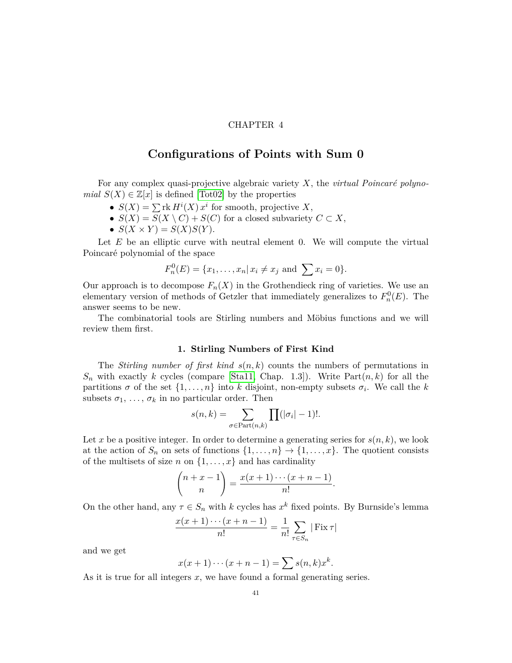#### CHAPTER 4

#### <span id="page-41-0"></span>**Configurations of Points with Sum 0**

For any complex quasi-projective algebraic variety X, the *virtual Poincaré polynomial*  $S(X) \in \mathbb{Z}[x]$  is defined [\[Tot02\]](#page-55-12) by the properties

- $S(X) = \sum_{i}^{\infty} \text{rk } H^{i}(X) x^{i}$  for smooth, projective X,
- $S(X) = S(X \setminus C) + S(C)$  for a closed subvariety  $C \subset X$ ,
- $S(X \times Y) = S(X)S(Y)$ .

Let *E* be an elliptic curve with neutral element 0. We will compute the virtual Poincaré polynomial of the space

$$
F_n^0(E) = \{x_1, \ldots, x_n | x_i \neq x_j \text{ and } \sum x_i = 0\}.
$$

Our approach is to decompose  $F_n(X)$  in the Grothendieck ring of varieties. We use an elementary version of methods of Getzler that immediately generalizes to  $F_n^0(E)$ . The answer seems to be new.

The combinatorial tools are Stirling numbers and Möbius functions and we will review them first.

#### **1. Stirling Numbers of First Kind**

<span id="page-41-1"></span>The *Stirling number of first kind*  $s(n, k)$  counts the numbers of permutations in  $S_n$  with exactly *k* cycles (compare [\[Sta11,](#page-55-13) Chap. 1.3]). Write Part $(n, k)$  for all the partitions  $\sigma$  of the set  $\{1, \ldots, n\}$  into  $k$  disjoint, non-empty subsets  $\sigma_i$ . We call the  $k$ subsets  $\sigma_1, \ldots, \sigma_k$  in no particular order. Then

$$
s(n,k) = \sum_{\sigma \in \text{Part}(n,k)} \prod(|\sigma_i| - 1)!.
$$

Let x be a positive integer. In order to determine a generating series for  $s(n, k)$ , we look at the action of  $S_n$  on sets of functions  $\{1, \ldots, n\} \rightarrow \{1, \ldots, x\}$ . The quotient consists of the multisets of size *n* on  $\{1, \ldots, x\}$  and has cardinality

$$
\binom{n+x-1}{n} = \frac{x(x+1)\cdots(x+n-1)}{n!}.
$$

On the other hand, any  $\tau \in S_n$  with *k* cycles has  $x^k$  fixed points. By Burnside's lemma

$$
\frac{x(x+1)\cdots(x+n-1)}{n!} = \frac{1}{n!} \sum_{\tau \in S_n} |\operatorname{Fix} \tau|
$$

and we get

$$
x(x+1)\cdots(x+n-1) = \sum s(n,k)x^k
$$

*.*

As it is true for all integers *x*, we have found a formal generating series.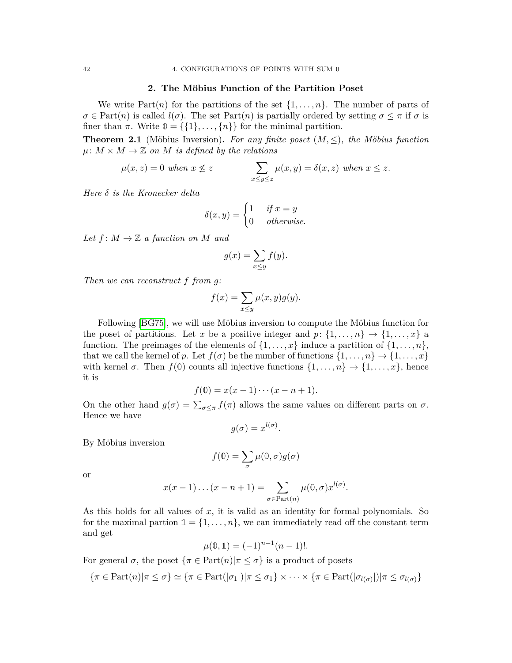#### **2. The M¨obius Function of the Partition Poset**

<span id="page-42-0"></span>We write  $Part(n)$  for the partitions of the set  $\{1, \ldots, n\}$ . The number of parts of  $\sigma \in \text{Part}(n)$  is called  $l(\sigma)$ . The set  $\text{Part}(n)$  is partially ordered by setting  $\sigma \leq \pi$  if  $\sigma$  is finer than  $\pi$ . Write  $\mathbb{O} = \{\{1\}, \ldots, \{n\}\}\$ for the minimal partition.

**Theorem 2.1** (Möbius Inversion). For any finite poset  $(M, \leq)$ , the Möbius function  $\mu: M \times M \to \mathbb{Z}$  *on M is defined by the relations* 

$$
\mu(x, z) = 0 \text{ when } x \nleq z \qquad \qquad \sum_{x \leq y \leq z} \mu(x, y) = \delta(x, z) \text{ when } x \leq z.
$$

*Here δ is the Kronecker delta*

$$
\delta(x, y) = \begin{cases} 1 & \text{if } x = y \\ 0 & \text{otherwise.} \end{cases}
$$

*Let*  $f: M \to \mathbb{Z}$  *a function on M and* 

$$
g(x) = \sum_{x \le y} f(y).
$$

*Then we can reconstruct f from g:*

$$
f(x) = \sum_{x \le y} \mu(x, y)g(y).
$$

Following [\[BG75\]](#page-53-14), we will use Möbius inversion to compute the Möbius function for the poset of partitions. Let *x* be a positive integer and  $p: \{1, \ldots, n\} \rightarrow \{1, \ldots, x\}$  a function. The preimages of the elements of  $\{1, \ldots, x\}$  induce a partition of  $\{1, \ldots, n\}$ , that we call the kernel of *p*. Let  $f(\sigma)$  be the number of functions  $\{1, \ldots, n\} \rightarrow \{1, \ldots, x\}$ with kernel  $\sigma$ . Then  $f(\mathbb{O})$  counts all injective functions  $\{1, \ldots, n\} \to \{1, \ldots, x\}$ , hence it is

$$
f(\mathbb{0}) = x(x-1)\cdots(x-n+1).
$$

On the other hand  $g(\sigma) = \sum_{\sigma \leq \pi} f(\pi)$  allows the same values on different parts on  $\sigma$ . Hence we have

$$
g(\sigma) = x^{l(\sigma)}.
$$

By Möbius inversion

$$
f(\mathbb{0})=\sum_{\sigma}\mu(\mathbb{0},\sigma)g(\sigma)
$$

or

$$
x(x-1)...(x-n+1) = \sum_{\sigma \in Part(n)} \mu(0,\sigma)x^{l(\sigma)}.
$$

As this holds for all values of *x*, it is valid as an identity for formal polynomials. So for the maximal partion  $\mathbb{1} = \{1, \ldots, n\}$ , we can immediately read off the constant term and get

$$
\mu(\mathbb{0}, \mathbb{1}) = (-1)^{n-1}(n-1)!
$$

For general  $\sigma$ , the poset  $\{\pi \in \text{Part}(n)| \pi \leq \sigma\}$  is a product of posets

$$
\{\pi \in \text{Part}(n)|\pi \leq \sigma\} \simeq \{\pi \in \text{Part}(|\sigma_1|)|\pi \leq \sigma_1\} \times \cdots \times \{\pi \in \text{Part}(|\sigma_{l(\sigma)}|)|\pi \leq \sigma_{l(\sigma)}\}
$$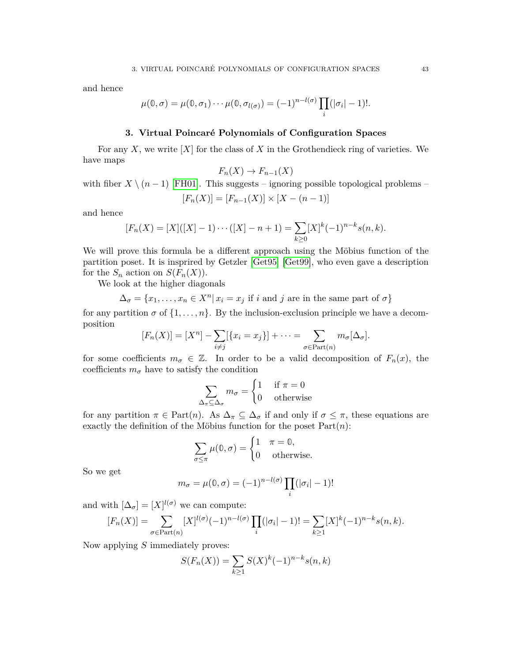and hence

$$
\mu(\mathbb{0},\sigma)=\mu(\mathbb{0},\sigma_1)\cdots\mu(\mathbb{0},\sigma_{l(\sigma)})=(-1)^{n-l(\sigma)}\prod_i(|\sigma_i|-1)!.
$$

#### **3. Virtual Poincar´e Polynomials of Configuration Spaces**

<span id="page-43-0"></span>For any *X*, we write [*X*] for the class of *X* in the Grothendieck ring of varieties. We have maps

$$
F_n(X) \to F_{n-1}(X)
$$

with fiber  $X \ (n-1)$  [\[FH01\]](#page-54-1). This suggests – ignoring possible topological problems –

$$
[F_n(X)] = [F_{n-1}(X)] \times [X - (n-1)]
$$

and hence

$$
[F_n(X) = [X]([X] - 1) \cdots ([X] - n + 1) = \sum_{k \ge 0} [X]^k (-1)^{n-k} s(n, k).
$$

We will prove this formula be a different approach using the Möbius function of the partition poset. It is insprired by Getzler [\[Get95\]](#page-54-10) [\[Get99\]](#page-54-11), who even gave a description for the  $S_n$  action on  $S(F_n(X))$ .

We look at the higher diagonals

$$
\Delta_{\sigma} = \{x_1, \dots, x_n \in X^n | x_i = x_j \text{ if } i \text{ and } j \text{ are in the same part of } \sigma \}
$$

for any partition  $\sigma$  of  $\{1, \ldots, n\}$ . By the inclusion-exclusion principle we have a decomposition

$$
[F_n(X)] = [X^n] - \sum_{i \neq j} [\{x_i = x_j\}] + \cdots = \sum_{\sigma \in \text{Part}(n)} m_{\sigma}[\Delta_{\sigma}].
$$

for some coefficients  $m_{\sigma} \in \mathbb{Z}$ . In order to be a valid decomposition of  $F_n(x)$ , the coefficients  $m_{\sigma}$  have to satisfy the condition

$$
\sum_{\Delta_{\pi} \subseteq \Delta_{\sigma}} m_{\sigma} = \begin{cases} 1 & \text{if } \pi = 0 \\ 0 & \text{otherwise} \end{cases}
$$

for any partition  $\pi \in Part(n)$ . As  $\Delta_{\pi} \subseteq \Delta_{\sigma}$  if and only if  $\sigma \leq \pi$ , these equations are exactly the definition of the Möbius function for the poset  $Part(n)$ :

$$
\sum_{\sigma \le \pi} \mu(0, \sigma) = \begin{cases} 1 & \pi = 0, \\ 0 & \text{otherwise.} \end{cases}
$$

So we get

$$
m_{\sigma} = \mu(0, \sigma) = (-1)^{n-l(\sigma)} \prod_{i} (|\sigma_i| - 1)!
$$

and with  $[\Delta_{\sigma}] = [X]^{l(\sigma)}$  we can compute:

$$
[F_n(X)] = \sum_{\sigma \in \text{Part}(n)} [X]^{l(\sigma)} (-1)^{n-l(\sigma)} \prod_i (|\sigma_i| - 1)! = \sum_{k \ge 1} [X]^k (-1)^{n-k} s(n, k).
$$

Now applying *S* immediately proves:

$$
S(F_n(X)) = \sum_{k \ge 1} S(X)^k (-1)^{n-k} s(n,k)
$$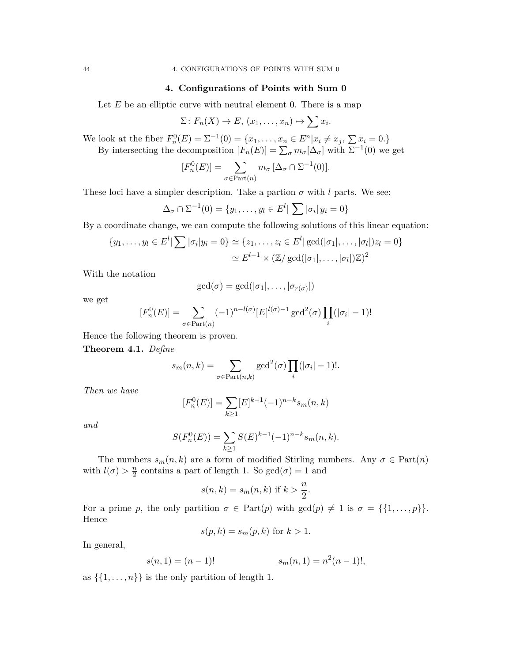#### **4. Configurations of Points with Sum 0**

<span id="page-44-0"></span>Let  $E$  be an elliptic curve with neutral element 0. There is a map

$$
\Sigma\colon F_n(X)\to E,\ (x_1,\ldots,x_n)\mapsto \sum x_i.
$$

We look at the fiber  $F_n^0(E) = \sum_{i=1}^{n} (0) = \{x_1, \ldots, x_n \in E^n | x_i \neq x_j, \sum_{i=1}^{n} x_i = 0.\}$ By intersecting the decomposition  $[F_n(E)] = \sum_{\sigma} m_{\sigma}[\Delta_{\sigma}]$  with  $\Sigma^{-1}(0)$  we get

$$
[F_n^0(E)] = \sum_{\sigma \in \text{Part}(n)} m_{\sigma} [\Delta_{\sigma} \cap \Sigma^{-1}(0)].
$$

These loci have a simpler description. Take a partion  $\sigma$  with *l* parts. We see:

$$
\Delta_{\sigma} \cap \Sigma^{-1}(0) = \{y_1, \ldots, y_l \in E^l | \sum |\sigma_i| \ y_i = 0\}
$$

By a coordinate change, we can compute the following solutions of this linear equation:

$$
\{y_1, \ldots, y_l \in E^l | \sum |\sigma_i| y_i = 0\} \simeq \{z_1, \ldots, z_l \in E^l | \gcd(|\sigma_1|, \ldots, |\sigma_l|) z_l = 0\}
$$

$$
\simeq E^{l-1} \times (\mathbb{Z}/\gcd(|\sigma_1|, \ldots, |\sigma_l|) \mathbb{Z})^2
$$

With the notation

$$
\gcd(\sigma) = \gcd(|\sigma_1|, \ldots, |\sigma_{r(\sigma)}|)
$$

we get

$$
[F_n^0(E)] = \sum_{\sigma \in \text{Part}(n)} (-1)^{n-l(\sigma)} [E]^{l(\sigma)-1} \gcd^2(\sigma) \prod_i (|\sigma_i| - 1)!
$$

Hence the following theorem is proven.

**Theorem 4.1.** *Define*

$$
s_m(n,k) = \sum_{\sigma \in \text{Part}(n,k)} \gcd^2(\sigma) \prod_i (|\sigma_i| - 1)!.
$$

*Then we have*

$$
[F_n^0(E)] = \sum_{k \ge 1} [E]^{k-1} (-1)^{n-k} s_m(n,k)
$$

*and*

$$
S(F_n^0(E)) = \sum_{k \ge 1} S(E)^{k-1} (-1)^{n-k} s_m(n, k).
$$

The numbers  $s_m(n, k)$  are a form of modified Stirling numbers. Any  $\sigma \in Part(n)$ with  $l(\sigma) > \frac{n}{2}$  $\frac{n}{2}$  contains a part of length 1. So  $gcd(\sigma) = 1$  and

$$
s(n,k) = s_m(n,k)
$$
 if  $k > \frac{n}{2}$ .

For a prime *p*, the only partition  $\sigma \in Part(p)$  with  $gcd(p) \neq 1$  is  $\sigma = \{\{1, \ldots, p\}\}.$ Hence

$$
s(p,k) = s_m(p,k)
$$
 for  $k > 1$ .

In general,

$$
s(n,1) = (n-1)!
$$
  

$$
s_m(n,1) = n^2(n-1)!,
$$

as  $\{\{1, \ldots, n\}\}\$ is the only partition of length 1.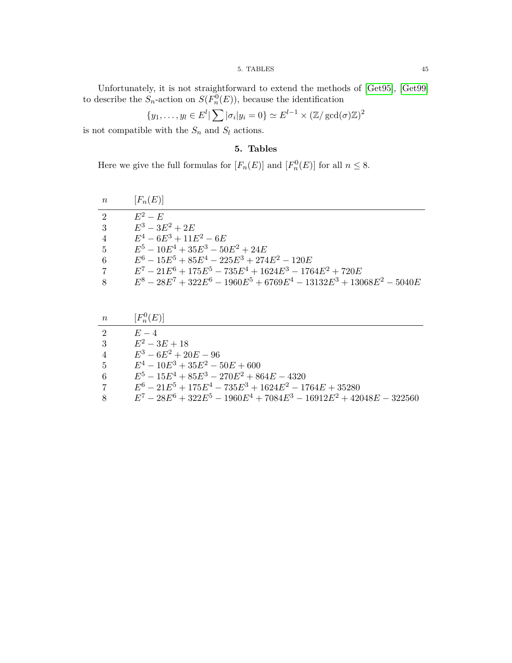#### 5. TABLES 45

Unfortunately, it is not straightforward to extend the methods of [\[Get95\]](#page-54-10), [\[Get99\]](#page-54-11) to describe the  $S_n$ -action on  $S(F_n^0(E))$ , because the identification

$$
\{y_1, \ldots, y_l \in E^l | \sum |\sigma_i| y_i = 0\} \simeq E^{l-1} \times (\mathbb{Z}/\gcd(\sigma)\mathbb{Z})^2
$$

<span id="page-45-0"></span>is not compatible with the  $S_n$  and  $S_l$  actions.

#### **5. Tables**

Here we give the full formulas for  $[F_n(E)]$  and  $[F_n^0(E)]$  for all  $n \leq 8$ .

| $\boldsymbol{n}$ | $[F_n(E)]$                                                               |
|------------------|--------------------------------------------------------------------------|
| $\mathcal{D}$    | $E^2-E$                                                                  |
| -3               | $E^3 - 3E^2 + 2E$                                                        |
| $\overline{4}$   | $E^4 - 6E^3 + 11E^2 - 6E$                                                |
| $5\overline{)}$  | $E^5 - 10E^4 + 35E^3 - 50E^2 + 24E$                                      |
| 6                | $E^6 - 15E^5 + 85E^4 - 225E^3 + 274E^2 - 120E$                           |
| 7                | $E^7 - 21E^6 + 175E^5 - 735E^4 + 1624E^3 - 1764E^2 + 720E$               |
| 8                | $E^8 - 28E^7 + 322E^6 - 1960E^5 + 6769E^4 - 13132E^3 + 13068E^2 - 5040E$ |

| $n_{-}$              | $[F_n^0(E)]$                                                            |
|----------------------|-------------------------------------------------------------------------|
| $\overline{2}$       | $E-4$                                                                   |
| 3                    | $E^2 - 3E + 18$                                                         |
| $4\phantom{.0000}\,$ | $E^3 - 6E^2 + 20E - 96$                                                 |
| $5-5$                | $E^4 - 10E^3 + 35E^2 - 50E + 600$                                       |
| 6                    | $E^5 - 15E^4 + 85E^3 - 270E^2 + 864E - 4320$                            |
| $\overline{7}$       | $E^6 - 21E^5 + 175E^4 - 735E^3 + 1624E^2 - 1764E + 35280$               |
| 8                    | $E^7 - 28E^6 + 322E^5 - 1960E^4 + 7084E^3 - 16912E^2 + 42048E - 322560$ |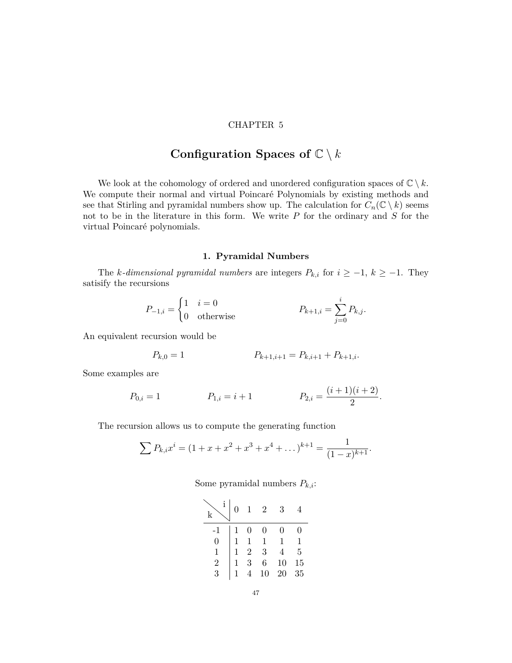#### CHAPTER 5

# Configuration Spaces of  $\mathbb{C} \setminus k$

<span id="page-47-0"></span>We look at the cohomology of ordered and unordered configuration spaces of  $\mathbb{C} \setminus k$ . We compute their normal and virtual Poincaré Polynomials by existing methods and see that Stirling and pyramidal numbers show up. The calculation for  $C_n(\mathbb{C} \setminus k)$  seems not to be in the literature in this form. We write *P* for the ordinary and *S* for the virtual Poincaré polynomials.

#### **1. Pyramidal Numbers**

<span id="page-47-1"></span>The *k*-dimensional pyramidal numbers are integers  $P_{k,i}$  for  $i \geq -1$ ,  $k \geq -1$ . They satisify the recursions

$$
P_{-1,i} = \begin{cases} 1 & i = 0 \\ 0 & \text{otherwise} \end{cases} \qquad P_{k+1,i} = \sum_{j=0}^{i} P_{k,j}.
$$

An equivalent recursion would be

$$
P_{k,0} = 1 \t P_{k+1,i+1} = P_{k,i+1} + P_{k+1,i}.
$$

Some examples are

$$
P_{0,i} = 1 \qquad P_{1,i} = i + 1 \qquad P_{2,i} = \frac{(i+1)(i+2)}{2}.
$$

The recursion allows us to compute the generating function

$$
\sum P_{k,i} x^i = (1 + x + x^2 + x^3 + x^4 + \dots)^{k+1} = \frac{1}{(1-x)^{k+1}}.
$$

Some pyramidal numbers *Pk,i*:

|      | $\overline{0}$ | $\mathbf{1}$   | <sup>2</sup>   | 3  |                |
|------|----------------|----------------|----------------|----|----------------|
| $-1$ |                | $\overline{0}$ | 0              | 0  | 0              |
| 0    |                | $\mathbf{1}$   | $\mathbf{1}$   | 1  | 1              |
|      |                | $\overline{2}$ | $\overline{3}$ |    | $\overline{5}$ |
| 2    |                | $\overline{3}$ | $\frac{6}{6}$  | 10 | 15             |
| 3    |                |                | $10^{\degree}$ | 20 | 35             |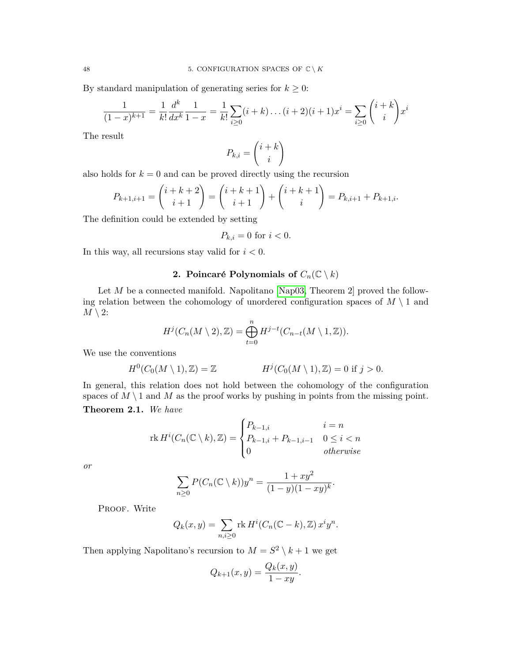By standard manipulation of generating series for  $k \geq 0$ :

$$
\frac{1}{(1-x)^{k+1}} = \frac{1}{k!} \frac{d^k}{dx^k} \frac{1}{1-x} = \frac{1}{k!} \sum_{i \ge 0} (i+k) \dots (i+2)(i+1)x^i = \sum_{i \ge 0} {i+k \choose i} x^i
$$

The result

$$
P_{k,i} = \binom{i+k}{i}
$$

also holds for  $k = 0$  and can be proved directly using the recursion

$$
P_{k+1,i+1} = {i+k+2 \choose i+1} = {i+k+1 \choose i+1} + {i+k+1 \choose i} = P_{k,i+1} + P_{k+1,i}.
$$

The definition could be extended by setting

$$
P_{k,i} = 0 \text{ for } i < 0.
$$

In this way, all recursions stay valid for *i <* 0.

### **2. Poincaré Polynomials of**  $C_n(\mathbb{C} \setminus k)$

<span id="page-48-0"></span>Let *M* be a connected manifold. Napolitano [\[Nap03,](#page-55-4) Theorem 2] proved the following relation between the cohomology of unordered configuration spaces of  $M \setminus 1$  and  $M \setminus 2$ :

$$
H^j(C_n(M\setminus 2),\mathbb{Z})=\bigoplus_{t=0}^n H^{j-t}(C_{n-t}(M\setminus 1,\mathbb{Z})).
$$

We use the conventions

$$
H^0(C_0(M \setminus 1), \mathbb{Z}) = \mathbb{Z} \qquad H^j(C_0(M \setminus 1), \mathbb{Z}) = 0 \text{ if } j > 0.
$$

In general, this relation does not hold between the cohomology of the configuration spaces of  $M \setminus 1$  and  $M$  as the proof works by pushing in points from the missing point. **Theorem 2.1.** *We have*

$$
\operatorname{rk} H^i(C_n(\mathbb{C} \setminus k), \mathbb{Z}) = \begin{cases} P_{k-1,i} & i = n \\ P_{k-1,i} + P_{k-1,i-1} & 0 \le i < n \\ 0 & \text{otherwise} \end{cases}
$$

*or*

$$
\sum_{n\geq 0} P(C_n(\mathbb{C}\setminus k))y^n = \frac{1+xy^2}{(1-y)(1-xy)^k}.
$$

PROOF. Write

$$
Q_k(x, y) = \sum_{n,i \ge 0} \text{rk } H^i(C_n(\mathbb{C} - k), \mathbb{Z}) x^i y^n.
$$

Then applying Napolitano's recursion to  $M = S^2 \setminus k + 1$  we get

$$
Q_{k+1}(x,y) = \frac{Q_k(x,y)}{1-xy}.
$$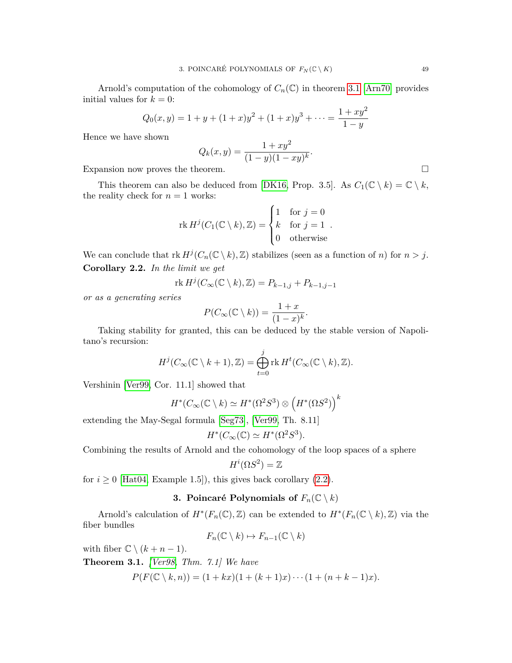Arnold's computation of the cohomology of  $C_n(\mathbb{C})$  in theorem [3.1](#page-14-0) [\[Arn70\]](#page-53-5) provides initial values for  $k = 0$ :

$$
Q_0(x,y) = 1 + y + (1+x)y^2 + (1+x)y^3 + \dots = \frac{1+xy^2}{1-y}
$$

Hence we have shown

$$
Q_k(x, y) = \frac{1 + xy^2}{(1 - y)(1 - xy)^k}.
$$

Expansion now proves the theorem.

This theorem can also be deduced from [\[DK16,](#page-54-9) Prop. 3.5]. As  $C_1(\mathbb{C} \setminus k) = \mathbb{C} \setminus k$ , the reality check for  $n = 1$  works:

$$
\operatorname{rk} H^j(C_1(\mathbb{C}\setminus k), \mathbb{Z}) = \begin{cases} 1 & \text{for } j = 0 \\ k & \text{for } j = 1 \\ 0 & \text{otherwise} \end{cases}
$$

<span id="page-49-1"></span>We can conclude that  $\text{rk } H^j(C_n(\mathbb{C} \setminus k), \mathbb{Z})$  stabilizes (seen as a function of *n*) for  $n > j$ . **Corollary 2.2.** *In the limit we get*

$$
\operatorname{rk} H^j(C_\infty(\mathbb{C}\setminus k),\mathbb{Z})=P_{k-1,j}+P_{k-1,j-1}
$$

*or as a generating series*

$$
P(C_{\infty}(\mathbb{C}\setminus k)) = \frac{1+x}{(1-x)^k}.
$$

Taking stability for granted, this can be deduced by the stable version of Napolitano's recursion:

$$
H^j(C_\infty(\mathbb{C}\setminus k+1),\mathbb{Z})=\bigoplus_{t=0}^j \mathrm{rk}\, H^t(C_\infty(\mathbb{C}\setminus k),\mathbb{Z}).
$$

Vershinin [\[Ver99,](#page-55-14) Cor. 11.1] showed that

$$
H^*(C_\infty(\mathbb{C}\setminus k)\simeq H^*(\Omega^2S^3)\otimes \left(H^*(\Omega S^2)\right)^k
$$

extending the May-Segal formula [\[Seg73\]](#page-55-15), [\[Ver99,](#page-55-14) Th. 8.11]

$$
H^*(C_{\infty}(\mathbb{C}) \simeq H^*(\Omega^2 S^3).
$$

Combining the results of Arnold and the cohomology of the loop spaces of a sphere

$$
H^i(\Omega S^2) = \mathbb{Z}
$$

<span id="page-49-0"></span>for  $i \geq 0$  [\[Hat04,](#page-54-19) Example 1.5]), this gives back corollary [\(2.2\)](#page-49-1).

#### **3. Poincaré Polynomials of**  $F_n(\mathbb{C} \setminus k)$

Arnold's calculation of  $H^*(F_n(\mathbb{C}), \mathbb{Z})$  can be extended to  $H^*(F_n(\mathbb{C} \setminus k), \mathbb{Z})$  via the fiber bundles

$$
F_n(\mathbb{C}\setminus k)\mapsto F_{n-1}(\mathbb{C}\setminus k)
$$

with fiber  $\mathbb{C} \setminus (k + n - 1)$ .

**Theorem 3.1.** *[\[Ver98,](#page-55-16) Thm. 7.1] We have*

$$
P(F(\mathbb{C}\setminus k,n)) = (1+ kx)(1+(k+1)x)\cdots(1+(n+k-1)x).
$$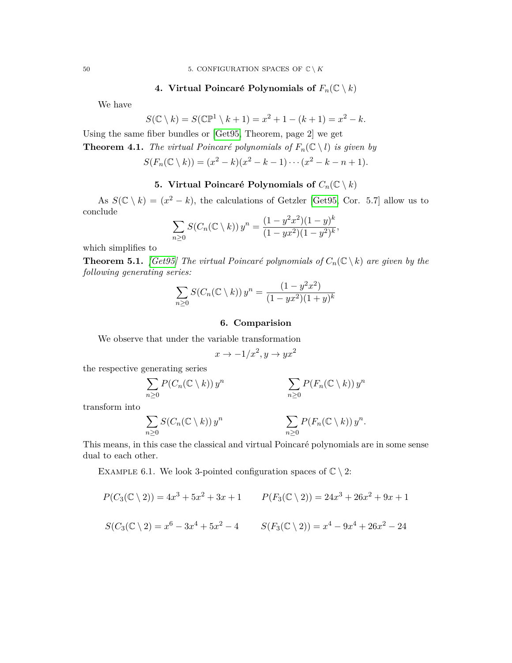<span id="page-50-0"></span>50 5. CONFIGURATION SPACES OF  $\mathbb{C} \setminus K$ 

**4. Virtual Poincaré Polynomials of**  $F_n(\mathbb{C} \setminus k)$ 

We have

$$
S(\mathbb{C} \setminus k) = S(\mathbb{C}\mathbb{P}^1 \setminus k + 1) = x^2 + 1 - (k + 1) = x^2 - k.
$$

Using the same fiber bundles or [\[Get95,](#page-54-10) Theorem, page 2] we get

**Theorem 4.1.** *The virtual Poincaré polynomials of*  $F_n(\mathbb{C} \setminus l)$  *is given by* 

$$
S(F_n(\mathbb{C} \setminus k)) = (x^2 - k)(x^2 - k - 1) \cdots (x^2 - k - n + 1).
$$

#### **5. Virtual Poincaré Polynomials of**  $C_n(\mathbb{C} \setminus k)$

<span id="page-50-1"></span>As  $S(\mathbb{C} \setminus k) = (x^2 - k)$ , the calculations of Getzler [\[Get95,](#page-54-10) Cor. 5.7] allow us to conclude

$$
\sum_{n\geq 0} S(C_n(\mathbb{C}\setminus k)) y^n = \frac{(1-y^2x^2)(1-y)^k}{(1-yx^2)(1-y^2)^k},
$$

which simplifies to

**Theorem 5.1.** *[\[Get95\]](#page-54-10) The virtual Poincaré polynomials of*  $C_n(\mathbb{C} \setminus k)$  *are given by the following generating series:*

$$
\sum_{n\geq 0} S(C_n(\mathbb{C}\setminus k)) y^n = \frac{(1-y^2x^2)}{(1-yx^2)(1+y)^k}
$$

#### **6. Comparision**

<span id="page-50-2"></span>We observe that under the variable transformation

$$
x \to -1/x^2, y \to yx^2
$$

the respective generating series

$$
\sum_{n\geq 0} P(C_n(\mathbb{C}\setminus k)) y^n \qquad \sum_{n\geq 0} P(F_n(\mathbb{C}\setminus k)) y^n
$$

transform into

$$
\sum_{n\geq 0} S(C_n(\mathbb{C}\setminus k)) y^n \qquad \sum_{n\geq 0} P(F_n(\mathbb{C}\setminus k)) y^n.
$$

This means, in this case the classical and virtual Poincaré polynomials are in some sense dual to each other.

EXAMPLE 6.1. We look 3-pointed configuration spaces of  $\mathbb{C} \setminus 2$ :

$$
P(C_3(\mathbb{C} \setminus 2)) = 4x^3 + 5x^2 + 3x + 1 \qquad P(F_3(\mathbb{C} \setminus 2)) = 24x^3 + 26x^2 + 9x + 1
$$
  

$$
S(C_3(\mathbb{C} \setminus 2) = x^6 - 3x^4 + 5x^2 - 4 \qquad S(F_3(\mathbb{C} \setminus 2)) = x^4 - 9x^4 + 26x^2 - 24
$$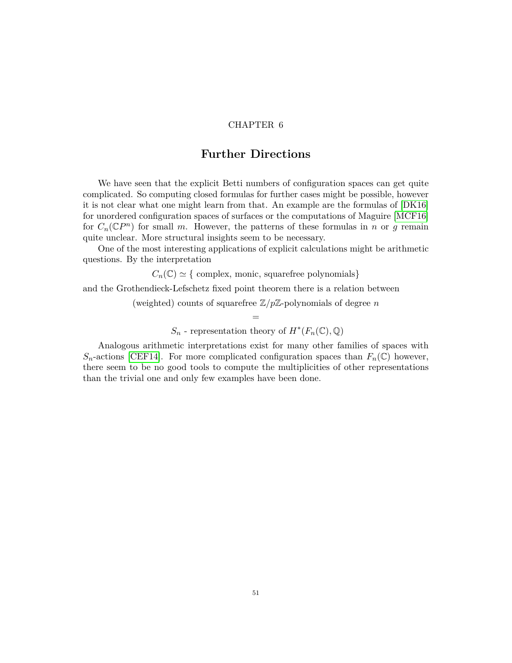#### CHAPTER 6

### **Further Directions**

<span id="page-51-0"></span>We have seen that the explicit Betti numbers of configuration spaces can get quite complicated. So computing closed formulas for further cases might be possible, however it is not clear what one might learn from that. An example are the formulas of [\[DK16\]](#page-54-9) for unordered configuration spaces of surfaces or the computations of Maguire [\[MCF16\]](#page-54-12) for  $C_n(\mathbb{C}P^n)$  for small *m*. However, the patterns of these formulas in *n* or *g* remain quite unclear. More structural insights seem to be necessary.

One of the most interesting applications of explicit calculations might be arithmetic questions. By the interpretation

 $C_n(\mathbb{C}) \simeq \{$  complex, monic, squarefree polynomials}

and the Grothendieck-Lefschetz fixed point theorem there is a relation between

(weighted) counts of squarefree Z*/p*Z-polynomials of degree *n*  $=$ 

 $S_n$  - representation theory of  $H^*(F_n(\mathbb{C}), \mathbb{Q})$ 

Analogous arithmetic interpretations exist for many other families of spaces with  $S_n$ -actions [\[CEF14\]](#page-53-15). For more complicated configuration spaces than  $F_n(\mathbb{C})$  however, there seem to be no good tools to compute the multiplicities of other representations than the trivial one and only few examples have been done.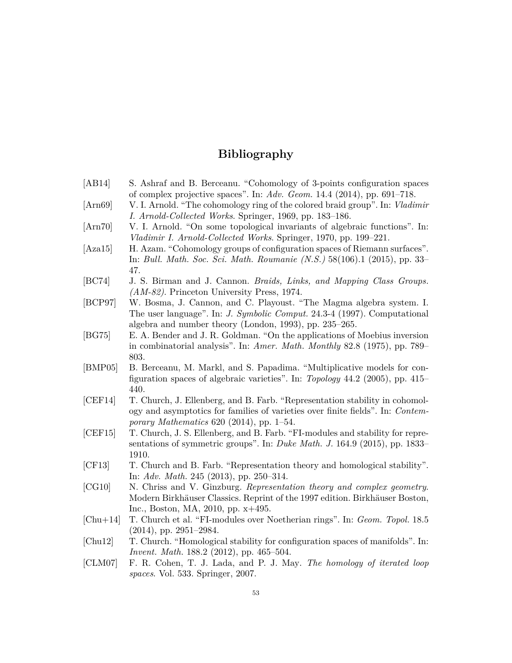# **Bibliography**

<span id="page-53-15"></span><span id="page-53-14"></span><span id="page-53-13"></span><span id="page-53-12"></span><span id="page-53-11"></span><span id="page-53-10"></span><span id="page-53-9"></span><span id="page-53-8"></span><span id="page-53-7"></span><span id="page-53-6"></span><span id="page-53-5"></span><span id="page-53-4"></span><span id="page-53-3"></span><span id="page-53-2"></span><span id="page-53-1"></span><span id="page-53-0"></span>

| [AB14]     | S. Ashraf and B. Berceanu. "Cohomology of 3-points configuration spaces                                              |
|------------|----------------------------------------------------------------------------------------------------------------------|
|            | of complex projective spaces". In: Adv. Geom. 14.4 (2014), pp. 691-718.                                              |
| [Ann69]    | V. I. Arnold. "The cohomology ring of the colored braid group". In: Vladimir                                         |
|            | I. Arnold-Collected Works. Springer, 1969, pp. 183–186.                                                              |
| [Arn70]    | V. I. Arnold. "On some topological invariants of algebraic functions". In:                                           |
|            | Vladimir I. Arnold-Collected Works. Springer, 1970, pp. 199–221.                                                     |
| [Aza15]    | H. Azam. "Cohomology groups of configuration spaces of Riemann surfaces".                                            |
|            | In: Bull. Math. Soc. Sci. Math. Roumanie $(N.S.) 58(106).1 (2015), pp. 33-$                                          |
|            | 47.                                                                                                                  |
| [BC74]     | J. S. Birman and J. Cannon. Braids, Links, and Mapping Class Groups.                                                 |
|            | $(AM-82)$ . Princeton University Press, 1974.                                                                        |
| [BCP97]    | W. Bosma, J. Cannon, and C. Playoust. "The Magma algebra system. I.                                                  |
|            | The user language". In: <i>J. Symbolic Comput.</i> 24.3-4 (1997). Computational                                      |
|            | algebra and number theory (London, 1993), pp. $235-265$ .                                                            |
| [BG75]     | E. A. Bender and J. R. Goldman. "On the applications of Moebius inversion                                            |
|            | in combinatorial analysis". In: Amer. Math. Monthly 82.8 (1975), pp. 789–                                            |
|            | 803.                                                                                                                 |
| [BMP05]    | B. Berceanu, M. Markl, and S. Papadima. "Multiplicative models for con-                                              |
|            | figuration spaces of algebraic varieties". In: <i>Topology</i> 44.2 (2005), pp. 415–                                 |
|            | 440.                                                                                                                 |
| [CEF14]    | T. Church, J. Ellenberg, and B. Farb. "Representation stability in cohomol-                                          |
|            | ogy and asymptotics for families of varieties over finite fields". In: Contem-                                       |
|            | <i>porary Mathematics</i> 620 (2014), pp. 1–54.                                                                      |
| [CEF15]    | T. Church, J. S. Ellenberg, and B. Farb. "FI-modules and stability for repre-                                        |
|            | sentations of symmetric groups". In: Duke Math. J. 164.9 (2015), pp. 1833–                                           |
|            | 1910.                                                                                                                |
| [CF13]     | T. Church and B. Farb. "Representation theory and homological stability".                                            |
|            | In: Adv. Math. 245 (2013), pp. 250-314.                                                                              |
| [CG10]     | N. Chriss and V. Ginzburg. Representation theory and complex geometry.                                               |
|            | Modern Birkhäuser Classics. Reprint of the 1997 edition. Birkhäuser Boston,<br>Inc., Boston, MA, 2010, pp. $x+495$ . |
| $[Chu+14]$ | T. Church et al. "FI-modules over Noetherian rings". In: Geom. Topol. 18.5                                           |
|            | $(2014)$ , pp. 2951-2984.                                                                                            |
| [Chu12]    | T. Church. "Homological stability for configuration spaces of manifolds". In:                                        |
|            | Invent. Math. 188.2 (2012), pp. 465-504.                                                                             |
| [CLM07]    | F. R. Cohen, T. J. Lada, and P. J. May. The homology of iterated loop                                                |
|            | spaces. Vol. 533. Springer, 2007.                                                                                    |
|            |                                                                                                                      |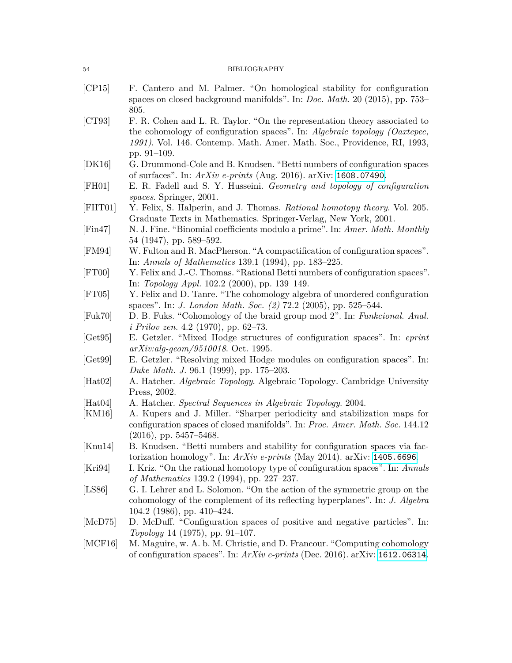<span id="page-54-19"></span><span id="page-54-18"></span><span id="page-54-17"></span><span id="page-54-16"></span><span id="page-54-15"></span><span id="page-54-14"></span><span id="page-54-13"></span><span id="page-54-12"></span><span id="page-54-11"></span><span id="page-54-10"></span><span id="page-54-9"></span><span id="page-54-8"></span><span id="page-54-7"></span><span id="page-54-6"></span><span id="page-54-5"></span><span id="page-54-4"></span><span id="page-54-3"></span><span id="page-54-2"></span><span id="page-54-1"></span><span id="page-54-0"></span>

| 54              | <b>BIBLIOGRAPHY</b>                                                                                                                                                                                                                               |
|-----------------|---------------------------------------------------------------------------------------------------------------------------------------------------------------------------------------------------------------------------------------------------|
| [CP15]          | F. Cantero and M. Palmer. "On homological stability for configuration<br>spaces on closed background manifolds". In: <i>Doc. Math.</i> 20 (2015), pp. 753–<br>805.                                                                                |
| [CT93]          | F. R. Cohen and L. R. Taylor. "On the representation theory associated to<br>the cohomology of configuration spaces". In: Algebraic topology (Oaxtepec,<br>1991). Vol. 146. Contemp. Math. Amer. Math. Soc., Providence, RI, 1993,<br>pp. 91-109. |
| [DK16]          | G. Drummond-Cole and B. Knudsen. "Betti numbers of configuration spaces<br>of surfaces". In: $ArXiv$ e-prints (Aug. 2016). arXiv: 1608.07490.                                                                                                     |
| [FH01]          | E. R. Fadell and S. Y. Husseini. Geometry and topology of configuration<br>spaces. Springer, 2001.                                                                                                                                                |
| [FHT01]         | Y. Felix, S. Halperin, and J. Thomas. Rational homotopy theory. Vol. 205.<br>Graduate Texts in Mathematics. Springer-Verlag, New York, 2001.                                                                                                      |
| [Fin47]         | N. J. Fine. "Binomial coefficients modulo a prime". In: Amer. Math. Monthly<br>54 (1947), pp. 589-592.                                                                                                                                            |
| [FM94]          | W. Fulton and R. MacPherson. "A compactification of configuration spaces".<br>In: Annals of Mathematics 139.1 (1994), pp. 183-225.                                                                                                                |
| [FT00]          | Y. Felix and J.-C. Thomas. "Rational Betti numbers of configuration spaces".<br>In: <i>Topology Appl.</i> 102.2 (2000), pp. 139–149.                                                                                                              |
| [FT05]          | Y. Felix and D. Tanre. "The cohomology algebra of unordered configuration<br>spaces". In: <i>J. London Math. Soc.</i> (2) 72.2 (2005), pp. 525–544.                                                                                               |
| [Fuk70]         | D. B. Fuks. "Cohomology of the braid group mod 2". In: Funkcional. Anal.<br>$i \; Prilov \; zen. \; 4.2 \; (1970), \; pp. \; 62-73.$                                                                                                              |
| [Get95]         | E. Getzler. "Mixed Hodge structures of configuration spaces". In: eprint<br>$arXiv: alg\text{-}geom/9510018.$ Oct. 1995.                                                                                                                          |
| [Get99]         | E. Getzler. "Resolving mixed Hodge modules on configuration spaces". In:<br>Duke Math. J. 96.1 (1999), pp. 175–203.                                                                                                                               |
| $[{\rm Hat}02]$ | A. Hatcher. Algebraic Topology. Algebraic Topology. Cambridge University<br>Press, 2002.                                                                                                                                                          |
| $[{\rm Hat}04]$ | A. Hatcher. Spectral Sequences in Algebraic Topology. 2004.                                                                                                                                                                                       |
| [KM16]          | A. Kupers and J. Miller. "Sharper periodicity and stabilization maps for<br>configuration spaces of closed manifolds". In: Proc. Amer. Math. Soc. 144.12<br>$(2016)$ , pp. 5457–5468.                                                             |
| [ $Knu14$ ]     | B. Knudsen. "Betti numbers and stability for configuration spaces via fac-<br>torization homology". In: $ArXiv$ e-prints (May 2014). arXiv: 1405.6696.                                                                                            |
| [Kri94]         | I. Kriz. "On the rational homotopy type of configuration spaces". In: Annals<br>of Mathematics 139.2 (1994), pp. 227–237.                                                                                                                         |
| [LS86]          | G. I. Lehrer and L. Solomon. "On the action of the symmetric group on the<br>cohomology of the complement of its reflecting hyperplanes". In: J. Algebra<br>104.2 (1986), pp. $410-424$ .                                                         |
| [McD75]         | D. McDuff. "Configuration spaces of positive and negative particles". In:<br>Topology 14 (1975), pp. 91–107.                                                                                                                                      |
| [MCF16]         | M. Maguire, w. A. b. M. Christie, and D. Francour. "Computing cohomology<br>of configuration spaces". In: $ArXiv$ e-prints (Dec. 2016). arXiv: 1612.06314.                                                                                        |